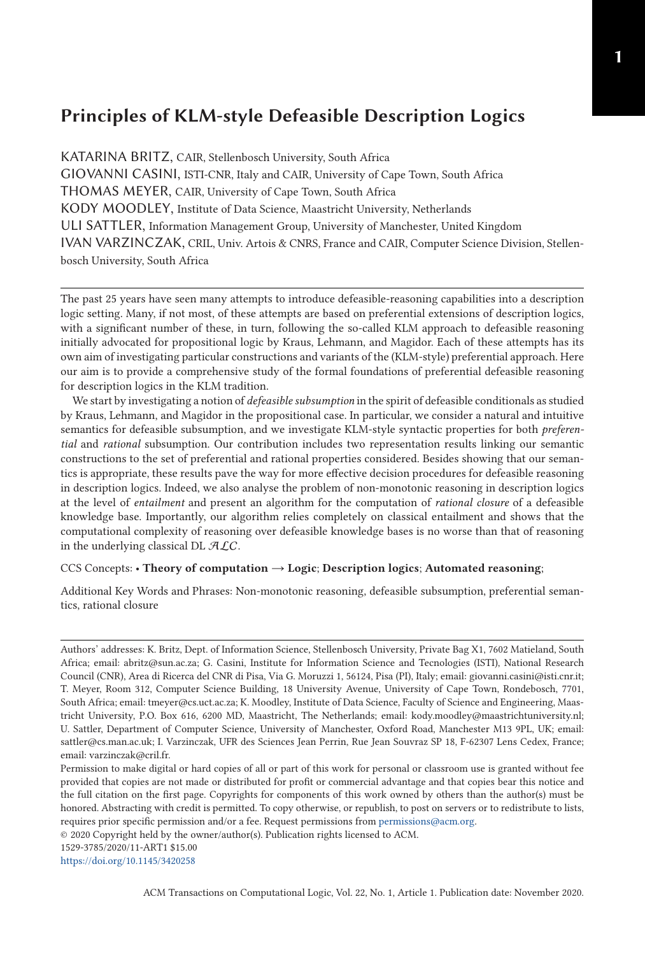KATARINA BRITZ, CAIR, Stellenbosch University, South Africa GIOVANNI CASINI, ISTI-CNR, Italy and CAIR, University of Cape Town, South Africa THOMAS MEYER, CAIR, University of Cape Town, South Africa KODY MOODLEY, Institute of Data Science, Maastricht University, Netherlands ULI SATTLER, Information Management Group, University of Manchester, United Kingdom IVAN VARZINCZAK, CRIL, Univ. Artois & CNRS, France and CAIR, Computer Science Division, Stellenbosch University, South Africa

The past 25 years have seen many attempts to introduce defeasible-reasoning capabilities into a description logic setting. Many, if not most, of these attempts are based on preferential extensions of description logics, with a significant number of these, in turn, following the so-called KLM approach to defeasible reasoning initially advocated for propositional logic by Kraus, Lehmann, and Magidor. Each of these attempts has its own aim of investigating particular constructions and variants of the (KLM-style) preferential approach. Here our aim is to provide a comprehensive study of the formal foundations of preferential defeasible reasoning for description logics in the KLM tradition.

We start by investigating a notion of *defeasible subsumption* in the spirit of defeasible conditionals as studied by Kraus, Lehmann, and Magidor in the propositional case. In particular, we consider a natural and intuitive semantics for defeasible subsumption, and we investigate KLM-style syntactic properties for both *preferential* and *rational* subsumption. Our contribution includes two representation results linking our semantic constructions to the set of preferential and rational properties considered. Besides showing that our semantics is appropriate, these results pave the way for more effective decision procedures for defeasible reasoning in description logics. Indeed, we also analyse the problem of non-monotonic reasoning in description logics at the level of *entailment* and present an algorithm for the computation of *rational closure* of a defeasible knowledge base. Importantly, our algorithm relies completely on classical entailment and shows that the computational complexity of reasoning over defeasible knowledge bases is no worse than that of reasoning in the underlying classical DL  $ALC$ .

#### CCS Concepts: • **Theory of computation** → **Logic**; **Description logics**; **Automated reasoning**;

Additional Key Words and Phrases: Non-monotonic reasoning, defeasible subsumption, preferential semantics, rational closure

© 2020 Copyright held by the owner/author(s). Publication rights licensed to ACM.

1529-3785/2020/11-ART1 \$15.00

<https://doi.org/10.1145/3420258>

Authors' addresses: K. Britz, Dept. of Information Science, Stellenbosch University, Private Bag X1, 7602 Matieland, South Africa; email: abritz@sun.ac.za; G. Casini, Institute for Information Science and Tecnologies (ISTI), National Research Council (CNR), Area di Ricerca del CNR di Pisa, Via G. Moruzzi 1, 56124, Pisa (PI), Italy; email: giovanni.casini@isti.cnr.it; T. Meyer, Room 312, Computer Science Building, 18 University Avenue, University of Cape Town, Rondebosch, 7701, South Africa; email: tmeyer@cs.uct.ac.za; K. Moodley, Institute of Data Science, Faculty of Science and Engineering, Maastricht University, P.O. Box 616, 6200 MD, Maastricht, The Netherlands; email: kody.moodley@maastrichtuniversity.nl; U. Sattler, Department of Computer Science, University of Manchester, Oxford Road, Manchester M13 9PL, UK; email: sattler@cs.man.ac.uk; I. Varzinczak, UFR des Sciences Jean Perrin, Rue Jean Souvraz SP 18, F-62307 Lens Cedex, France; email: varzinczak@cril.fr.

Permission to make digital or hard copies of all or part of this work for personal or classroom use is granted without fee provided that copies are not made or distributed for profit or commercial advantage and that copies bear this notice and the full citation on the first page. Copyrights for components of this work owned by others than the author(s) must be honored. Abstracting with credit is permitted. To copy otherwise, or republish, to post on servers or to redistribute to lists, requires prior specific permission and/or a fee. Request permissions from [permissions@acm.org.](mailto:permissions@acm.org)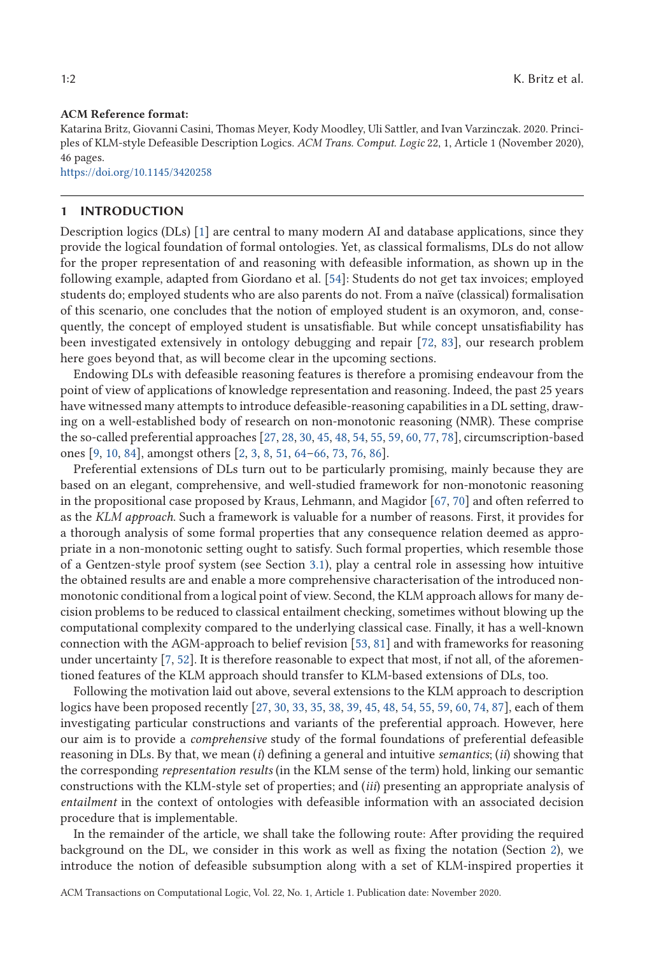#### **ACM Reference format:**

Katarina Britz, Giovanni Casini, Thomas Meyer, Kody Moodley, Uli Sattler, and Ivan Varzinczak. 2020. Principles of KLM-style Defeasible Description Logics. *ACM Trans. Comput. Logic* 22, 1, Article 1 (November 2020), 46 pages.

<https://doi.org/10.1145/3420258>

#### **1 INTRODUCTION**

Description logics (DLs) [\[1\]](#page-42-0) are central to many modern AI and database applications, since they provide the logical foundation of formal ontologies. Yet, as classical formalisms, DLs do not allow for the proper representation of and reasoning with defeasible information, as shown up in the following example, adapted from Giordano et al. [\[54\]](#page-44-0): Students do not get tax invoices; employed students do; employed students who are also parents do not. From a naïve (classical) formalisation of this scenario, one concludes that the notion of employed student is an oxymoron, and, consequently, the concept of employed student is unsatisfiable. But while concept unsatisfiability has been investigated extensively in ontology debugging and repair [\[72,](#page-45-0) [83\]](#page-45-0), our research problem here goes beyond that, as will become clear in the upcoming sections.

Endowing DLs with defeasible reasoning features is therefore a promising endeavour from the point of view of applications of knowledge representation and reasoning. Indeed, the past 25 years have witnessed many attempts to introduce defeasible-reasoning capabilities in a DL setting, drawing on a well-established body of research on non-monotonic reasoning (NMR). These comprise the so-called preferential approaches [\[27,](#page-43-0) [28,](#page-43-0) [30,](#page-43-0) [45,](#page-44-0) [48,](#page-44-0) [54,](#page-44-0) [55,](#page-44-0) [59,](#page-44-0) [60,](#page-44-0) [77,](#page-45-0) [78\]](#page-45-0), circumscription-based ones [\[9,](#page-42-0) [10,](#page-42-0) [84\]](#page-45-0), amongst others [\[2,](#page-42-0) [3,](#page-42-0) [8,](#page-42-0) [51,](#page-44-0) 64[–66,](#page-45-0) [73,](#page-45-0) [76,](#page-45-0) [86\]](#page-45-0).

Preferential extensions of DLs turn out to be particularly promising, mainly because they are based on an elegant, comprehensive, and well-studied framework for non-monotonic reasoning in the propositional case proposed by Kraus, Lehmann, and Magidor [\[67,](#page-45-0) [70\]](#page-45-0) and often referred to as the *KLM approach*. Such a framework is valuable for a number of reasons. First, it provides for a thorough analysis of some formal properties that any consequence relation deemed as appropriate in a non-monotonic setting ought to satisfy. Such formal properties, which resemble those of a Gentzen-style proof system (see Section [3.1\)](#page-4-0), play a central role in assessing how intuitive the obtained results are and enable a more comprehensive characterisation of the introduced nonmonotonic conditional from a logical point of view. Second, the KLM approach allows for many decision problems to be reduced to classical entailment checking, sometimes without blowing up the computational complexity compared to the underlying classical case. Finally, it has a well-known connection with the AGM-approach to belief revision [\[53,](#page-44-0) [81\]](#page-45-0) and with frameworks for reasoning under uncertainty [\[7,](#page-42-0) [52\]](#page-44-0). It is therefore reasonable to expect that most, if not all, of the aforementioned features of the KLM approach should transfer to KLM-based extensions of DLs, too.

Following the motivation laid out above, several extensions to the KLM approach to description logics have been proposed recently [\[27,](#page-43-0) [30,](#page-43-0) [33,](#page-43-0) [35,](#page-43-0) [38,](#page-43-0) [39,](#page-43-0) [45,](#page-44-0) [48,](#page-44-0) [54,](#page-44-0) [55,](#page-44-0) [59,](#page-44-0) [60,](#page-44-0) [74,](#page-45-0) [87\]](#page-45-0), each of them investigating particular constructions and variants of the preferential approach. However, here our aim is to provide a *comprehensive* study of the formal foundations of preferential defeasible reasoning in DLs. By that, we mean (*i*) defining a general and intuitive *semantics*; (*ii*) showing that the corresponding *representation results* (in the KLM sense of the term) hold, linking our semantic constructions with the KLM-style set of properties; and (*iii*) presenting an appropriate analysis of *entailment* in the context of ontologies with defeasible information with an associated decision procedure that is implementable.

In the remainder of the article, we shall take the following route: After providing the required background on the DL, we consider in this work as well as fixing the notation (Section [2\)](#page-2-0), we introduce the notion of defeasible subsumption along with a set of KLM-inspired properties it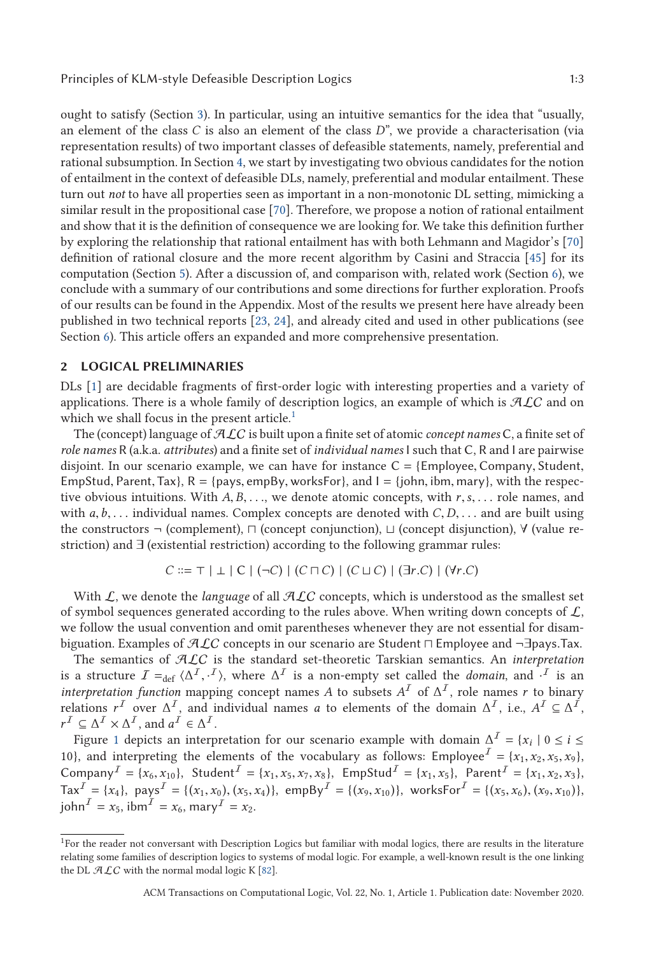<span id="page-2-0"></span>ought to satisfy (Section [3\)](#page-4-0). In particular, using an intuitive semantics for the idea that "usually, an element of the class *C* is also an element of the class *D*", we provide a characterisation (via representation results) of two important classes of defeasible statements, namely, preferential and rational subsumption. In Section [4,](#page-9-0) we start by investigating two obvious candidates for the notion of entailment in the context of defeasible DLs, namely, preferential and modular entailment. These turn out *not* to have all properties seen as important in a non-monotonic DL setting, mimicking a similar result in the propositional case [\[70\]](#page-45-0). Therefore, we propose a notion of rational entailment and show that it is the definition of consequence we are looking for. We take this definition further by exploring the relationship that rational entailment has with both Lehmann and Magidor's [\[70\]](#page-45-0) definition of rational closure and the more recent algorithm by Casini and Straccia [\[45\]](#page-44-0) for its computation (Section [5\)](#page-13-0). After a discussion of, and comparison with, related work (Section [6\)](#page-22-0), we conclude with a summary of our contributions and some directions for further exploration. Proofs of our results can be found in the Appendix. Most of the results we present here have already been published in two technical reports [\[23,](#page-43-0) [24\]](#page-43-0), and already cited and used in other publications (see Section [6\)](#page-22-0). This article offers an expanded and more comprehensive presentation.

#### **2 LOGICAL PRELIMINARIES**

DLs [\[1\]](#page-42-0) are decidable fragments of first-order logic with interesting properties and a variety of applications. There is a whole family of description logics, an example of which is  $\mathcal{ALC}$  and on which we shall focus in the present article.<sup>1</sup>

The (concept) language of ALC is built upon a finite set of atomic *concept names* C, a finite set of *role names* R (a.k.a. *attributes*) and a finite set of *individual names* I such that C, R and I are pairwise disjoint. In our scenario example, we can have for instance  $C = \{Emplogee, Company, Student,$ EmpStud, Parent, Tax},  $R = \{pays, empBy, worksFor\}$ , and  $I = \{john, ibm, Mary\}$ , with the respective obvious intuitions. With *<sup>A</sup>*, *<sup>B</sup>*,..., we denote atomic concepts, with *<sup>r</sup>*,*s*,... role names, and with *<sup>a</sup>*,*b*,... individual names. Complex concepts are denoted with *<sup>C</sup>*,*D*,... and are built using the constructors ¬ (complement),  $\sqcap$  (concept conjunction),  $\sqcup$  (concept disjunction),  $\forall$  (value restriction) and ∃ (existential restriction) according to the following grammar rules:

$$
C ::= \top | \bot | C | (-C) | (C \sqcap C) | (C \sqcup C) | ((\exists r.C) | (\forall r.C)
$$

With  $\mathcal{L}$ , we denote the *language* of all  $\mathcal{A}\mathcal{L}C$  concepts, which is understood as the smallest set of symbol sequences generated according to the rules above. When writing down concepts of  $\mathcal{L}$ , we follow the usual convention and omit parentheses whenever they are not essential for disambiguation. Examples of  $ALC$  concepts in our scenario are Student  $\sqcap$  Employee and  $\neg$ =Jpays.Tax.<br>The semantics of  $A C$  is the standard set-theoretic Tarskian semantics. An interpretation

The semantics of ALC is the standard set-theoretic Tarskian semantics. An *interpretation* is a structure  $I =_{def} \langle \Delta^I, \cdot^I \rangle$ , where  $\Delta^I$  is a non-empty set called the *domain*, and  $\cdot^I$  is an *interpretation function* manning concept names A to subsets  $A^I$  of  $\Delta^I$  role names x to binary *interpretation function* mapping concept names *A* to subsets  $A<sup>T</sup>$  of  $\Delta<sup>T</sup>$ , role names *r* to binary relations  $r^I$  over  $\Delta^I$ , and individual names *a* to elements of the domain  $\Delta^I$ , i.e.,  $A^I \subseteq \Delta^I$ ,  $r^{\mathcal{I}} \subseteq \Delta^{\mathcal{I}} \times \Delta^{\mathcal{I}}$ , and  $a^{\mathcal{I}} \in \Delta^{\mathcal{I}}$ .

Figure [1](#page-3-0) depicts an interpretation for our scenario example with domain  $\Delta^I = \{x_i \mid 0 \le i \le n\}$ 10}, and interpreting the elements of the vocabulary as follows: Employee<sup>T</sup> = { $x_1, x_2, x_5, x_9$ }, Company<sup>I</sup> = { $x_6$ ,  $x_{10}$ }, Student<sup>I</sup> = { $x_1$ ,  $x_5$ ,  $x_7$ ,  $x_8$ }, EmpStud<sup>I</sup> = { $x_1$ ,  $x_5$ }, Parent<sup>I</sup> = { $x_1$ ,  $x_2$ ,  $x_3$ },  $\text{Tax}^{\mathcal{I}} = \{x_4\}, \text{ pays}^{\mathcal{I}} = \{(x_1, x_0), (x_5, x_4)\}, \text{ empBy}^{\mathcal{I}} = \{(x_9, x_{10})\}, \text{ worksFor}^{\mathcal{I}} = \{(x_5, x_6), (x_9, x_{10})\},\$  $josh<sup>T</sup> = x_5$ ,  $ib<sup>T</sup> = x_6$ ,  $max<sup>T</sup> = x_2$ .

<sup>&</sup>lt;sup>1</sup>For the reader not conversant with Description Logics but familiar with modal logics, there are results in the literature relating some families of description logics to systems of modal logic. For example, a well-known result is the one linking the DL  $ALC$  with the normal modal logic K [\[82\]](#page-45-0).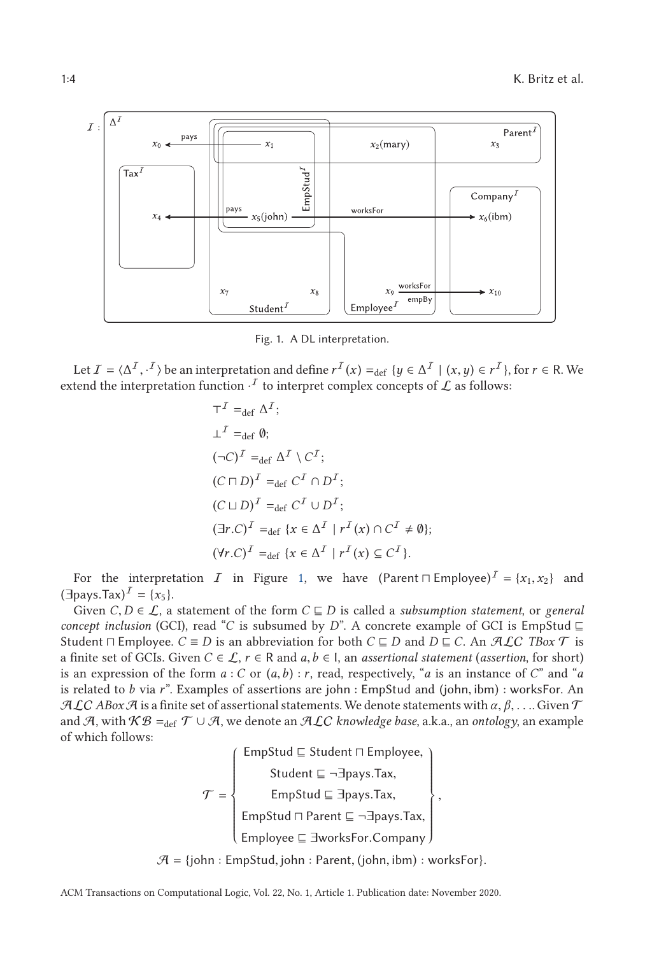<span id="page-3-0"></span>

Fig. 1. A DL interpretation.

Let  $I = \langle \Delta^I, \cdot^I \rangle$  be an interpretation and define  $r^I(x) =_{\text{def}} \{y \in \Delta^I \mid (x, y) \in r^I\}$ , for  $r \in \mathbb{R}$ . We tend the interpretation function  $I$  to interpret complex concepts of  $I$  as follower. extend the interpretation function  $\cdot^I$  to interpret complex concepts of  ${\cal L}$  as follows:

$$
\begin{aligned}\n\mathsf{T}^I &=_{\text{def}} \Delta^I; \\
\mathsf{L}^I &=_{\text{def}} \emptyset; \\
(\neg C)^I &=_{\text{def}} \Delta^I \setminus C^I; \\
(C \sqcap D)^I &=_{\text{def}} C^I \cap D^I; \\
(C \sqcup D)^I &=_{\text{def}} C^I \cup D^I; \\
(\exists r.C)^I &=_{\text{def}} \{x \in \Delta^I \mid r^I(x) \cap C^I \neq \emptyset\}; \\
(\forall r.C)^I &=_{\text{def}} \{x \in \Delta^I \mid r^I(x) \subseteq C^I\}.\n\end{aligned}
$$

For the interpretation  $I$  in Figure 1, we have  $(Parent \sqcap Employee)^{I} = \{x_1, x_2\}$  and nave  $Tax^{I} = \{x_1\}$  $(\exists$ pays.Tax)<sup>*I*</sup> = {*x*<sub>5</sub>}.

Given  $C, D \in \mathcal{L}$ , a statement of the form  $C \sqsubseteq D$  is called a *subsumption statement*, or *general concept inclusion* (GCI), read "*C* is subsumed by *D*". A concrete example of GCI is EmpStud  $\sqsubseteq$ Student  $\Box$  Employee.  $C \equiv D$  is an abbreviation for both  $C \sqsubseteq D$  and  $D \sqsubseteq C$ . An  $\mathcal{AL}C$  *TBox*  $\mathcal T$  is a finite set of GCIs. Given  $C \in \mathcal{L}$ ,  $r \in \mathbb{R}$  and  $a, b \in I$ , an *assertional statement* (*assertion*, for short) is an expression of the form  $a : C$  or  $(a, b) : r$ , read, respectively, "*a* is an instance of *C*" and "*a* is related to *<sup>b</sup>* via *<sup>r</sup>*". Examples of assertions are john : EmpStud and (john, ibm) : worksFor. An  $\mathcal{ALC}$  *ABox*  $\mathcal A$  is a finite set of assertional statements. We denote statements with  $\alpha, \beta, \ldots$  Given  $\mathcal T$ and A, with  $KB =_{def} T \cup A$ , we denote an ALC *knowledge base*, a.k.a., an *ontology*, an example of which follows:

> $\tau = \{$ ⎧⎪⎪⎪⎪⎪⎪⎪⎪⎪⎪ ⎪⎪⎪⎪⎪⎪⎪⎪⎪⎪  $\overline{\mathcal{L}}$ EmpStud  $\sqsubseteq$  Student  $\sqcap$  Employee,  $\sqcap$  Employee, Student ⊑ ¬∃pays.Tax, EmpStud ∃pays.Tax, EmpStud ⊓ Parent ⊑ ¬∃pays.Tax,<br>———————————————————— Employee ∃worksFor.Company ⎫⎪⎪⎪⎪⎪⎪⎪⎪⎪⎪  $\left\{ \right.$ ⎪⎪⎪⎪⎪⎪⎪⎪⎪⎪  $\overline{J}$ ,

 $A = \{john : EmpStud, john : Parent, (john, ibm) : worksFor\}.$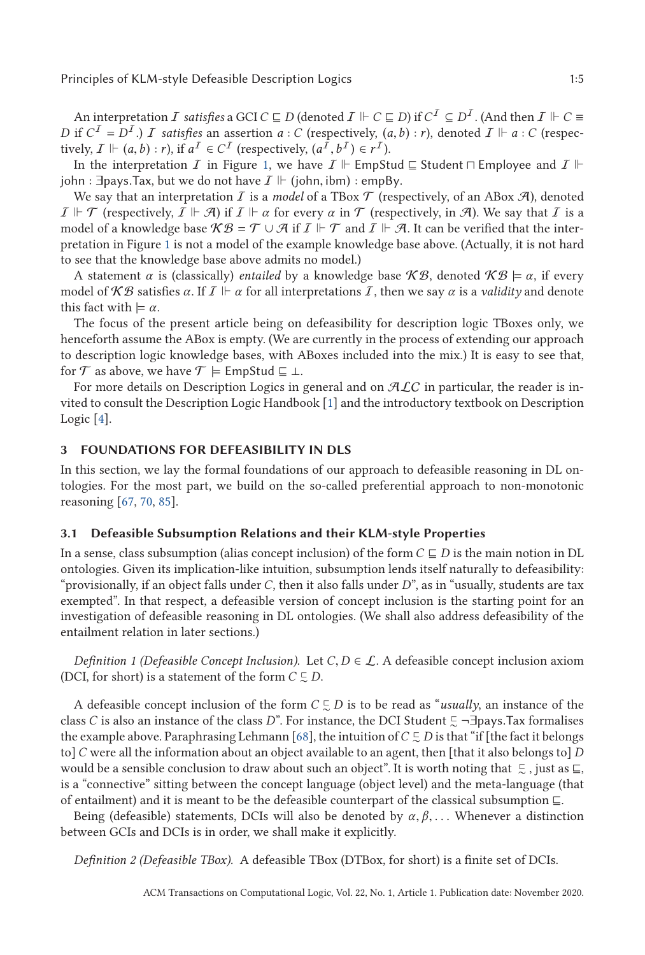<span id="page-4-0"></span>An interpretation  $I$  *satisfies* a GCI  $C \sqsubseteq D$  (denoted  $I \Vdash C \sqsubseteq D$ ) if  $C^I \subseteq D^I$  . (And then  $I \Vdash C \equiv$ *D* if  $C^I = D^I$ .) *I* satisfies an assertion *a* : *C* (respectively,  $(a, b)$  : *r*), denoted  $I \Vdash a$  : *C* (respectively,  $I \Vdash (a, b) \cdot r$ ) if  $a^I \in C^I$  (respectively,  $(a^I, b^I) \in r^I$ ) tively,  $I \Vdash (a, b) : r$ ), if  $a^I \in C^I$  (respectively,  $(a^I, b^I) \in r^I$ ).<br>In the interpretation  $\overline{I}$  in Figure 1, we have  $\overline{I} \Vdash$  EmpSt

In the interpretation  $I$  in Figure [1,](#page-3-0) we have  $I \Vdash \mathsf{EmpStud} \sqsubseteq \mathsf{Student} \sqcap \mathsf{Employee}$  and  $I \Vdash$ john : ∃pays.Tax, but we do not have  $\mathcal{I} \Vdash$  (john, ibm) : empBy.<br>We say that an interpretation  $\mathcal{I}$  is a model of a TBox  $\mathcal{T}$  (rest

We say that an interpretation  $I$  is a *model* of a TBox  $\mathcal T$  (respectively, of an ABox  $\mathcal A$ ), denoted  $I \Vdash \mathcal{T}$  (respectively,  $I \Vdash \mathcal{A}$ ) if  $I \Vdash \alpha$  for every  $\alpha$  in  $\mathcal{T}$  (respectively, in  $\mathcal{A}$ ). We say that  $I$  is a model of a knowledge base  $\mathcal{KB} = \mathcal{T} \cup \mathcal{A}$  if  $\mathcal{I} \Vdash \mathcal{T}$  and  $\mathcal{I} \Vdash \mathcal{A}$ . It can be verified that the interpretation in Figure [1](#page-3-0) is not a model of the example knowledge base above. (Actually, it is not hard to see that the knowledge base above admits no model.)

A statement *α* is (classically) *entailed* by a knowledge base  $\mathcal{KB}$ , denoted  $\mathcal{KB} \models \alpha$ , if every model of  $\mathcal{KB}$  satisfies  $\alpha$ . If  $I \Vdash \alpha$  for all interpretations  $I$ , then we say  $\alpha$  is a *validity* and denote this fact with  $\models \alpha$ .

The focus of the present article being on defeasibility for description logic TBoxes only, we henceforth assume the ABox is empty. (We are currently in the process of extending our approach to description logic knowledge bases, with ABoxes included into the mix.) It is easy to see that, for  $\mathcal T$  as above, we have  $\mathcal T \models$  EmpStud  $\sqsubseteq \bot$ .

For more details on Description Logics in general and on  $ALC$  in particular, the reader is invited to consult the Description Logic Handbook [\[1\]](#page-42-0) and the introductory textbook on Description Logic [\[4\]](#page-42-0).

## **3 FOUNDATIONS FOR DEFEASIBILITY IN DLS**

In this section, we lay the formal foundations of our approach to defeasible reasoning in DL ontologies. For the most part, we build on the so-called preferential approach to non-monotonic reasoning [\[67,](#page-45-0) [70,](#page-45-0) [85\]](#page-45-0).

#### **3.1 Defeasible Subsumption Relations and their KLM-style Properties**

In a sense, class subsumption (alias concept inclusion) of the form  $C \sqsubseteq D$  is the main notion in DL ontologies. Given its implication-like intuition, subsumption lends itself naturally to defeasibility: "provisionally, if an object falls under *C*, then it also falls under *D*", as in "usually, students are tax exempted". In that respect, a defeasible version of concept inclusion is the starting point for an investigation of defeasible reasoning in DL ontologies. (We shall also address defeasibility of the entailment relation in later sections.)

*Definition 1 (Defeasible Concept Inclusion).* Let  $C, D \in \mathcal{L}$ . A defeasible concept inclusion axiom (DCI, for short) is a statement of the form  $C \subsetneq D$ .

A defeasible concept inclusion of the form  $C \subsetneq D$  is to be read as "*usually*, an instance of the class *C* is also an instance of the class *D*". For instance, the DCI Student  $\Xi$  ¬∃pays.Tax formalises<br>the example above. Paraphrasing Lebmann [68], the intuition of *C* ⊑ *D* is that "if [the fact it belongs the example above. Paraphrasing Lehmann [\[68\]](#page-45-0), the intuition of  $C\mathrel{\subsetsim} D$  is that "if [the fact it belongs to]*C* were all the information about an object available to an agent, then [that it also belongs to] *D* would be a sensible conclusion to draw about such an object". It is worth noting that  $\in$  , just as  $\sqsubseteq$ , is a "connective" sitting between the concept language (object level) and the meta-language (that of entailment) and it is meant to be the defeasible counterpart of the classical subsumption  $\sqsubseteq$ .

Being (defeasible) statements, DCIs will also be denoted by  $\alpha, \beta, \ldots$  Whenever a distinction between GCIs and DCIs is in order, we shall make it explicitly.

*Definition 2 (Defeasible TBox).* A defeasible TBox (DTBox, for short) is a finite set of DCIs.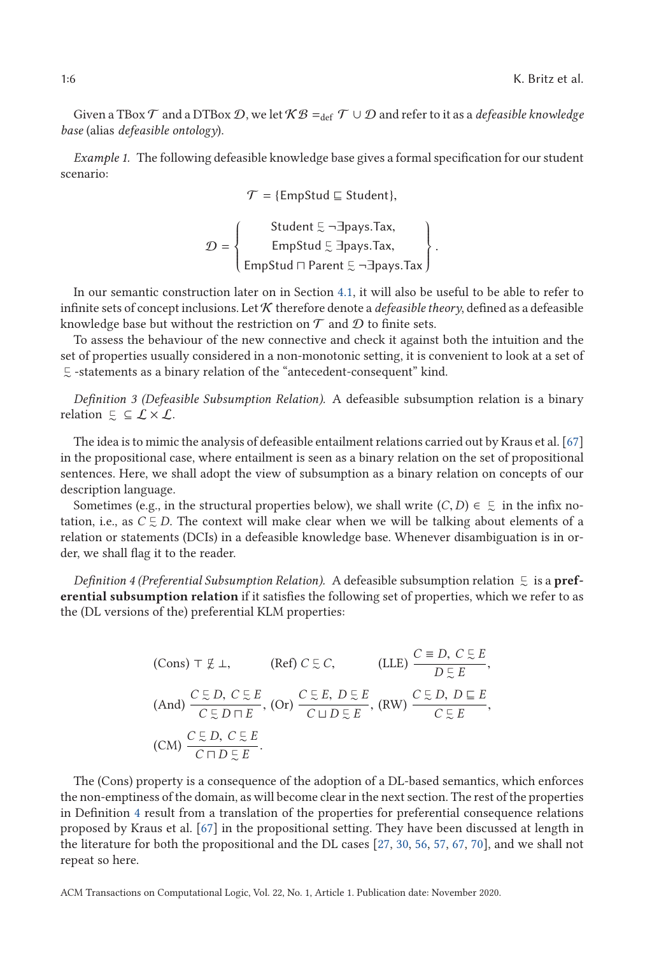<span id="page-5-0"></span>Given a TBox  $\mathcal T$  and a DTBox  $\mathcal D$ , we let  $\mathcal{KB} =_{\text{def}} \mathcal T \cup \mathcal D$  and refer to it as a *defeasible knowledge base* (alias *defeasible ontology*).

*Example 1.* The following defeasible knowledge base gives a formal specification for our student scenario:

 $\mathcal{T} =$  {EmpStud  $\sqsubseteq$  Student},

$$
\mathcal{D} = \left\{\n\begin{array}{c}\n\text{Student } \Xi \neg \exists \text{pays}.\text{Tax,} \\
\text{EmpStud } \Xi \exists \text{pays}.\text{Tax,} \\
\text{EmpStud } \Box \text{ Parent } \Xi \neg \exists \text{pays}.\text{Tax}\n\end{array}\n\right\}.
$$

In our semantic construction later on in Section [4.1,](#page-9-0) it will also be useful to be able to refer to infinite sets of concept inclusions. Let  $K$  therefore denote a *defeasible theory*, defined as a defeasible knowledge base but without the restriction on  $\mathcal T$  and  $\mathcal D$  to finite sets.

To assess the behaviour of the new connective and check it against both the intuition and the set of properties usually considered in a non-monotonic setting, it is convenient to look at a set of  $⊑$  -statements as a binary relation of the "antecedent-consequent" kind.

*Definition 3 (Defeasible Subsumption Relation).* A defeasible subsumption relation is a binary relation  $\subseteq \subseteq \mathcal{L} \times \mathcal{L}$ .

The idea is to mimic the analysis of defeasible entailment relations carried out by Kraus et al. [\[67\]](#page-45-0) in the propositional case, where entailment is seen as a binary relation on the set of propositional sentences. Here, we shall adopt the view of subsumption as a binary relation on concepts of our description language.

Sometimes (e.g., in the structural properties below), we shall write  $(C, D) \in \mathbb{Z}$  in the infix no-<br>sion i.e., as  $C \subseteq D$ . The context will make clear when we will be talking about elements of a tation, i.e., as  $C \subsetneq D$ . The context will make clear when we will be talking about elements of a relation or statements (DCIs) in a defeasible knowledge base. Whenever disambiguation is in order, we shall flag it to the reader.

Definition 4 (Preferential Subsumption Relation). A defeasible subsumption relation  $\in$  is a  $\mathbf{pref}$ **erential subsumption relation** if it satisfies the following set of properties, which we refer to as the (DL versions of the) preferential KLM properties:

(Cons) 
$$
\top \not\subseteq \bot
$$
, (Ref)  $C \subseteq C$ , (LLE)  $\frac{C \equiv D, C \subseteq E}{D \subseteq E}$ ,  
\n(And)  $\frac{C \subseteq D, C \subseteq E}{C \subseteq D \sqcap E}$ , (Or)  $\frac{C \subseteq E, D \subseteq E}{C \sqcup D \subseteq E}$ , (RW)  $\frac{C \subseteq D, D \subseteq E}{C \subseteq E}$ ,  
\n(CM)  $\frac{C \subseteq D, C \subseteq E}{C \sqcap D \subseteq E}$ .

The (Cons) property is a consequence of the adoption of a DL-based semantics, which enforces the non-emptiness of the domain, as will become clear in the next section. The rest of the properties in Definition 4 result from a translation of the properties for preferential consequence relations proposed by Kraus et al. [\[67\]](#page-45-0) in the propositional setting. They have been discussed at length in the literature for both the propositional and the DL cases [\[27,](#page-43-0) [30,](#page-43-0) [56,](#page-44-0) [57,](#page-44-0) [67,](#page-45-0) [70\]](#page-45-0), and we shall not repeat so here.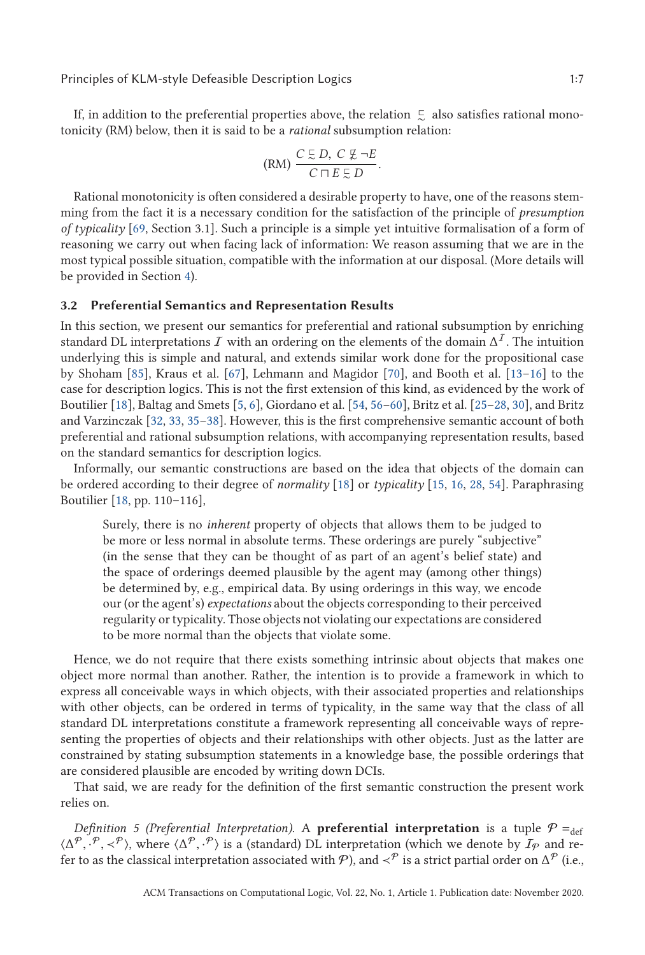<span id="page-6-0"></span>If, in addition to the preferential properties above, the relation  $\mathrel{\subsetsim}$  also satisfies rational monotonicity (RM) below, then it is said to be a *rational* subsumption relation:

$$
(RM)\ \frac{C \subseteq D,\ C \not\subseteq \neg E}{C \sqcap E \subseteq D}.
$$

Rational monotonicity is often considered a desirable property to have, one of the reasons stemming from the fact it is a necessary condition for the satisfaction of the principle of *presumption of typicality* [\[69,](#page-45-0) Section 3.1]. Such a principle is a simple yet intuitive formalisation of a form of reasoning we carry out when facing lack of information: We reason assuming that we are in the most typical possible situation, compatible with the information at our disposal. (More details will be provided in Section [4\)](#page-9-0).

## **3.2 Preferential Semantics and Representation Results**

In this section, we present our semantics for preferential and rational subsumption by enriching standard DL interpretations I with an ordering on the elements of the domain  $\Delta^I$ . The intuition underlying this is simple and natural, and extends similar work done for the propositional case by Shoham [\[85\]](#page-45-0), Kraus et al. [\[67\]](#page-45-0), Lehmann and Magidor [\[70\]](#page-45-0), and Booth et al. [13[–16\]](#page-42-0) to the case for description logics. This is not the first extension of this kind, as evidenced by the work of Boutilier [\[18\]](#page-42-0), Baltag and Smets [\[5,](#page-42-0) [6\]](#page-42-0), Giordano et al. [\[54,](#page-44-0) 56[–60\]](#page-44-0), Britz et al. [25[–28,](#page-43-0) [30\]](#page-43-0), and Britz and Varzinczak [\[32,](#page-43-0) [33,](#page-43-0) 35[–38\]](#page-43-0). However, this is the first comprehensive semantic account of both preferential and rational subsumption relations, with accompanying representation results, based on the standard semantics for description logics.

Informally, our semantic constructions are based on the idea that objects of the domain can be ordered according to their degree of *normality* [\[18\]](#page-42-0) or *typicality* [\[15,](#page-42-0) [16,](#page-42-0) [28,](#page-43-0) [54\]](#page-44-0). Paraphrasing Boutilier [\[18,](#page-42-0) pp. 110–116],

Surely, there is no *inherent* property of objects that allows them to be judged to be more or less normal in absolute terms. These orderings are purely "subjective" (in the sense that they can be thought of as part of an agent's belief state) and the space of orderings deemed plausible by the agent may (among other things) be determined by, e.g., empirical data. By using orderings in this way, we encode our (or the agent's) *expectations* about the objects corresponding to their perceived regularity or typicality. Those objects not violating our expectations are considered to be more normal than the objects that violate some.

Hence, we do not require that there exists something intrinsic about objects that makes one object more normal than another. Rather, the intention is to provide a framework in which to express all conceivable ways in which objects, with their associated properties and relationships with other objects, can be ordered in terms of typicality, in the same way that the class of all standard DL interpretations constitute a framework representing all conceivable ways of representing the properties of objects and their relationships with other objects. Just as the latter are constrained by stating subsumption statements in a knowledge base, the possible orderings that are considered plausible are encoded by writing down DCIs.

That said, we are ready for the definition of the first semantic construction the present work relies on.

*Definition 5 (Preferential Interpretation).* A **preferential interpretation** is a tuple  $P =_{def}$  $\langle \Delta^{\mathcal{P}}, \cdot^{\mathcal{P}}, \prec^{\mathcal{P}} \rangle$ , where  $\langle \Delta^{\mathcal{P}}, \cdot^{\mathcal{P}} \rangle$  is a (standard) DL interpretation (which we denote by  $\mathcal{I}_{\mathcal{P}}$  and re-<br>fer to as the classical interpretation associated with  $\mathcal{P}$ ) and  $\langle \cdot^{\mathcal$ fer to as the classical interpretation associated with  $\mathcal{P}$ ), and  $\prec^{\mathcal{P}}$  is a strict partial order on  $\Delta^{\mathcal{P}}$  (i.e.,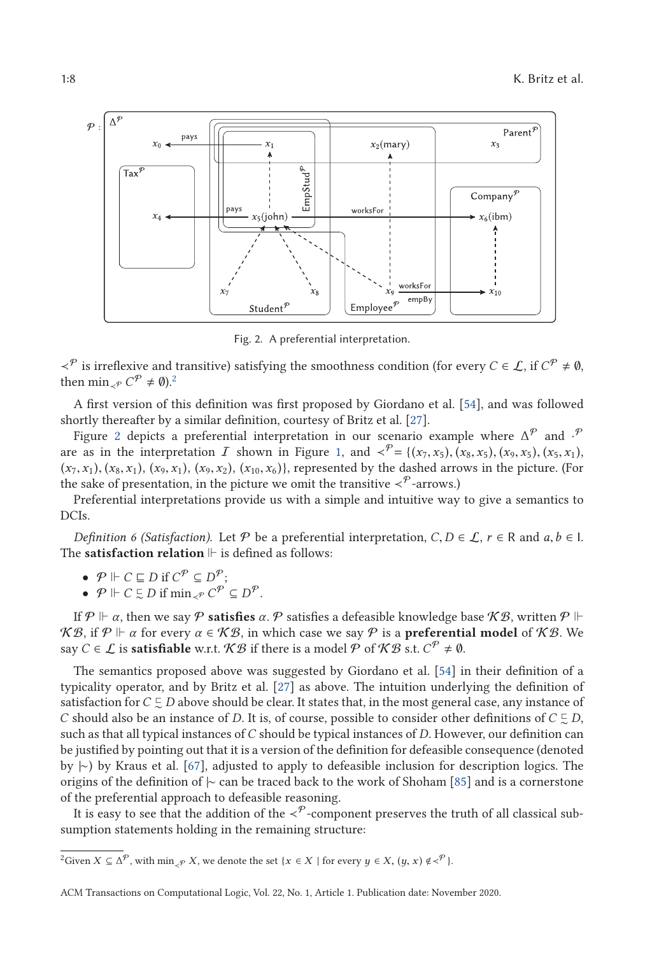<span id="page-7-0"></span>

Fig. 2. A preferential interpretation.

 $\prec^{p}$  is irreflexive and transitive) satisfying the smoothness condition (for every *C* ∈ *L*, if *C*<sup>*P*</sup> ≠ 0, then min<sub>≺</sub> $\rho C^{\mathcal{P}} \neq \emptyset$ <sup>2</sup>.

A first version of this definition was first proposed by Giordano et al. [\[54\]](#page-44-0), and was followed shortly thereafter by a similar definition, courtesy of Britz et al. [\[27\]](#page-43-0).

Figure 2 depicts a preferential interpretation in our scenario example where  $\Delta^{\mathcal{P}}$  and  $\cdot^{\mathcal{P}}$ are as in the interpretation I shown in Figure [1,](#page-3-0) and  $\langle \varphi^{\mathcal{P}} = \{ (x_7, x_5), (x_8, x_5), (x_9, x_5), (x_5, x_1), (x_9, x_2), (x_9, x_4), (x_9, x_6), (x_9, x_7), (x_9, x_8), (x_9, x_9), (x_9, x_9), (x_9, x_1), (x_9, x_2), (x_9, x_3), (x_9, x_4), (x_9, x_1), (x_9, x_$  $(x_7, x_1), (x_8, x_1), (x_9, x_1), (x_9, x_2), (x_{10}, x_6)$ }, represented by the dashed arrows in the picture. (For the sake of presentation, in the picture we omit the transitive  $\prec^{\mathcal{P}}$ -arrows.)

Preferential interpretations provide us with a simple and intuitive way to give a semantics to DCIs.

*Definition 6 (Satisfaction).* Let  $P$  be a preferential interpretation,  $C, D \in \mathcal{L}$ ,  $r \in R$  and  $a, b \in I$ . The **satisfaction relation**  $\mathrel{\Vdash}$  is defined as follows:

• 
$$
\mathcal{P} \Vdash C \sqsubseteq D \text{ if } C^{\mathcal{P}} \subseteq D^{\mathcal{P}};
$$

• 
$$
\mathcal{P} \Vdash C \subsetneq D
$$
 if  $\min_{\prec \mathcal{P}} C^{\mathcal{P}} \subseteq D^{\mathcal{P}}$ .

If  $\mathcal{P} \Vdash \alpha$ , then we say  $\mathcal{P}$  **satisfies**  $\alpha$ .  $\mathcal{P}$  satisfies a defeasible knowledge base  $\mathcal{KB},$  written  $\mathcal{P} \Vdash$ *KB*, if *P* ⊩ *α* for every *α* ∈ *KB*, in which case we say *P* is a **preferential model** of *KB*. We say  $C \in \mathcal{L}$  is **satisfiable** w.r.t.  $\mathcal{KB}$  if there is a model  $\mathcal{P}$  of  $\mathcal{KB}$  s.t.  $C^{\mathcal{P}} \neq \emptyset$ .

The semantics proposed above was suggested by Giordano et al. [\[54\]](#page-44-0) in their definition of a typicality operator, and by Britz et al. [\[27\]](#page-43-0) as above. The intuition underlying the definition of satisfaction for  $C\mathrel{\subsetneq} D$  above should be clear. It states that, in the most general case, any instance of *C* should also be an instance of *D*. It is, of course, possible to consider other definitions of  $C \subsetneq D$ , such as that all typical instances of*C* should be typical instances of *D*. However, our definition can be justified by pointing out that it is a version of the definition for defeasible consequence (denoted by |∼) by Kraus et al. [\[67\]](#page-45-0), adjusted to apply to defeasible inclusion for description logics. The origins of the definition of |∼ can be traced back to the work of Shoham [\[85\]](#page-45-0) and is a cornerstone of the preferential approach to defeasible reasoning.

It is easy to see that the addition of the  $\prec^{\mathcal{P}}$ -component preserves the truth of all classical subsumption statements holding in the remaining structure:

<sup>&</sup>lt;sup>2</sup>Given  $X \subseteq \Delta^{\mathcal{P}}$ , with min<sub> $\mathcal{P}$ </sub> *X*, we denote the set {*x*  $\in X$  | for every  $y \in X$ ,  $(y, x) \notin \langle \mathcal{P} \rangle$ .

ACM Transactions on Computational Logic, Vol. 22, No. 1, Article 1. Publication date: November 2020.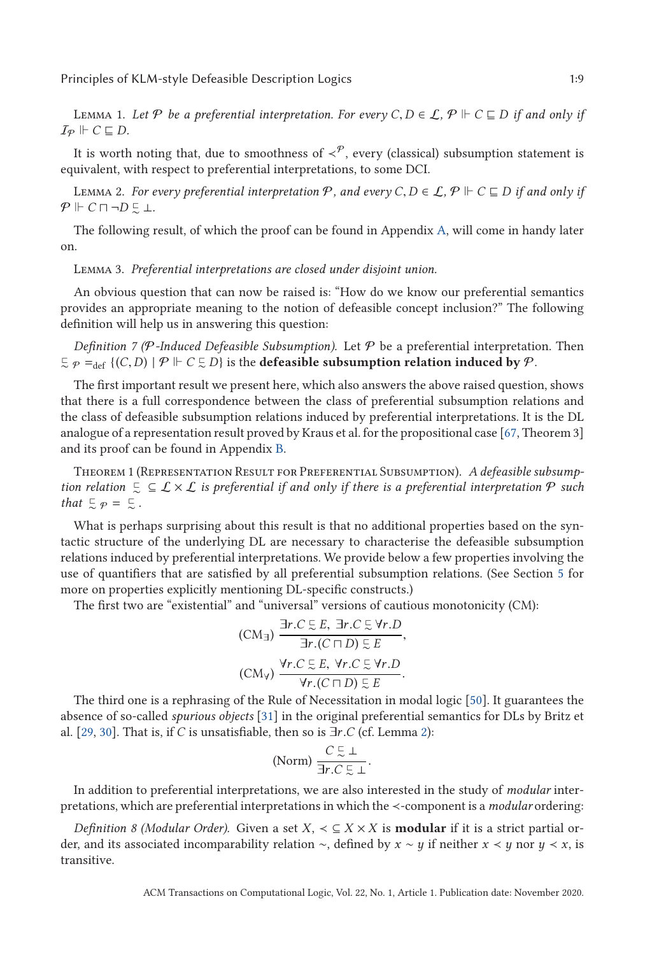<span id="page-8-0"></span>LEMMA 1. *Let*  $P$  *be a preferential interpretation. For every C*, *D* ∈ *L*,  $P$   $\Vdash$  *C* ⊑ *D if and only if*  $I_P \Vdash C \sqsubseteq D$ .

It is worth noting that, due to smoothness of  $\langle \varphi$ , every (classical) subsumption statement is equivalent, with respect to preferential interpretations, to some DCI.

LEMMA 2. *For every preferential interpretation*  $\mathcal{P}$ *, and every C*, *D* ∈ *L*,  $\mathcal{P}$   $\Vdash$  *C* ⊑ *D if and only if*  $\Vdash$  *C* □ ¬ *D* ∈ ⊥  $P \Vdash C \sqcap \neg D \subsetneq \bot.$ 

The following result, of which the proof can be found in Appendix [A,](#page-25-0) will come in handy later on.

Lemma 3. *Preferential interpretations are closed under disjoint union.*

An obvious question that can now be raised is: "How do we know our preferential semantics provides an appropriate meaning to the notion of defeasible concept inclusion?" The following definition will help us in answering this question:

*Definition 7 (P-Induced Defeasible Subsumption).* Let  $P$  be a preferential interpretation. Then  $\subseteq \varphi =_{\text{def}} \{(C, D) \mid \varphi \Vdash C \subseteq D\}$  is the **defeasible subsumption relation induced by**  $\varphi$ .

The first important result we present here, which also answers the above raised question, shows that there is a full correspondence between the class of preferential subsumption relations and the class of defeasible subsumption relations induced by preferential interpretations. It is the DL analogue of a representation result proved by Kraus et al. for the propositional case [\[67,](#page-45-0) Theorem 3] and its proof can be found in Appendix [B.](#page-26-0)

Theorem 1 (Representation Result for Preferential Subsumption). *A defeasible subsump*tion relation  $\subseteq \subseteq \mathcal{L} \times \mathcal{L}$  is preferential if and only if there is a preferential interpretation  $\mathcal{P}$  such *that*  $\subseteq \varphi = \subseteq$ .

What is perhaps surprising about this result is that no additional properties based on the syntactic structure of the underlying DL are necessary to characterise the defeasible subsumption relations induced by preferential interpretations. We provide below a few properties involving the use of quantifiers that are satisfied by all preferential subsumption relations. (See Section [5](#page-13-0) for more on properties explicitly mentioning DL-specific constructs.)

The first two are "existential" and "universal" versions of cautious monotonicity (CM):

(CM<sub>3</sub>) 
$$
\frac{\exists r.C \in E, \exists r.C \in \forall r.D}{\exists r.(C \sqcap D) \in E},
$$
  
(CM<sub>V</sub>) 
$$
\frac{\forall r.C \in E, \forall r.C \in \forall r.D}{\forall r.(C \sqcap D) \in E}.
$$

 $\forall r. (C \sqcap D) \subsetneq E$ <br>The third one is a rephrasing of the Rule of Necessitation in modal logic [\[50\]](#page-44-0). It guarantees the absence of so-called *spurious objects* [\[31\]](#page-43-0) in the original preferential semantics for DLs by Britz et al. [\[29,](#page-43-0) [30\]](#page-43-0). That is, if *<sup>C</sup>* is unsatisfiable, then so is <sup>∃</sup>*r*.*<sup>C</sup>* (cf. Lemma 2):

$$
\text{(Norm)}\,\frac{C\stackrel{\scriptstyle\sqsubset}{\scriptstyle\sim}\perp}{\exists r.C\stackrel{\scriptstyle\sqsubset}{\scriptstyle\sim}\perp}.
$$

י*ר* ∃*r..C* בּ ⊥<br>-In addition to preferential interpretations, we are also interested in the study of *modular* inter pretations, which are preferential interpretations in which the ≺-component is a *modular* ordering:

*Definition 8 (Modular Order).* Given a set *X*, ≺ ⊆ *X* × *X* is **modular** if it is a strict partial order, and its associated incomparability relation ∼, defined by *x* ∼ *y* if neither *x* ≺ *y* nor *y* ≺ *x*, is transitive.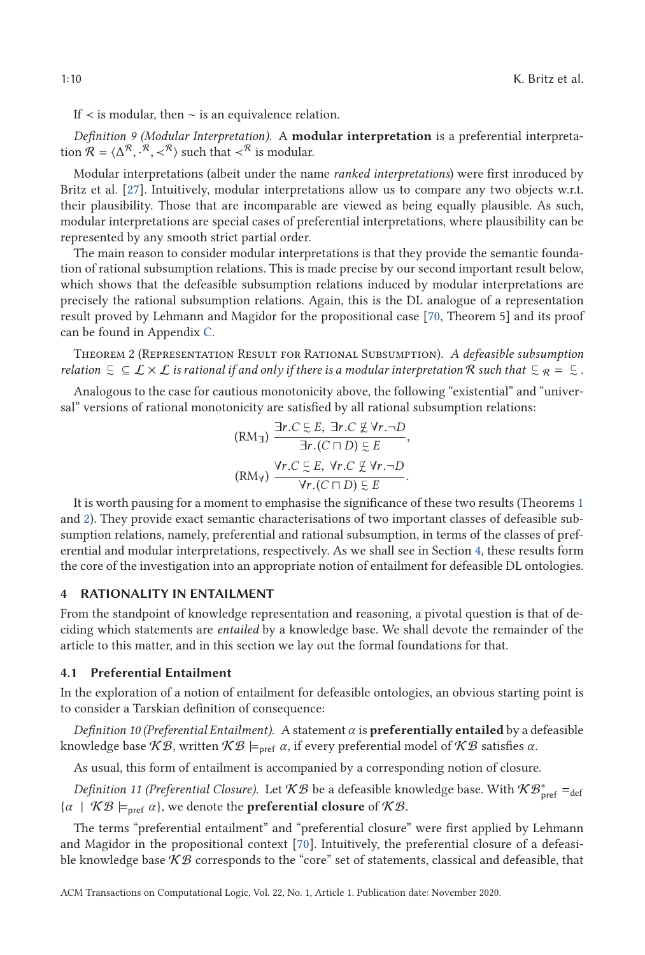<span id="page-9-0"></span>If ≺ is modular, then ∼ is an equivalence relation.

*Definition 9 (Modular Interpretation).* A **modular interpretation** is a preferential interpretation  $\mathcal{R} = \langle \Delta^{\mathcal{R}}, \cdot^{\mathcal{R}}, \prec^{\mathcal{R}} \rangle$  such that  $\prec^{\mathcal{R}}$  is modular.

Modular interpretations (albeit under the name *ranked interpretations*) were first inroduced by Britz et al. [\[27\]](#page-43-0). Intuitively, modular interpretations allow us to compare any two objects w.r.t. their plausibility. Those that are incomparable are viewed as being equally plausible. As such, modular interpretations are special cases of preferential interpretations, where plausibility can be represented by any smooth strict partial order.

The main reason to consider modular interpretations is that they provide the semantic foundation of rational subsumption relations. This is made precise by our second important result below, which shows that the defeasible subsumption relations induced by modular interpretations are precisely the rational subsumption relations. Again, this is the DL analogue of a representation result proved by Lehmann and Magidor for the propositional case [\[70,](#page-45-0) Theorem 5] and its proof can be found in Appendix [C.](#page-29-0)

Theorem 2 (Representation Result for Rational Subsumption). *A defeasible subsumption* relation  $\zeta \subseteq L \times L$  is rational if and only if there is a modular interpretation R such that  $\zeta_R = \zeta$  .

Analogous to the case for cautious monotonicity above, the following "existential" and "universal" versions of rational monotonicity are satisfied by all rational subsumption relations:

$$
\begin{aligned} \n\text{(RM}_{\exists}) \ \frac{\exists r.C \subseteq E, \ \exists r.C \not\subseteq \forall r.\neg D}{\exists r.(C \sqcap D) \subseteq E},\\ \n\text{(RM}_{\forall}) \ \frac{\forall r.C \subseteq E, \ \forall r.C \not\subseteq \forall r.\neg D}{\forall r.(C \sqcap D) \subseteq E}. \n\end{aligned}
$$

 $\forall r. (C \sqcap D) \in E$ <br>It is worth pausing for a moment to emphasise the significance of these two results (Theorems [1](#page-8-0) and 2). They provide exact semantic characterisations of two important classes of defeasible subsumption relations, namely, preferential and rational subsumption, in terms of the classes of preferential and modular interpretations, respectively. As we shall see in Section 4, these results form the core of the investigation into an appropriate notion of entailment for defeasible DL ontologies.

#### **4 RATIONALITY IN ENTAILMENT**

From the standpoint of knowledge representation and reasoning, a pivotal question is that of deciding which statements are *entailed* by a knowledge base. We shall devote the remainder of the article to this matter, and in this section we lay out the formal foundations for that.

### **4.1 Preferential Entailment**

In the exploration of a notion of entailment for defeasible ontologies, an obvious starting point is to consider a Tarskian definition of consequence:

*Definition 10 (Preferential Entailment).* A statement *α* is **preferentially entailed** by a defeasible knowledge base  $K\mathcal{B}$ , written  $K\mathcal{B} \models_{\text{pref}} \alpha$ , if every preferential model of  $K\mathcal{B}$  satisfies  $\alpha$ .

As usual, this form of entailment is accompanied by a corresponding notion of closure.

*Definition 11 (Preferential Closure).* Let  $KB$  be a defeasible knowledge base. With  $\mathcal{KB}_{\mathrm{pref}}^* =_{\mathrm{def}}$  $\{\alpha \mid \mathcal{KB} \models_{\text{pref}} \alpha\}$ , we denote the **preferential closure** of  $\mathcal{KB}$ .

The terms "preferential entailment" and "preferential closure" were first applied by Lehmann and Magidor in the propositional context [\[70\]](#page-45-0). Intuitively, the preferential closure of a defeasible knowledge base  $K\mathcal{B}$  corresponds to the "core" set of statements, classical and defeasible, that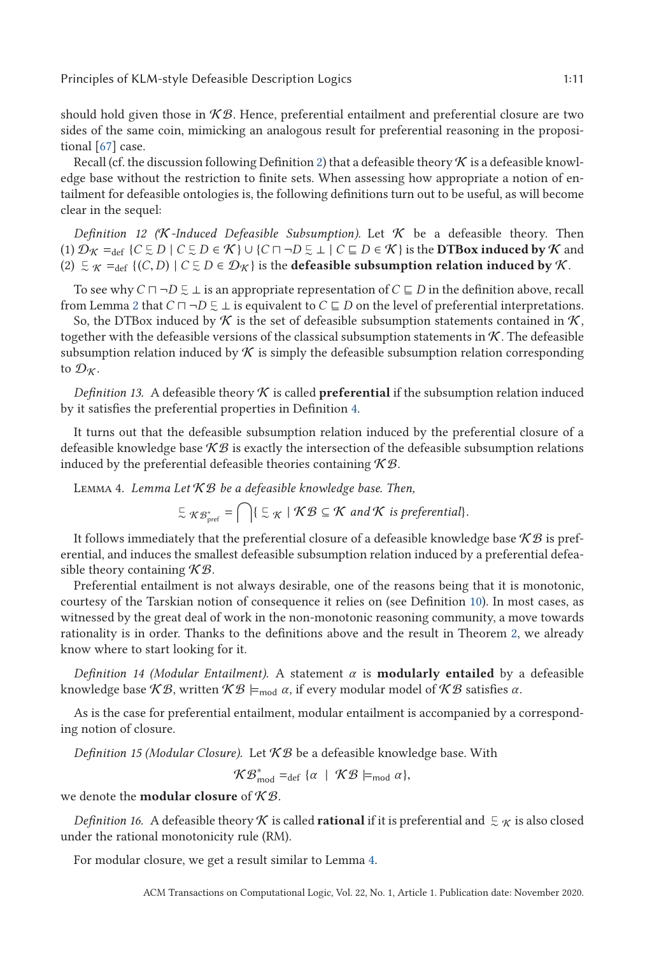<span id="page-10-0"></span>should hold given those in  $K\mathcal{B}$ . Hence, preferential entailment and preferential closure are two sides of the same coin, mimicking an analogous result for preferential reasoning in the propositional [\[67\]](#page-45-0) case.

Recall (cf. the discussion following Definition [2\)](#page-4-0) that a defeasible theory  $\mathcal K$  is a defeasible knowledge base without the restriction to finite sets. When assessing how appropriate a notion of entailment for defeasible ontologies is, the following definitions turn out to be useful, as will become clear in the sequel:

*Definition 12 (K-Induced Defeasible Subsumption).* Let  $K$  be a defeasible theory. Then (1)  $\mathcal{D}_{\mathcal{K}} =_{def}$  { $C \subsetneq D \mid C \subsetneq D \in \mathcal{K}$ } ∪ { $C \sqcap \neg D \subsetneq \bot \mid C \sqsubseteq D \in \mathcal{K}$ } is the **DTBox induced by**  $\mathcal{K}$  and (2)  $\subseteq$   $\kappa$  =<sub>def</sub> {(*C*,*D*) | *C*  $\subseteq$  *D* ∈  $\mathcal{D}_{\mathcal{K}}$ } is the **defeasible subsumption relation induced by**  $\mathcal{K}$ **.** 

To see why  $C \sqcap \neg D \subsetneq \bot$  is an appropriate representation of  $C \sqsubseteq D$  in the definition above, recall from Lemma [2](#page-8-0) that  $C \sqcap \neg D \subsetneq \bot$  is equivalent to  $C \sqsubseteq D$  on the level of preferential interpretations.

So, the DTBox induced by  $K$  is the set of defeasible subsumption statements contained in  $K$ , together with the defeasible versions of the classical subsumption statements in  $K$ . The defeasible subsumption relation induced by  $K$  is simply the defeasible subsumption relation corresponding to  $\mathcal{D}_{K}$ .

*Definition 13.* A defeasible theory  $K$  is called **preferential** if the subsumption relation induced by it satisfies the preferential properties in Definition [4.](#page-5-0)

It turns out that the defeasible subsumption relation induced by the preferential closure of a defeasible knowledge base  $K\mathcal{B}$  is exactly the intersection of the defeasible subsumption relations induced by the preferential defeasible theories containing  $K\mathcal{B}$ .

Lemma 4. *Lemma Let* K B *be a defeasible knowledge base. Then,*

$$
\subsetneq_{\mathcal{R}^*g_{\text{pref}}} = \bigcap \{ \subsetneq_{\mathcal{K}} \mid \mathcal{KB} \subseteq \mathcal{K} \text{ and } \mathcal{K} \text{ is preferential} \}.
$$

It follows immediately that the preferential closure of a defeasible knowledge base  $\mathcal{KB}$  is preferential, and induces the smallest defeasible subsumption relation induced by a preferential defeasible theory containing  $K\mathcal{B}$ .

Preferential entailment is not always desirable, one of the reasons being that it is monotonic, courtesy of the Tarskian notion of consequence it relies on (see Definition [10\)](#page-9-0). In most cases, as witnessed by the great deal of work in the non-monotonic reasoning community, a move towards rationality is in order. Thanks to the definitions above and the result in Theorem [2,](#page-9-0) we already know where to start looking for it.

*Definition 14 (Modular Entailment).* A statement *α* is **modularly entailed** by a defeasible knowledge base  $K\mathcal{B}$ , written  $K\mathcal{B} \models_{mod} \alpha$ , if every modular model of  $K\mathcal{B}$  satisfies  $\alpha$ .

As is the case for preferential entailment, modular entailment is accompanied by a corresponding notion of closure.

*Definition 15 (Modular Closure).* Let  $KB$  be a defeasible knowledge base. With

 $\mathcal{KB}_{\text{mod}}^* =_{\text{def}} \{\alpha \mid \mathcal{KB} \models_{\text{mod}} \alpha\},$ 

we denote the **modular closure** of K B.

*Definition 16.* A defeasible theory  $\cal K$  is called **rational** if it is preferential and  $\infty \cal K$  is also closed under the rational monotonicity rule (RM).

For modular closure, we get a result similar to Lemma 4.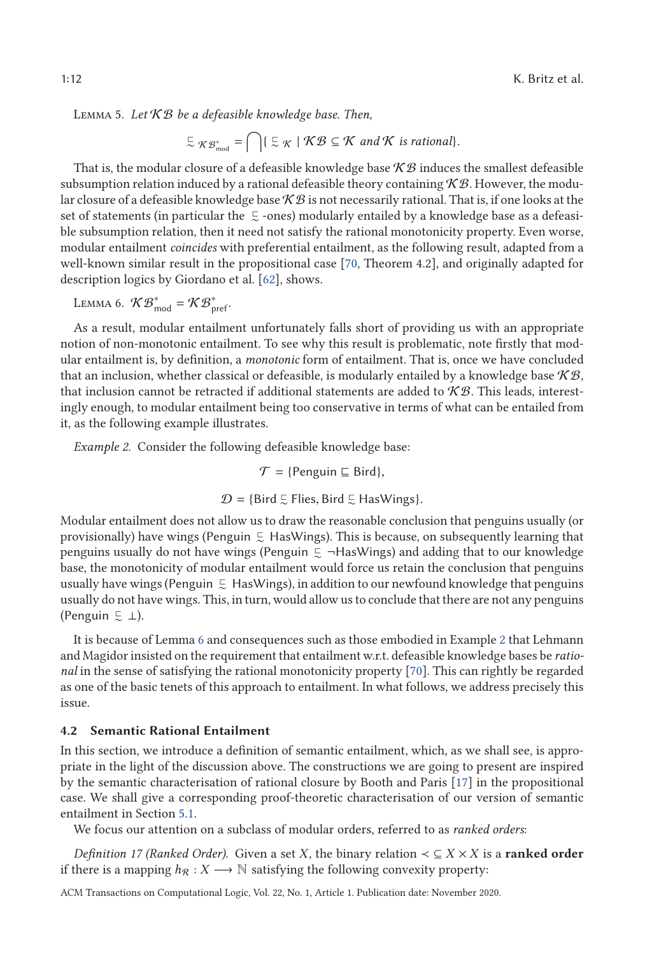<span id="page-11-0"></span>Lemma 5. *Let* K B *be a defeasible knowledge base. Then,*

$$
\subseteq \mathcal{KB}_{\text{mod}}^* = \bigcap \{ \subseteq \mathcal{K} \mid \mathcal{KB} \subseteq \mathcal{K} \text{ and } \mathcal{K} \text{ is rational} \}.
$$

That is, the modular closure of a defeasible knowledge base  $K\mathcal{B}$  induces the smallest defeasible subsumption relation induced by a rational defeasible theory containing  $\mathcal{KB}$ . However, the modular closure of a defeasible knowledge base  $K\mathcal{B}$  is not necessarily rational. That is, if one looks at the set of statements (in particular the  $\mathrel{\subsetneq}$  -ones) modularly entailed by a knowledge base as a defeasible subsumption relation, then it need not satisfy the rational monotonicity property. Even worse, modular entailment *coincides* with preferential entailment, as the following result, adapted from a well-known similar result in the propositional case [\[70,](#page-45-0) Theorem 4.2], and originally adapted for description logics by Giordano et al. [\[62\]](#page-44-0), shows.

LEMMA 6. 
$$
\mathcal{KB}_{\text{mod}}^* = \mathcal{KB}_{\text{pref}}^*
$$
.

As a result, modular entailment unfortunately falls short of providing us with an appropriate notion of non-monotonic entailment. To see why this result is problematic, note firstly that modular entailment is, by definition, a *monotonic* form of entailment. That is, once we have concluded that an inclusion, whether classical or defeasible, is modularly entailed by a knowledge base  $K\mathcal{B}$ , that inclusion cannot be retracted if additional statements are added to  $\mathcal{KB}$ . This leads, interestingly enough, to modular entailment being too conservative in terms of what can be entailed from it, as the following example illustrates.

*Example 2.* Consider the following defeasible knowledge base:

$$
\mathcal{T} = \{ \text{Penguin} \sqsubseteq \text{Bird} \},
$$

$$
\mathcal{D} = \{ \text{Bird } \subsetneq \text{Flies}, \text{Bird } \subsetneq \text{HasWings} \}.
$$

Modular entailment does not allow us to draw the reasonable conclusion that penguins usually (or provisionally) have wings (Penguin $\ \substack{<\\ \sim}\ \ }$  HasWings). This is because, on subsequently learning that penguins usually do not have wings (Penguin  $\frac{1}{\infty}$  ¬HasWings) and adding that to our knowledge base, the monotonicity of modular entailment would force us retain the conclusion that penguins usually have wings (Penguin  $\mathrel{\subsetneq}\,$  HasWings), in addition to our newfound knowledge that penguins usually do not have wings. This, in turn, would allow us to conclude that there are not any penguins (Penguin  $\in \bot$ ).

It is because of Lemma 6 and consequences such as those embodied in Example 2 that Lehmann and Magidor insisted on the requirement that entailment w.r.t. defeasible knowledge bases be *rational* in the sense of satisfying the rational monotonicity property [\[70\]](#page-45-0). This can rightly be regarded as one of the basic tenets of this approach to entailment. In what follows, we address precisely this issue.

#### **4.2 Semantic Rational Entailment**

In this section, we introduce a definition of semantic entailment, which, as we shall see, is appropriate in the light of the discussion above. The constructions we are going to present are inspired by the semantic characterisation of rational closure by Booth and Paris [\[17\]](#page-42-0) in the propositional case. We shall give a corresponding proof-theoretic characterisation of our version of semantic entailment in Section [5.1.](#page-14-0)

We focus our attention on a subclass of modular orders, referred to as *ranked orders*:

*Definition 17 (Ranked Order).* Given a set *X*, the binary relation  $\lt \subseteq X \times X$  is a **ranked order** if there is a mapping  $h_{\mathcal{R}} : X \longrightarrow \mathbb{N}$  satisfying the following convexity property: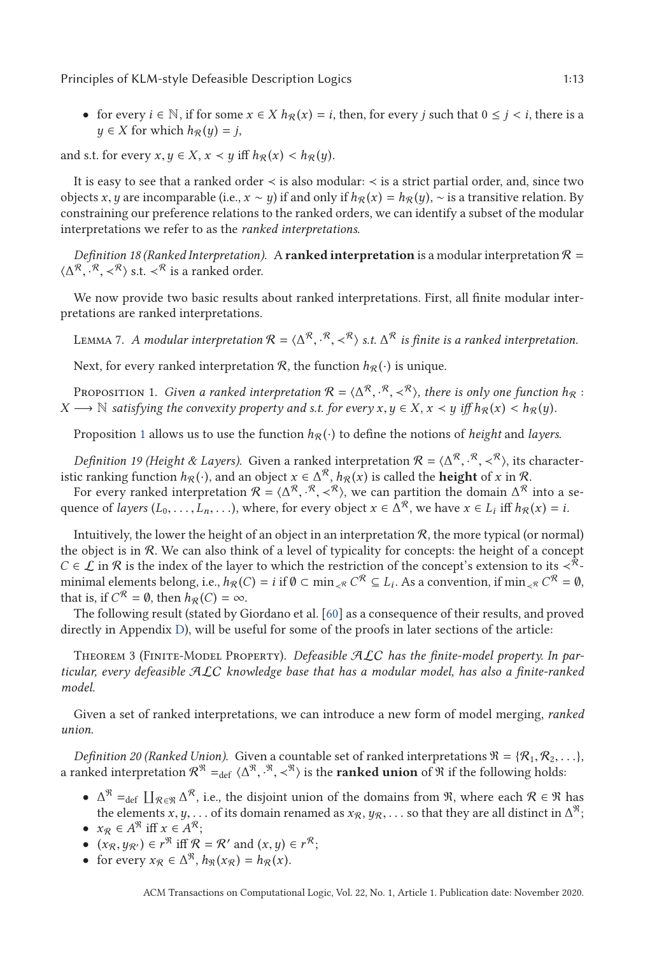<span id="page-12-0"></span>• for every  $i \in \mathbb{N}$ , if for some  $x \in X$   $h_R(x) = i$ , then, for every *j* such that  $0 \leq j \leq i$ , there is a  $y \in X$  for which  $h_R(y) = j$ ,

and s.t. for every  $x, y \in X$ ,  $x \prec y$  iff  $h_R(x) \prec h_R(y)$ .

It is easy to see that a ranked order ≺ is also modular: ≺ is a strict partial order, and, since two objects *x*, *y* are incomparable (i.e., *x* ∼ *y*) if and only if  $h_{\mathcal{R}}(x) = h_{\mathcal{R}}(y)$ , ∼ is a transitive relation. By constraining our preference relations to the ranked orders, we can identify a subset of the modular interpretations we refer to as the *ranked interpretations*.

*Definition 18 (Ranked Interpretation).* A **ranked interpretation** is a modular interpretation  $\mathcal{R} =$  $\langle \Delta^{\mathcal{R}}, \cdot^{\mathcal{R}}, \prec^{\mathcal{R}} \rangle$  s.t.  $\prec^{\mathcal{R}}$  is a ranked order.

We now provide two basic results about ranked interpretations. First, all finite modular interpretations are ranked interpretations.

LEMMA 7. A modular interpretation  $\mathcal{R} = \langle \Delta^{\mathcal{R}}, \cdot^{\mathcal{R}}, \prec^{\mathcal{R}} \rangle$  s.t.  $\Delta^{\mathcal{R}}$  is finite is a ranked interpretation.

Next, for every ranked interpretation  $\mathcal{R}$ , the function  $h_{\mathcal{R}}(\cdot)$  is unique.

PROPOSITION 1. *Given a ranked interpretation*  $\mathcal{R} = \langle \Delta^{\mathcal{R}}, \cdot^{\mathcal{R}}, \prec^{\mathcal{R}} \rangle$ , *there is only one function*  $h_{\mathcal{R}} :$ <br>  $\longrightarrow \mathbb{N}$  satisfying the convexity property and s t for every  $x, y \in X, x \leq y$  iff  $h_{\mathcal{R$  $X \rightarrow \mathbb{N}$  *satisfying the convexity property and s.t. for every*  $x, y \in X$ ,  $x \prec y$  *iff*  $h_R(x) \leq h_R(y)$ *.* 

Proposition 1 allows us to use the function  $h_R(\cdot)$  to define the notions of *height* and *layers*.

*Definition 19 (Height & Layers).* Given a ranked interpretation  $\mathcal{R} = \langle \Delta^{\mathcal{R}}, \cdot^{\mathcal{R}}, \times^{\mathcal{R}} \rangle$ , its character-<br>is ranking function  $h_{\mathcal{R}}(\cdot)$  and an object  $x \in \Delta^{\mathcal{R}}$ ,  $h_{\mathcal{R}}(x)$  is called the **beight** istic ranking function  $h_{\mathcal{R}}(\cdot)$ , and an object  $x \in \Delta^{\mathcal{R}}$ ,  $h_{\mathcal{R}}(x)$  is called the **height** of *x* in  $\mathcal{R}$ .

For every ranked interpretation  $\mathcal{R} = \langle \Delta^{\mathcal{R}}, \cdot^{\mathcal{R}}, \times^{\mathcal{R}} \rangle$ , we can partition the domain  $\Delta^{\mathcal{R}}$  into a se-<br>ence of layers  $(I_s \t I_s)$  where for every object  $x \in \Delta^{\mathcal{R}}$  we have  $x \in I_s$  iff  $h_{\mathcal{R}}(x) =$ quence of *layers*  $(L_0, \ldots, L_n, \ldots)$ , where, for every object  $x \in \Delta^R$ , we have  $x \in L_i$  iff  $h_R(x) = i$ .

Intuitively, the lower the height of an object in an interpretation  $R$ , the more typical (or normal) the object is in  $\mathcal{R}$ . We can also think of a level of typicality for concepts: the height of a concept *C* ∈  $\mathcal L$  in  $\mathcal R$  is the index of the layer to which the restriction of the concept's extension to its  $\langle \mathcal R_-\rangle$ minimal elements belong, i.e.,  $h_R(C) = i$  if  $\emptyset \subset \min_{\mathcal{R}} C^R \subseteq L_i$ . As a convention, if  $\min_{\mathcal{R}} C^R = \emptyset$ , that is, if  $C^R = \emptyset$ , then  $h_R(C) = \infty$ .

The following result (stated by Giordano et al. [\[60\]](#page-44-0) as a consequence of their results, and proved directly in Appendix [D\)](#page-31-0), will be useful for some of the proofs in later sections of the article:

Theorem 3 (Finite-Model Property). *Defeasible* ALC *has the finite-model property. In particular, every defeasible* ALC *knowledge base that has a modular model, has also a finite-ranked model.*

Given a set of ranked interpretations, we can introduce a new form of model merging, *ranked union*.

*Definition 20 (Ranked Union).* Given a countable set of ranked interpretations  $\mathcal{R} = \{R_1, R_2, \ldots\}$ , a ranked interpretation  $\mathcal{R}^{\mathfrak{R}} =_{\text{def}} \langle \Delta^{\mathfrak{R}}, \cdot^{\mathfrak{R}}, \prec^{\mathfrak{R}} \rangle$  is the **ranked union** of  $\mathfrak{R}$  if the following holds:

- $\Delta^{\mathfrak{R}} =_{def} \prod_{\mathcal{R} \in \mathfrak{R}} \Delta^{\mathcal{R}}$ , i.e., the disjoint union of the domains from  $\mathfrak{R}$ , where each  $\mathcal{R} \in \mathfrak{R}$  has the elements *x*, *y*,... of its domain renamed as  $x_R$ ,  $y_R$ ,... so that they are all distinct in  $\Delta^{\mathfrak{R}}$ ;
- $x_R \in A^{\mathcal{R}}$  iff  $x \in A^{\mathcal{R}}$ ;
- $(x_R, y_{R'}) \in r^{\mathfrak{R}}$  iff  $\mathcal{R} = \mathcal{R}'$  and  $(x, y) \in r^{\mathcal{R}}$ ;
- for every  $x_R \in \Delta^{\mathcal{R}}$ ,  $h_{\mathcal{R}}(x_R) = h_{\mathcal{R}}(x)$ .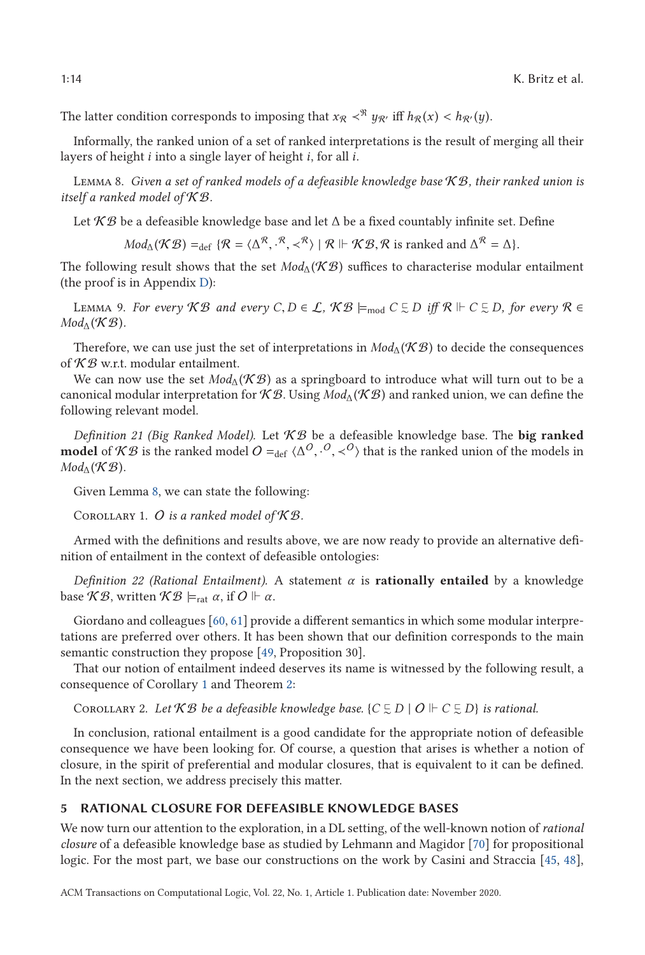<span id="page-13-0"></span>The latter condition corresponds to imposing that  $x_R <^R y_{R'}$  iff  $h_R(x) < h_{R'}(y)$ .

Informally, the ranked union of a set of ranked interpretations is the result of merging all their layers of height *i* into a single layer of height *i*, for all *i*.

Lemma 8. *Given a set of ranked models of a defeasible knowledge base* K B*, their ranked union is itself a ranked model of* K B*.*

Let  $K\mathcal{B}$  be a defeasible knowledge base and let  $\Delta$  be a fixed countably infinite set. Define

 $Mod_{\Delta}(\mathcal{KB}) =_{\text{def}} \{\mathcal{R} = \langle \Delta^{\mathcal{R}}, \cdot^{\mathcal{R}}, \prec^{\mathcal{R}} \rangle \mid \mathcal{R} \Vdash \mathcal{KB}, \mathcal{R} \text{ is ranked and } \Delta^{\mathcal{R}} = \Delta\}.$ 

The following result shows that the set  $Mod_{\Delta}(\mathcal{KB})$  suffices to characterise modular entailment (the proof is in Appendix [D\)](#page-31-0):

LEMMA 9. *For every*  $KB$  *and every*  $C, D \in \mathcal{L}$ ,  $KB \models_{\text{mod}} C \subsetneq D$  *iff*  $R \Vdash C \subsetneq D$ , *for every*  $R \in$ <br>cd, (K<sup>∞</sup>R)  $Mod_{\Delta}(\mathcal{KB})$ .

Therefore, we can use just the set of interpretations in  $Mod_{\Lambda}(\mathcal{KB})$  to decide the consequences of  $K\mathcal{B}$  w.r.t. modular entailment.

We can now use the set  $Mod_{\Lambda}(\mathcal{KB})$  as a springboard to introduce what will turn out to be a canonical modular interpretation for  $K\mathcal{B}$ . Using  $Mod_{\Lambda}(\mathcal{KB})$  and ranked union, we can define the following relevant model.

*Definition 21 (Big Ranked Model).* Let  $KB$  be a defeasible knowledge base. The **big ranked model** of K B is the ranked model  $O =_{\text{def}} \langle \Delta^O, \cdot^O, \prec^O \rangle$  that is the ranked union of the models in Mod, (K B)  $Mod_{\Delta}(\mathcal{KB})$ .

Given Lemma 8, we can state the following:

COROLLARY 1. O is a ranked model of  $K\mathcal{B}$ .

Armed with the definitions and results above, we are now ready to provide an alternative definition of entailment in the context of defeasible ontologies:

*Definition 22 (Rational Entailment).* A statement *α* is **rationally entailed** by a knowledge base  $KB$ , written  $KB \models_{rat} \alpha$ , if  $O \Vdash \alpha$ .

Giordano and colleagues [\[60,](#page-44-0) [61\]](#page-44-0) provide a different semantics in which some modular interpretations are preferred over others. It has been shown that our definition corresponds to the main semantic construction they propose [\[49,](#page-44-0) Proposition 30].

That our notion of entailment indeed deserves its name is witnessed by the following result, a consequence of Corollary 1 and Theorem [2:](#page-9-0)

COROLLARY 2. Let  $KB$  be a defeasible knowledge base. { $C \subsetneq D \mid O \Vdash C \subsetneq D$ } is rational.

In conclusion, rational entailment is a good candidate for the appropriate notion of defeasible consequence we have been looking for. Of course, a question that arises is whether a notion of closure, in the spirit of preferential and modular closures, that is equivalent to it can be defined. In the next section, we address precisely this matter.

## **5 RATIONAL CLOSURE FOR DEFEASIBLE KNOWLEDGE BASES**

We now turn our attention to the exploration, in a DL setting, of the well-known notion of *rational closure* of a defeasible knowledge base as studied by Lehmann and Magidor [\[70\]](#page-45-0) for propositional logic. For the most part, we base our constructions on the work by Casini and Straccia [\[45,](#page-44-0) [48\]](#page-44-0),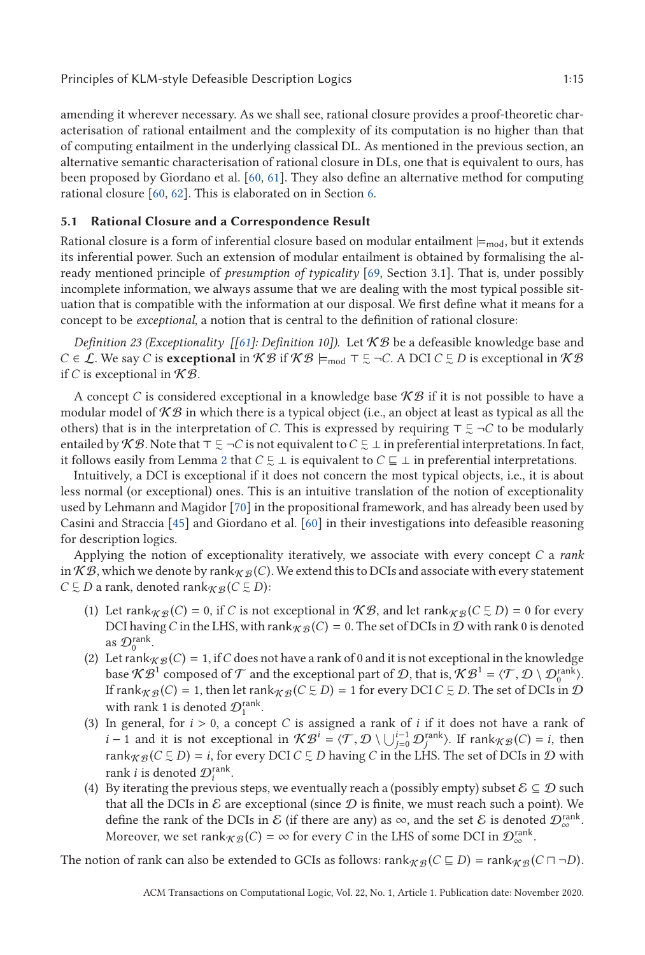<span id="page-14-0"></span>amending it wherever necessary. As we shall see, rational closure provides a proof-theoretic characterisation of rational entailment and the complexity of its computation is no higher than that of computing entailment in the underlying classical DL. As mentioned in the previous section, an alternative semantic characterisation of rational closure in DLs, one that is equivalent to ours, has been proposed by Giordano et al. [\[60,](#page-44-0) [61\]](#page-44-0). They also define an alternative method for computing

## **5.1 Rational Closure and a Correspondence Result**

rational closure [\[60,](#page-44-0) [62\]](#page-44-0). This is elaborated on in Section [6.](#page-22-0)

Rational closure is a form of inferential closure based on modular entailment  $\models_{mod}$ , but it extends its inferential power. Such an extension of modular entailment is obtained by formalising the already mentioned principle of *presumption of typicality* [\[69,](#page-45-0) Section 3.1]. That is, under possibly incomplete information, we always assume that we are dealing with the most typical possible situation that is compatible with the information at our disposal. We first define what it means for a concept to be *exceptional*, a notion that is central to the definition of rational closure:

*Definition 23 (Exceptionality [[\[61\]](#page-44-0): Definition 10]).* Let K B be a defeasible knowledge base and *C* ∈ *L*. We say *C* is **exceptional** in  $KB$  if  $KB \models_{mod} \top \subseteq \neg C$ . A DCI *C*  $\subseteq D$  is exceptional in  $KB$ if *C* is exceptional in  $K\mathcal{B}$ .

A concept *C* is considered exceptional in a knowledge base  $KB$  if it is not possible to have a modular model of  $\mathcal{KB}$  in which there is a typical object (i.e., an object at least as typical as all the others) that is in the interpretation of *C*. This is expressed by requiring  $\top \subsetneq \neg C$  to be modularly entailed by  $\mathcal{KB}.$  Note that  $\top \subsetneq \neg C$  is not equivalent to  $C \subsetneq \bot$  in preferential interpretations. In fact, it follows easily from Lemma [2](#page-8-0) that  $C \subsetneq \bot$  is equivalent to  $C \sqsubseteq \bot$  in preferential interpretations.

Intuitively, a DCI is exceptional if it does not concern the most typical objects, i.e., it is about less normal (or exceptional) ones. This is an intuitive translation of the notion of exceptionality used by Lehmann and Magidor [\[70\]](#page-45-0) in the propositional framework, and has already been used by Casini and Straccia [\[45\]](#page-44-0) and Giordano et al. [\[60\]](#page-44-0) in their investigations into defeasible reasoning for description logics.

Applying the notion of exceptionality iteratively, we associate with every concept *C* a *rank* in K B, which we denote by rank  $g \in C$ ). We extend this to DCIs and associate with every statement  $C \subsetneq D$  a rank, denoted rank<sub>*K*  $\mathcal{B}$ </sub> ( $C \subsetneq D$ ):

- (1) Let  $\text{rank}_{\mathcal{KB}}(C) = 0$ , if *C* is not exceptional in  $\mathcal{KB}$ , and let  $\text{rank}_{\mathcal{KB}}(C \subsetneq D) = 0$  for every DCI having *C* in the LHS, with rank  $g(G) = 0$ . The set of DCIs in  $D$  with rank 0 is denoted as  $\mathcal{D}_0^{\text{rank}}$ .
- (2) Let rank  $K \mathcal{B}(C) = 1$ , if *C* does not have a rank of 0 and it is not exceptional in the knowledge base  $\mathcal{KB}^1$  composed of  $\mathcal T$  and the exceptional part of  $\mathcal D$ , that is,  $\mathcal{KB}^1 = \langle \mathcal T, \mathcal D \setminus \mathcal D_0^{\text{rank}} \rangle$ .<br>If rankees  $(C) = 1$  then let rankees  $(C \in D) = 1$  for every DCI  $C \in D$ . The set of DCIs in  $\mathcal D$ If  $rank_{\mathcal{KB}}(C) = 1$ , then let  $rank_{\mathcal{KB}}(C \subsetneq D) = 1$  for every DCI  $C \subsetneq D$ . The set of DCIs in  $D$ with rank 1 is denoted  $\mathcal{D}_1^{\text{rank}}$ .
- (3) In general, for *<sup>i</sup>* > 0, a concept *<sup>C</sup>* is assigned a rank of *<sup>i</sup>* if it does not have a rank of *i* − 1 and it is not exceptional in  $\mathcal{KB}^i = \langle \mathcal{T}, \mathcal{D} \setminus \bigcup_{j=0}^{i-1} \mathcal{D}_j^{\text{rank}} \rangle$ . If  $\text{rank}_{\mathcal{KB}}(C) = i$ , then  $\text{rank}_{\mathcal{BB}}(C \subseteq D) - i$  for every DCICE D begins C in the LHS. The set of DCIs in  $\mathcal{D}$  with rank $\chi_{\mathcal{B}}(C \subsetneq D) = i$ , for every DCI  $C \subsetneq D$  having *C* in the LHS. The set of DCIs in  $\mathcal{D}$  with rank *i* is denoted  $\mathcal{D}_i^{\text{rank}}$ .
- (4) By iterating the previous steps, we eventually reach a (possibly empty) subset  $\mathcal{E} \subseteq \mathcal{D}$  such that all the DCIs in  $\mathcal E$  are exceptional (since  $\mathcal D$  is finite, we must reach such a point). We define the rank of the DCIs in  $\mathcal E$  (if there are any) as  $\infty$ , and the set  $\mathcal E$  is denoted  $\mathcal D_\infty^{\mathrm{rank}}.$ Moreover, we set rank $_{\mathcal{KB}}(C) = \infty$  for every *C* in the LHS of some DCI in  $\mathcal{D}_{\infty}^{\text{rank}}$ .

The notion of rank can also be extended to GCIs as follows:  $rank_{\mathcal{KB}}(C \sqsubseteq D) = rank_{\mathcal{KB}}(C \sqcap \neg D)$ .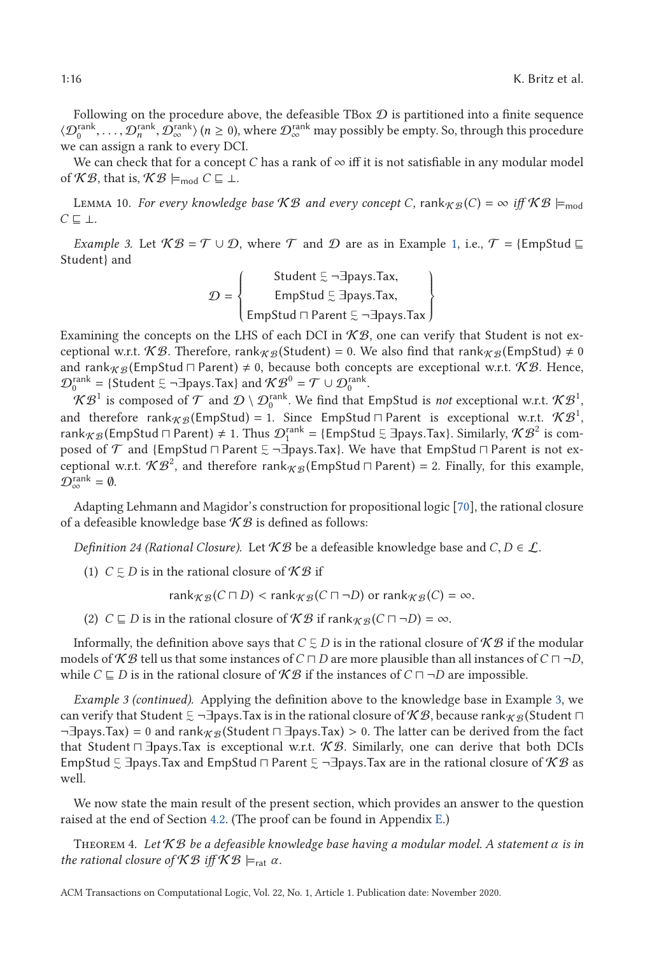<span id="page-15-0"></span>Following on the procedure above, the defeasible TBox  $D$  is partitioned into a finite sequence  $\langle \mathcal{D}_0^{\text{rank}}, \dots, \mathcal{D}_n^{\text{rank}}, \mathcal{D}_\infty^{\text{rank}} \rangle$  ( $n \ge 0$ ), where  $\mathcal{D}_\infty^{\text{rank}}$  may possibly be empty. So, through this procedure we can assign a rank to every DCI.

We can check that for a concept *C* has a rank of  $\infty$  iff it is not satisfiable in any modular model of  $\mathcal{KB}$ , that is,  $\mathcal{KB} \models_{\text{mod}} C \sqsubseteq \bot$ .

LEMMA 10. *For every knowledge base*  $KB$  *and every concept C*, rank $_{KB}$  (*C*) =  $\infty$  *iff*  $KB \models_{\text{mod}}$ *C* ⊥*.*

*Example 3.* Let  $\mathcal{KB} = \mathcal{T} \cup \mathcal{D}$ , where  $\mathcal{T}$  and  $\mathcal{D}$  are as in Example [1,](#page-5-0) i.e.,  $\mathcal{T} = \{EmpStud \sqsubseteq$ Student} and

$$
\mathcal{D} = \left\{ \begin{array}{c} \text{Student } \Xi \neg \exists \text{pays}.\text{Tax,} \\ \text{EmpStud } \Xi \exists \text{pays}.\text{Tax,} \\ \text{EmpStud } \sqcap \text{Parent } \Xi \neg \exists \text{pays}.\text{Tax} \end{array} \right\}
$$

LappStud ⊓ Parent  $\in$  ¬∃pays.Tax J<br>Examining the concepts on the LHS of each DCI in  $\mathcal{KB},$  one can verify that Student is not exceptional w.r.t. KB. Therefore, rank $_{K\mathcal{B}}$ (Student) = 0. We also find that rank $_{K\mathcal{B}}$ (EmpStud)  $\neq$  0 and rank $_{\mathcal{KB}}$ (EmpStud  $\sqcap$  Parent)  $\neq$  0, because both concepts are exceptional w.r.t.  $\mathcal{KB}.$  Hence,  $\mathcal{D}_0^{\text{rank}} = \{ \text{Student } \in \neg \exists \text{pays}.\text{Tax} \} \text{ and } \mathcal{KB}^0 = \mathcal{T} \cup \mathcal{D}_0^{\text{rank}} \}$ 

 $KB^1$  is composed of  $\mathcal T$  and  $\mathcal D \setminus \mathcal D_0^{\text{rank}}.$  We find that EmpStud is *not* exceptional w.r.t.  $\mathcal{KB}^1$ , and therefore rank $_{\mathcal{KB}}$ (EmpStud) = 1. Since EmpStud  $\sqcap$  Parent is exceptional w.r.t.  $\mathcal{KB}^1,$ rank  $\chi_B$  (EmpStud  $\sqcap$  Parent)  $\neq 1$ . Thus  $\mathcal{D}_1^{\text{rank}} = \{\text{EmpStud }\subsetneq \exists$  pays. Tax}. Similarly,  $\mathcal{KB}^2$  is com-<br>posed of  $\mathcal T$  and  $\{\text{EmpStud }\sqcap \text{Parent }\subsetneq \exists$  pays  $\text{Text }\mathbb N$  have that  $\text{EmpStud }\sqcap$  Parent is not exposed of T and {EmpStud - Parent - <sup>∼</sup> ¬∃pays.Tax}. We have that EmpStud - Parent is not exceptional w.r.t.  $\mathcal{KB}^2$ , and therefore rank $_{\mathcal{KB}}$ (EmpStud  $\sqcap$  Parent) = 2. Finally, for this example,  $\mathcal{D}_{\infty}^{\text{rank}} = \emptyset.$ 

Adapting Lehmann and Magidor's construction for propositional logic [\[70\]](#page-45-0), the rational closure of a defeasible knowledge base  $KB$  is defined as follows:

*Definition 24 (Rational Closure).* Let  $KB$  be a defeasible knowledge base and  $C, D \in \mathcal{L}$ .

(1)  $C \subsetneq D$  is in the rational closure of  $\mathcal{KB}$  if

rank $_{\mathcal{KB}}(C \sqcap D) < \text{rank}_{\mathcal{KB}}(C \sqcap \neg D)$  or  $\text{rank}_{\mathcal{KB}}(C) = \infty$ .

(2)  $C \sqsubseteq D$  is in the rational closure of  $\mathcal{KB}$  if rank $_{\mathcal{KB}}(C \sqcap \neg D) = \infty$ .

Informally, the definition above says that  $C\subsetneq D$  is in the rational closure of  $\mathcal{KB}$  if the modular models of  $KB$  tell us that some instances of  $C \sqcap D$  are more plausible than all instances of  $C \sqcap \neg D$ , while  $C \sqsubseteq D$  is in the rational closure of  $\mathcal{KB}$  if the instances of  $C \sqcap \neg D$  are impossible.

*Example 3 (continued).* Applying the definition above to the knowledge base in Example 3, we can verify that Student  $\Xi$  ¬∃pays.Tax is in the rational closure of  $\mathcal{KB}$ , because rank<sub>K B</sub> (Student  $\Box$ <br>¬∃pays Tax) − 0 and rank co (Student  $\Box$  ∃pays Tax) > 0. The latter can be derived from the fact ¬∃pays.Tax) = 0 and rank<sub>K B</sub> (Student  $\Box$  ∃pays.Tax) > 0. The latter can be derived from the fact that  $\Box$  Thaws Tax is exceptional wrt. K B Similarly, one can derive that hoth DCIs that Student  $\Box$  ∃pays.Tax is exceptional w.r.t. K B. Similarly, one can derive that both DCIs<br>EmpStud E ∃pays Tax and EmpStud ⊡ Parent E  $\Box$ Jpays Tax are in the rational closure of K B as EmpStud  $\lesssim$  ∃pays.Tax and EmpStud  $\sqcap$  Parent  $\lesssim$  ¬∃pays.Tax are in the rational closure of  $\mathcal{KB}$  as well well.

We now state the main result of the present section, which provides an answer to the question raised at the end of Section [4.2.](#page-11-0) (The proof can be found in Appendix [E.](#page-34-0))

Theorem 4. *Let* K B *be a defeasible knowledge base having a modular model. A statement α is in the rational closure of*  $KB$  *iff*  $KB \models_{rat} \alpha$ .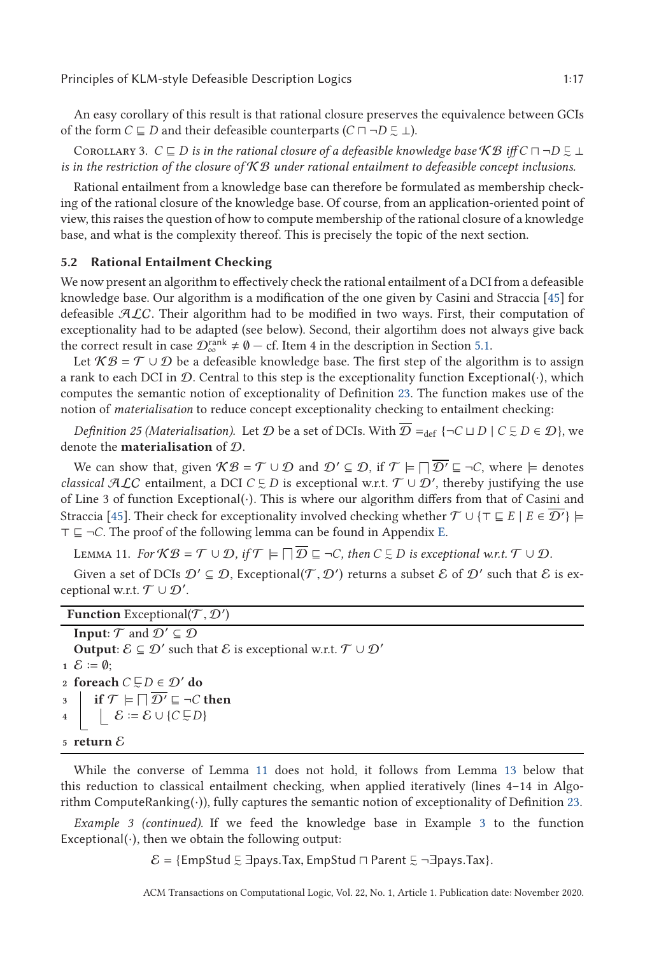<span id="page-16-0"></span>An easy corollary of this result is that rational closure preserves the equivalence between GCIs of the form *C*  $\sqsubseteq$  *D* and their defeasible counterparts (*C*  $\sqcap \neg D \subsetneq \bot$ ).

COROLLARY 3.  $C \sqsubseteq D$  is in the rational closure of a defeasible knowledge base  $\mathcal{KB}$  iff  $C \sqcap \neg D \subsetneq \bot$ *is in the restriction of the closure of*  $KB$  *under rational entailment to defeasible concept inclusions.* 

Rational entailment from a knowledge base can therefore be formulated as membership checking of the rational closure of the knowledge base. Of course, from an application-oriented point of view, this raises the question of how to compute membership of the rational closure of a knowledge base, and what is the complexity thereof. This is precisely the topic of the next section.

#### **5.2 Rational Entailment Checking**

We now present an algorithm to effectively check the rational entailment of a DCI from a defeasible knowledge base. Our algorithm is a modification of the one given by Casini and Straccia [\[45\]](#page-44-0) for defeasible  $ALC$ . Their algorithm had to be modified in two ways. First, their computation of exceptionality had to be adapted (see below). Second, their algortihm does not always give back the correct result in case  $\mathcal{D}_{\infty}^{\text{rank}} \neq \emptyset - \text{cf.}$  Item 4 in the description in Section [5.1.](#page-14-0)

Let  $KB = \mathcal{T} \cup \mathcal{D}$  be a defeasible knowledge base. The first step of the algorithm is to assign a rank to each DCI in  $\mathcal D$ . Central to this step is the exceptionality function Exceptional( $\cdot$ ), which computes the semantic notion of exceptionality of Definition [23.](#page-14-0) The function makes use of the notion of *materialisation* to reduce concept exceptionality checking to entailment checking:

*Definition 25 (Materialisation).* Let  $D$  be a set of DCIs. With  $D =_{def} \{\neg C \sqcup D \mid C \subsetneq D \in D\}$ , we denote the **materialisation** of D.

We can show that, given  $\mathcal{KB} = \mathcal{T} \cup \mathcal{D}$  and  $\mathcal{D}' \subseteq \mathcal{D}$ , if  $\mathcal{T} \models \Box \overline{\mathcal{D}'} \sqsubseteq \neg C$ , where  $\models$  denotes *classical*  $\mathcal{ALC}$  entailment, a DCI  $C \subsetneq D$  is exceptional w.r.t.  $\mathcal{T} \cup \mathcal{D}'$ , thereby justifying the use of Line 3 of function Exceptional(·). This is where our algorithm differs from that of Casini and Straccia [\[45\]](#page-44-0). Their check for exceptionality involved checking whether  $\mathcal{T} \cup {\{\top \sqsubseteq E \mid E \in \overline{\mathcal{D}'}\}}$  $\top \sqsubseteq \neg C$ . The proof of the following lemma can be found in Appendix [E.](#page-34-0)

LEMMA 11. For  $KB = T \cup D$ , if  $T \models \Box D \sqsubseteq \neg C$ , then  $C \subsetneq D$  is exceptional w.r.t.  $T \cup D$ .

Given a set of DCIs  $\mathcal{D}' \subseteq \mathcal{D}$ , Exceptional $(\mathcal{T}, \mathcal{D}')$  returns a subset  $\mathcal E$  of  $\mathcal{D}'$  such that  $\mathcal E$  is extendional weat  $\mathcal{T} \cup \mathcal{D}'$ ceptional w.r.t.  $\mathcal{T} \cup \mathcal{D}'$ .

| <b>Function</b> Exceptional( $\mathcal{T}, \mathcal{D}'$ )                                                                                                           |
|----------------------------------------------------------------------------------------------------------------------------------------------------------------------|
| <b>Input:</b> $\mathcal{T}$ and $\mathcal{D}' \subseteq \mathcal{D}$                                                                                                 |
| <b>Output:</b> $\mathcal{E} \subseteq \mathcal{D}'$ such that $\mathcal{E}$ is exceptional w.r.t. $\mathcal{T} \cup \mathcal{D}'$                                    |
| $1 \mathcal{E} \coloneqq \emptyset$ :                                                                                                                                |
| 2 foreach $C \subsetneq D \in \mathcal{D}'$ do                                                                                                                       |
|                                                                                                                                                                      |
| 3<br>$\downarrow$ if $\mathcal{T} \models \Box \overline{\mathcal{D}'} \sqsubseteq \neg C$ then<br>$\downarrow$ $\mathcal{E} := \mathcal{E} \cup \{C \subsetneq D\}$ |
| 5 return ${\cal E}$                                                                                                                                                  |

While the converse of Lemma 11 does not hold, it follows from Lemma [13](#page-21-0) below that this reduction to classical entailment checking, when applied iteratively (lines 4–14 in Algorithm ComputeRanking(·)), fully captures the semantic notion of exceptionality of Definition [23.](#page-14-0)

*Example 3 (continued).* If we feed the knowledge base in Example [3](#page-15-0) to the function Exceptional $(\cdot)$ , then we obtain the following output:

 $\mathcal{E} =$  {EmpStud  $\Xi$  ∃pays.Tax, EmpStud  $\Box$  Parent  $\Xi$  ¬∃pays.Tax}.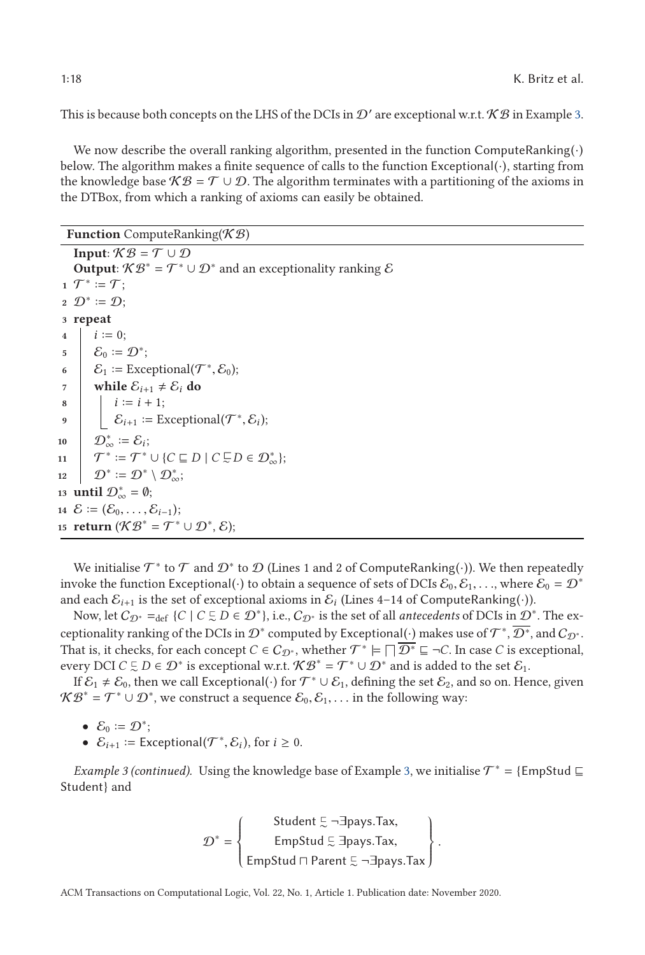This is because both concepts on the LHS of the DCIs in  $\mathcal{D}'$  are exceptional w.r.t.  $\mathcal{KB}$  in Example [3.](#page-15-0)

We now describe the overall ranking algorithm, presented in the function ComputeRanking $(\cdot)$ below. The algorithm makes a finite sequence of calls to the function Exceptional(·), starting from the knowledge base  $K\mathcal{B} = \mathcal{T} \cup \mathcal{D}$ . The algorithm terminates with a partitioning of the axioms in the DTBox, from which a ranking of axioms can easily be obtained.

**Function** ComputeRanking(KB)

```
Input: K\mathcal{B} = \mathcal{T} \cup \mathcal{D}Output: \mathcal{KB}^* = \mathcal{T}^* \cup \mathcal{D}^* and an exceptionality ranking \mathcal E\mathbf{1} \mathcal{T}^* \coloneqq \mathcal{T};2 \mathcal{D}^* \coloneqq \mathcal{D};
 3 repeat
 i \coloneqq 0;5 \mathcal{E}_0 := \mathcal{D}^*;
 6 \mathcal{E}_1 := \text{Exceptional}(\mathcal{T}^*, \mathcal{E}_0);<br>
while \mathcal{E}_{i+1} \neq \mathcal{E}_i do
  7 | while \mathcal{E}_{i+1} \neq \mathcal{E}_i do
  8 i := i + 1;9 \left\{\begin{array}{l}\mathcal{E}_{i+1} := \text{Exceptional}(\mathcal{T}^*, \mathcal{E}_i);\\ \mathcal{D}_{\infty}^* := \mathcal{E}_i; \end{array}\right.10 \mathcal{D}_{\infty}^* := \mathcal{E}_i;11 \mathcal{T}^* \coloneqq \mathcal{T}^* \cup \{ C \sqsubseteq D \mid C \sqsubseteq D \in \mathcal{D}_{\infty}^* \};\mathbf{12} \quad | \quad \mathcal{D}^* \coloneqq \mathcal{D}^* \setminus \mathcal{D}^*_\infty;13 until \mathcal{D}_{\infty}^* = \emptyset;
14 \mathcal{E} := (\mathcal{E}_0, ..., \mathcal{E}_{i-1});
15 return (\mathcal{KB}^* = \mathcal{T}^* \cup \mathcal{D}^*, \mathcal{E});
```
We initialise  $\mathcal{T}^*$  to  $\mathcal T$  and  $\mathcal D^*$  to  $\mathcal D$  (Lines 1 and 2 of ComputeRanking(·)). We then repeatedly invoke the function Exceptional(·) to obtain a sequence of sets of DCIs  $\mathcal{E}_0, \mathcal{E}_1, \ldots$ , where  $\mathcal{E}_0 = \mathcal{D}^*$ and each  $\mathcal{E}_{i+1}$  is the set of exceptional axioms in  $\mathcal{E}_i$  (Lines 4–14 of ComputeRanking(·)).

Now, let  $C_{\mathcal{D}^*} =_{def} \{C \mid C \subsetneq D \in \mathcal{D}^*\}$ , i.e.,  $C_{\mathcal{D}^*}$  is the set of all *antecedents* of DCIs in  $\mathcal{D}^*$ . The exceptionality ranking of the DCIs in  $\mathcal{D}^*$  computed by Exceptional( $\cdot$ ) makes use of  $\mathcal{T}^*, \overline{\mathcal{D}^*}$ , and  $\mathcal{C}_{\mathcal{D}^*}$ . That is, it checks, for each concept  $C\in C_{\mathcal{D}^*}$ , whether  $\mathcal{T}^*\models \Box\overline{\mathcal{D}^*}\sqsubseteq \neg C.$  In case  $C$  is exceptional, every DCI  $C \subsetneq D \in \mathcal{D}^*$  is exceptional w.r.t.  $\mathcal{KB}^* = \mathcal{T}^* \cup \mathcal{D}^*$  and is added to the set  $\mathcal{E}_1$ .

If  $\mathcal{E}_1 \neq \mathcal{E}_0$ , then we call Exceptional( $\cdot$ ) for  $\mathcal{T}^* \cup \mathcal{E}_1$ , defining the set  $\mathcal{E}_2$ , and so on. Hence, given  $\mathcal{KB}^* = \mathcal{T}^* \cup \mathcal{D}^*$ , we construct a sequence  $\mathcal{E}_0, \mathcal{E}_1, \ldots$  in the following way:

- $\mathcal{E}_0 \coloneqq \mathcal{D}^*$ ;
- $\mathcal{E}_{i+1}$  := Exceptional( $\mathcal{T}^*, \mathcal{E}_i$ ), for  $i \geq 0$ .

*Example 3 (continued).* Using the knowledge base of Example [3,](#page-15-0) we initialise  $\mathcal{T}^* = \{EmpStud \sqsubseteq$ Student} and

$$
\mathcal{D}^* = \left\{\begin{matrix} \text{Student } \Xi \neg \exists \text{pays}.\text{Tax}, \\ \text{EmpStud } \Xi \exists \text{pays}.\text{Tax}, \\ \text{EmpStud } \sqcap \text{Parent } \Xi \neg \exists \text{pays}.\text{Tax} \end{matrix}\right\}.
$$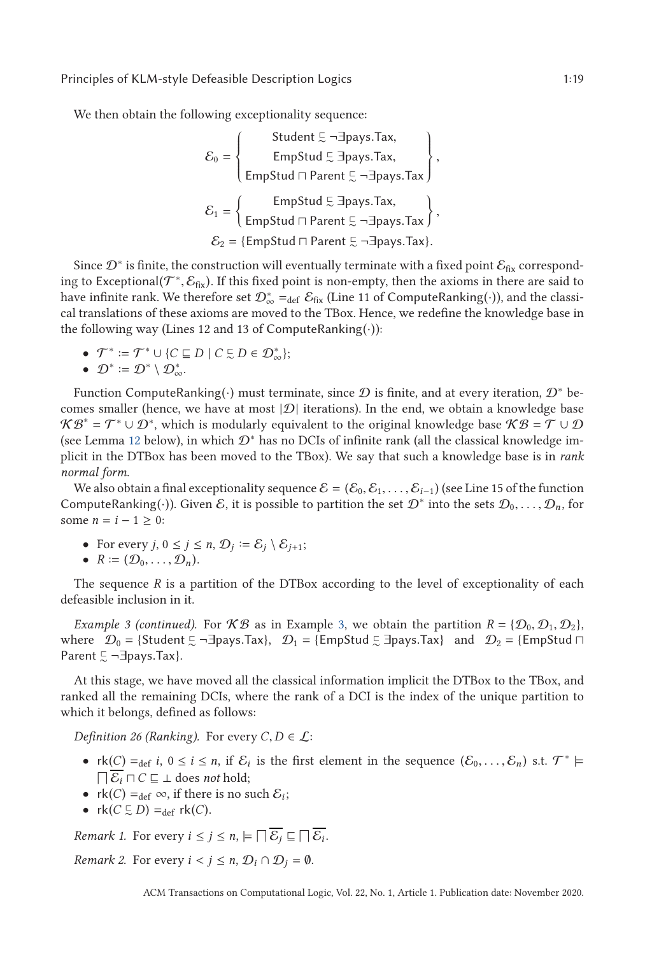<span id="page-18-0"></span>We then obtain the following exceptionality sequence:

$$
\mathcal{E}_0 = \left\{ \begin{array}{c} \text{Student } \Xi \neg \exists \text{pays}.\text{Tax,} \\ \text{EmpStud } \Xi \exists \text{pays}.\text{Tax,} \\ \text{EmpStud } \sqcap \text{Parent } \Xi \neg \exists \text{pays}.\text{Tax} \end{array} \right\},
$$
\n
$$
\mathcal{E}_1 = \left\{ \begin{array}{c} \text{EmpStud } \Xi \exists \text{pays}.\text{Tax,} \\ \text{EmpStud } \sqcap \text{Parent } \Xi \neg \exists \text{pays}.\text{Tax} \end{array} \right\},
$$
\n
$$
\mathcal{E}_2 = \{ \text{EmpStud } \sqcap \text{Parent } \Xi \neg \exists \text{pays}.\text{Tax} \}.
$$

Since  $\mathcal{D}^*$  is finite, the construction will eventually terminate with a fixed point  $\mathcal{E}_{fix}$  corresponding to Exceptional( $\mathcal{T}^*, \mathcal{E}_{fix}$ ). If this fixed point is non-empty, then the axioms in there are said to have infinite rank. We therefore set  $\mathcal{D}^*_{\infty} =_{\text{def}} \mathcal{E}_{fix}$  (Line 11 of ComputeRanking( $\cdot$ )), and the classical translations of these axioms are moved to the TBox. Hence, we redefine the knowledge base in the following way (Lines 12 and 13 of ComputeRanking $(\cdot)$ ):

•  $\mathcal{T}^* := \mathcal{T}^* \cup \{ C \sqsubseteq D \mid C \subsetneq D \in \mathcal{D}_{\infty}^* \};$ 

$$
\bullet\ \ \mathcal{D}^*\coloneqq\mathcal{D}^*\setminus\mathcal{D}_{\infty}^*.
$$

Function ComputeRanking(·) must terminate, since  $D$  is finite, and at every iteration,  $D^*$  becomes smaller (hence, we have at most  $|\mathcal{D}|$  iterations). In the end, we obtain a knowledge base  $\mathcal{KB}^* = \mathcal{T}^* \cup \mathcal{D}^*$ , which is modularly equivalent to the original knowledge base  $\mathcal{KB} = \mathcal{T} \cup \mathcal{D}$ (see Lemma [12](#page-21-0) below), in which D<sup>∗</sup> has no DCIs of infinite rank (all the classical knowledge implicit in the DTBox has been moved to the TBox). We say that such a knowledge base is in *rank normal form*.

We also obtain a final exceptionality sequence  $\mathcal{E} = (\mathcal{E}_0, \mathcal{E}_1, \ldots, \mathcal{E}_{i-1})$  (see Line 15 of the function ComputeRanking(·)). Given E, it is possible to partition the set  $\mathcal{D}^*$  into the sets  $\mathcal{D}_0,\ldots,\mathcal{D}_n$ , for some *n* =  $i - 1 ≥ 0$ :

- For every  $j, 0 \le j \le n$ ,  $\mathcal{D}_j := \mathcal{E}_j \setminus \mathcal{E}_{j+1};$
- $R := (\mathcal{D}_0, \ldots, \mathcal{D}_n).$

The sequence *R* is a partition of the DTBox according to the level of exceptionality of each defeasible inclusion in it.

*Example 3 (continued).* For  $\mathcal{KB}$  as in Example [3,](#page-15-0) we obtain the partition  $R = \{D_0, D_1, D_2\}$ , where  $\mathcal{D}_0$  = {Student  $\subseteq$  ¬ $\exists$ pays.Tax},  $\mathcal{D}_1$  = {EmpStud  $\subseteq$   $\exists$ pays.Tax} and  $\mathcal{D}_2$  = {EmpStud  $\sqcap$ Parent  $\subseteq \neg \exists$ pays.Tax}.

At this stage, we have moved all the classical information implicit the DTBox to the TBox, and ranked all the remaining DCIs, where the rank of a DCI is the index of the unique partition to which it belongs, defined as follows:

*Definition 26 (Ranking).* For every  $C, D \in \mathcal{L}$ :

- $rk(C) = \text{def } i, 0 \leq i \leq n$ , if  $\mathcal{E}_i$  is the first element in the sequence  $(\mathcal{E}_0, \ldots, \mathcal{E}_n)$  s.t.  $\mathcal{T}^* \models$  $\Box \mathcal{E}_i \sqcap C \sqsubseteq \bot$  does *not* hold;
- $rk(C) =_{def} \infty$ , if there is no such  $\mathcal{E}_i$ ;
- $rk(C \subsetneq D) =_{def} rk(C).$

*Remark 1.* For every  $i \leq j \leq n$ ,  $\models \bigcap \mathcal{E}_j \sqsubseteq \bigcap \mathcal{E}_i$ .

*Remark 2.* For every  $i < j \le n$ ,  $\mathcal{D}_i \cap \mathcal{D}_j = \emptyset$ .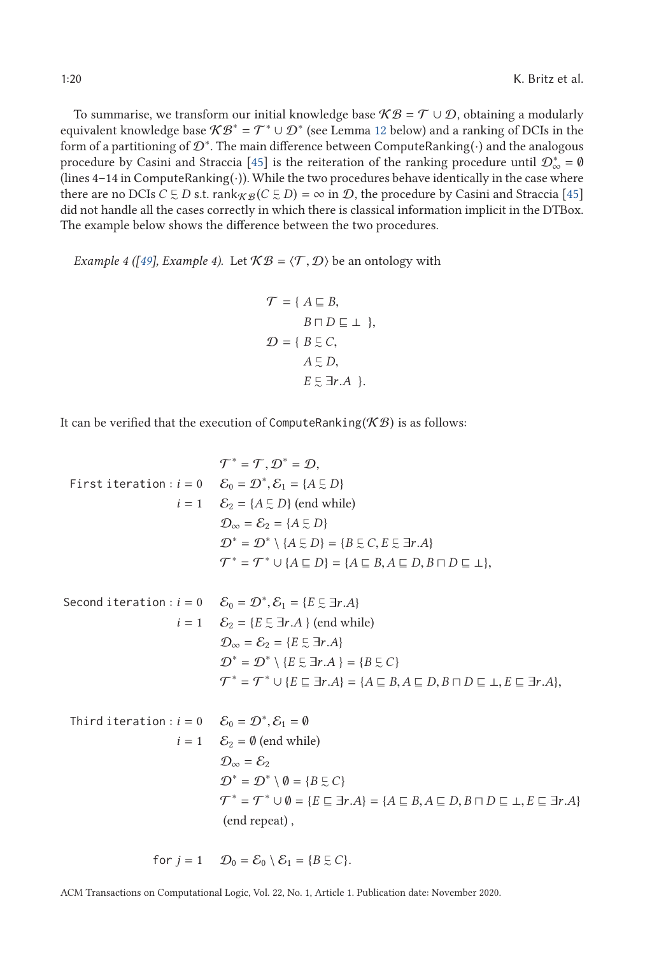To summarise, we transform our initial knowledge base  $KB = T \cup D$ , obtaining a modularly equivalent knowledge base  $\mathcal{KB}^* = \mathcal{T}^* \cup \mathcal{D}^*$  (see Lemma [12](#page-21-0) below) and a ranking of DCIs in the form of a partitioning of  $\mathcal{D}^*$ . The main difference between ComputeRanking( $\cdot$ ) and the analogous procedure by Casini and Straccia [\[45\]](#page-44-0) is the reiteration of the ranking procedure until  $\mathcal{D}^*_{\infty} = \emptyset$ (lines  $4-14$  in ComputeRanking( $\cdot$ )). While the two procedures behave identically in the case where there are no DCIs  $C \subsetneq D$  s.t. rank $_{\mathcal{KB}}(C \subsetneq D) = \infty$  in  $\mathcal{D}$ , the procedure by Casini and Straccia [\[45\]](#page-44-0) did not handle all the cases correctly in which there is classical information implicit in the DTBox. The example below shows the difference between the two procedures.

*Example 4 ([\[49\]](#page-44-0), Example 4).* Let  $KB = \langle T, D \rangle$  be an ontology with

$$
\mathcal{T} = \{ A \sqsubseteq B, \nB \sqcap D \sqsubseteq \bot \}, \n\mathcal{D} = \{ B \sqsubseteq C, \nA \sqsubseteq D, \nE \sqsubseteq \exists r.A \}.
$$

It can be verified that the execution of ComputeRanking( $K\mathcal{B}$ ) is as follows:

$$
\mathcal{T}^* = \mathcal{T}, \mathcal{D}^* = \mathcal{D},
$$
  
First iteration :  $i = 0$   $\mathcal{E}_0 = \mathcal{D}^*, \mathcal{E}_1 = \{A \subseteq D\}$   
 $i = 1$   $\mathcal{E}_2 = \{A \subseteq D\}$  (end while)  
 $\mathcal{D}_{\infty} = \mathcal{E}_2 = \{A \subseteq D\}$   
 $\mathcal{D}^* = \mathcal{D}^* \setminus \{A \subseteq D\} = \{B \subseteq C, E \subseteq \exists r.A\}$   
 $\mathcal{T}^* = \mathcal{T}^* \cup \{A \subseteq D\} = \{A \subseteq B, A \subseteq D, B \sqcap D \subseteq \bot\},$ 

Second iteration : 
$$
i = 0
$$
  $\mathcal{E}_0 = \mathcal{D}^*, \mathcal{E}_1 = \{E \subseteq \exists r.A\}$   
\n $i = 1$   $\mathcal{E}_2 = \{E \subseteq \exists r.A\}$  (end while)  
\n $\mathcal{D}_{\infty} = \mathcal{E}_2 = \{E \subseteq \exists r.A\}$   
\n $\mathcal{D}^* = \mathcal{D}^* \setminus \{E \subseteq \exists r.A\} = \{B \subseteq C\}$   
\n $\mathcal{T}^* = \mathcal{T}^* \cup \{E \subseteq \exists r.A\} = \{A \subseteq B, A \subseteq D, B \sqcap D \subseteq \bot, E \subseteq \exists r.A\},$ 

Third iteration : 
$$
i = 0
$$
  $\mathcal{E}_0 = \mathcal{D}^*, \mathcal{E}_1 = \emptyset$   
\n $i = 1$   $\mathcal{E}_2 = \emptyset$  (end while)  
\n $\mathcal{D}_{\infty} = \mathcal{E}_2$   
\n $\mathcal{D}^* = \mathcal{D}^* \setminus \emptyset = \{B \subseteq C\}$   
\n $\mathcal{T}^* = \mathcal{T}^* \cup \emptyset = \{E \sqsubseteq \exists r.A\} = \{A \sqsubseteq B, A \sqsubseteq D, B \sqcap D \sqsubseteq \bot, E \sqsubseteq \exists r.A\}$   
\n(and repeat),

for 
$$
j = 1
$$
  $\mathcal{D}_0 = \mathcal{E}_0 \setminus \mathcal{E}_1 = \{B \subsetneq C\}.$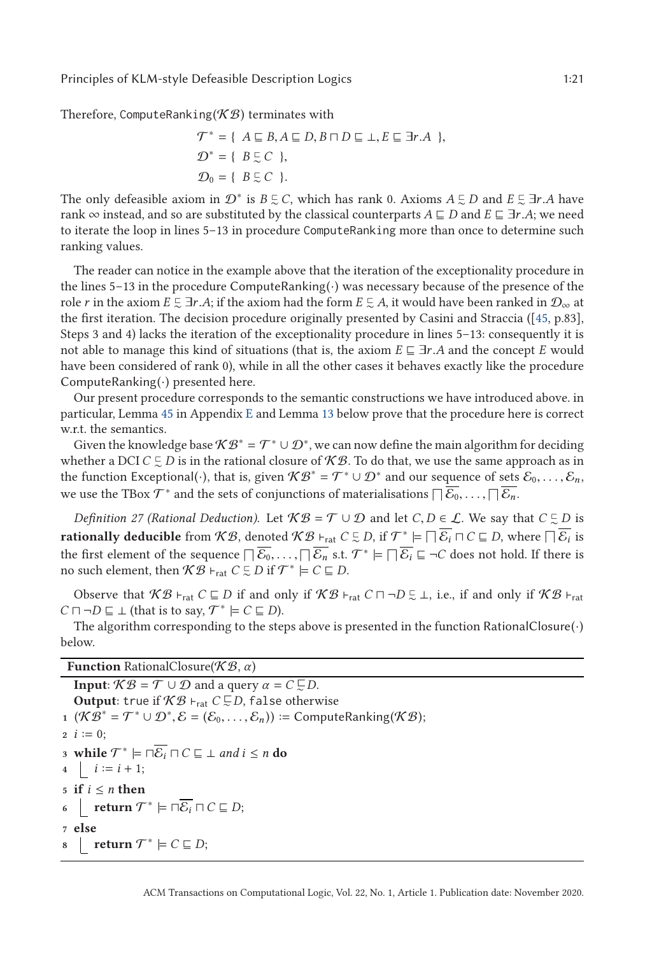<span id="page-20-0"></span>Therefore, ComputeRanking( $K\mathcal{B}$ ) terminates with

$$
\mathcal{T}^* = \{ A \sqsubseteq B, A \sqsubseteq D, B \sqcap D \sqsubseteq \bot, E \sqsubseteq \exists r.A \},\n\mathcal{D}^* = \{ B \sqsubseteq C \},\n\mathcal{D}_0 = \{ B \sqsubseteq C \}.
$$

The only defeasible axiom in  $\mathcal{D}^*$  is  $B \subseteq C$ , which has rank 0. Axioms  $A \subseteq D$  and  $E \subseteq \exists r.A$  have read and so are substituted by the classical counterparts  $A \subseteq D$  and  $E \subseteq \exists r.A$  we need rank  $\infty$  instead, and so are substituted by the classical counterparts  $A \sqsubseteq D$  and  $E \sqsubseteq \exists r.A$ ; we need to iterate the loop in lines 5–13 in procedure ComputeRanking more than once to determine such ranking values.

The reader can notice in the example above that the iteration of the exceptionality procedure in the lines 5–13 in the procedure ComputeRanking(·) was necessary because of the presence of the role *r* in the axiom  $E \subseteq \exists r.A$ ; if the axiom had the form  $E \subseteq A$ , it would have been ranked in  $\mathcal{D}_{\infty}$  at the first iteration. The decision procedure originally presented by Casini and Straccia ([45, p. 83] the first iteration. The decision procedure originally presented by Casini and Straccia ([\[45,](#page-44-0) p.83], Steps 3 and 4) lacks the iteration of the exceptionality procedure in lines 5–13: consequently it is not able to manage this kind of situations (that is, the axiom  $E \subseteq \exists r.A$  and the concept *E* would have been considered of rank 0), while in all the other cases it behaves exactly like the procedure ComputeRanking $(\cdot)$  presented here.

Our present procedure corresponds to the semantic constructions we have introduced above. in particular, Lemma [45](#page-39-0) in Appendix [E](#page-34-0) and Lemma [13](#page-21-0) below prove that the procedure here is correct w.r.t. the semantics.

Given the knowledge base  $\mathcal{KB}^* = \mathcal{T}^* \cup \mathcal{D}^*$ , we can now define the main algorithm for deciding whether a DCI  $C \subsetneq D$  is in the rational closure of  $\mathcal{KB}$ . To do that, we use the same approach as in the function Exceptional(·), that is, given  $\mathcal{KB}^* = \mathcal{T}^* \cup \mathcal{D}^*$  and our sequence of sets  $\mathcal{E}_0, \ldots, \mathcal{E}_n$ , we use the TBox  $\mathcal{T}^*$  and the sets of conjunctions of materialisations  $\Box \overline{\mathcal{E}_0}, \ldots, \Box \overline{\mathcal{E}_n}$ .

*Definition 27 (Rational Deduction).* Let  $\mathcal{KB} = \mathcal{T} \cup \mathcal{D}$  and let  $C, D \in \mathcal{L}$ . We say that  $C \subsetneq D$  is the same of  $\overline{C}$  is the same of  $\overline{C}$  is the same of  $\overline{C}$  is the same of  $\overline{C}$  is the same of **rationally deducible** from  $KB$ , denoted  $KB \rightharpoonup_{rat} C \subsetneq D$ , if  $\mathcal{T}^* \models \Box \overline{\mathcal{E}_i} \Box C \subseteq D$ , where  $\Box \overline{\mathcal{E}_i}$  is the first element of the sequence  $\overline{\big| \overline{\mathcal{E}_0}, \dots, \overline{\big| \mathcal{E}_n}$  s.t.  $\mathcal{T}^* \models \overline{\big| \mathcal{E}_i} \sqsubseteq \neg C$  does not hold. If there is no such element, then  $\mathcal{KB} \vdash_{rat} C \subsetneq D$  if  $\mathcal{T}^* \models C \sqsubseteq D$ .

Observe that  $KB \vdash_{rat} C \sqsubseteq D$  if and only if  $KB \vdash_{rat} C \sqcap \neg D \subsetneq \bot$ , i.e., if and only if  $KB \vdash_{rat} C$  $C \sqcap \neg D \sqsubseteq \bot$  (that is to say,  $\mathcal{T}^* \models C \sqsubseteq D$ ).

The algorithm corresponding to the steps above is presented in the function RationalClosure $(\cdot)$ below.

**Function** RationalClosure(K B, *α*)

**Input**:  $\mathcal{KB} = \mathcal{T} \cup \mathcal{D}$  and a query  $\alpha = C \subsetneq D$ .  $\textbf{Output:}$  true if  $\mathcal{KB} \vdash_{\text{rat}} C \subsetneq D$ , false otherwise **1**  $(KB^* = T^* \cup D^*, \mathcal{E} = (\mathcal{E}_0, ..., \mathcal{E}_n)) \coloneqq \text{ComputeRanking}(\mathcal{KB});$  $2 i := 0;$ **3 while**  $\mathcal{T}^* \models \Box \overline{\mathcal{E}_i} \sqcap C \sqsubseteq \bot$  *and*  $i \leq n$  **do**  $i \coloneqq i + 1;$  $5 \text{ if } i \leq n \text{ then}$ **6**  $\Big|$  **return**  $\mathcal{T}^*$   $\models \Box \overline{\mathcal{E}_i} \sqcap C \sqsubseteq D;$ **<sup>7</sup> else 8 | return**  $\mathcal{T}^* \models C \sqsubseteq D;$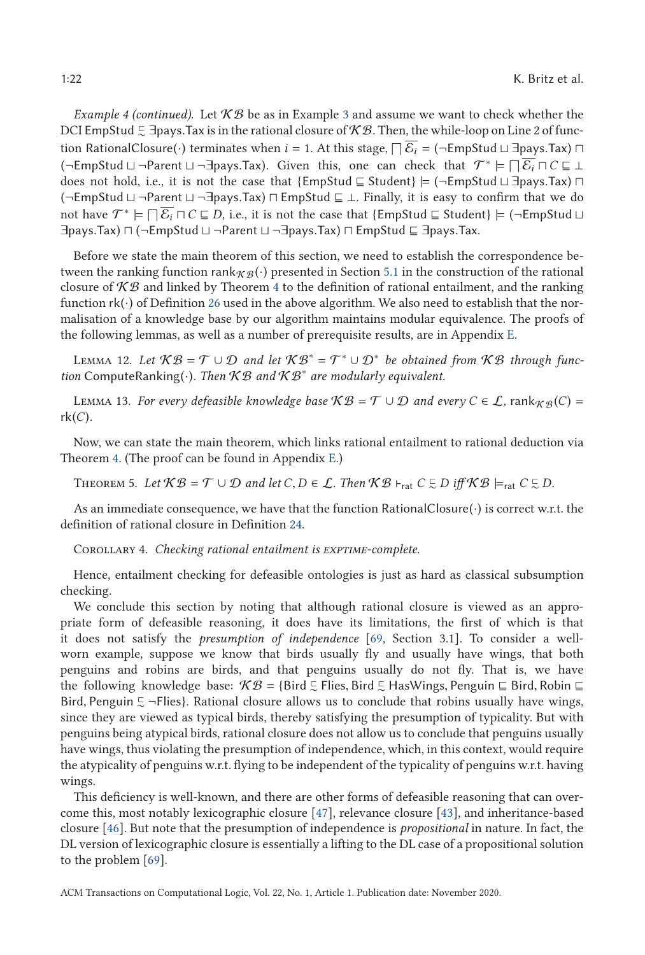<span id="page-21-0"></span>*Example 4 (continued).* Let  $KB$  be as in Example [3](#page-15-0) and assume we want to check whether the DCI EmpStud  $\lesssim$  ∃pays.Tax is in the rational closure of K B. Then, the while-loop on Line 2 of func-<br>tion BetianalClasure ( ) tarminates when  $i = 1$ , At this stage,  $\Box \overline{S} = ($  FuncStud U Jaque Tay)  $\Box$ tion RationalClosure(·) terminates when *i* = 1. At this stage,  $\Box \mathcal{E}_i$  = (¬EmpStud  $\Box$  ∃pays.Tax)  $\Box$ <br>( $\Box$ EmpStud | |  $\Box$ Payont | |  $\Box$ Payon Tay) - Civen, this, and ago, abools, that,  $\mathcal{T}^* \models \Box \overline{\mathcal{E}} \Box \overline{\$ (¬EmpStud  $\sqcup$  ¬Parent  $\sqcup$  ¬∃pays.Tax). Given this, one can check that  $\mathcal{T}^* \models \Box \overline{\mathcal{E}_i} \sqcap \mathcal{C} \sqsubseteq \bot$ <br>does not hold i.e. it is not the case that {EmpStud  $\sqsubset$  Student}  $\vdash$  (¬EmpStud  $\sqcup$  ∃pays Tax)  $\Box$ does not hold, i.e., it is not the case that {EmpStud  $\sqsubseteq$  Student}  $\models (\neg$ EmpStud  $\sqcup$  ∃pays.Tax)  $\sqcap$ <br>( $\neg$ EmpStud | |  $\neg$ Parent | |  $\neg$ Thays Tax)  $\sqcap$  EmpStud  $\sqsubset$  | - Finally, it is easy to confirm that we do (¬EmpStud  $\sqcup$  ¬Parent  $\sqcup$  ¬∃pays.Tax)  $\sqcap$  EmpStud  $\sqsubseteq$   $\bot$ . Finally, it is easy to confirm that we do<br>not have  $\mathcal{T}^* \sqcup \sqcap \overline{\mathcal{F}}$   $\sqcap$   $\subseteq$   $\cap$  is a it is not the seas that (EmpStud  $\sqcap$  Student)  $\sqcup$  ( not have  $\mathcal{T}^* \models \Box \overline{\mathcal{E}_i} \,\Box\, \mathcal{C} \sqsubseteq D,$  i.e., it is not the case that {EmpStud  $\sqsubseteq$  Student}  $\models (\neg \mathsf{EmpStud} \sqcup$ ∃pays.Tax)  $\sqcap$  (¬EmpStud ⊔ ¬Parent ⊔ ¬∃pays.Tax)  $\sqcap$  EmpStud ⊑ ∃pays.Tax.

Before we state the main theorem of this section, we need to establish the correspondence between the ranking function rank  $\mathcal{L}_B(\cdot)$  presented in Section [5.1](#page-14-0) in the construction of the rational closure of  $K\mathcal{B}$  and linked by Theorem [4](#page-15-0) to the definition of rational entailment, and the ranking function  $rk(\cdot)$  of Definition [26](#page-18-0) used in the above algorithm. We also need to establish that the normalisation of a knowledge base by our algorithm maintains modular equivalence. The proofs of the following lemmas, as well as a number of prerequisite results, are in Appendix [E.](#page-34-0)

LEMMA 12. Let  $KB = T \cup D$  and let  $KB^* = T^* \cup D^*$  be obtained from KB through func*tion* ComputeRanking(·)*. Then* K B *and* K B<sup>∗</sup> *are modularly equivalent.*

LEMMA 13. *For every defeasible knowledge base*  $KB = \mathcal{T} \cup \mathcal{D}$  *and every*  $C \in \mathcal{L}$ , rank $_{\mathcal{KB}}(C)$  = rk(*C*)*.*

Now, we can state the main theorem, which links rational entailment to rational deduction via Theorem [4.](#page-15-0) (The proof can be found in Appendix [E.](#page-34-0))

THEOREM 5. Let  $KB = \mathcal{T} \cup \mathcal{D}$  and let  $C, D \in \mathcal{L}$ . Then  $KB \vdash_{rat} C \subsetneq D$  iff  $KB \models_{rat} C \subsetneq D$ .

As an immediate consequence, we have that the function RationalClosure $(\cdot)$  is correct w.r.t. the definition of rational closure in Definition [24.](#page-15-0)

Corollary 4. *Checking rational entailment is exptime-complete.*

Hence, entailment checking for defeasible ontologies is just as hard as classical subsumption checking.

We conclude this section by noting that although rational closure is viewed as an appropriate form of defeasible reasoning, it does have its limitations, the first of which is that it does not satisfy the *presumption of independence* [\[69,](#page-45-0) Section 3.1]. To consider a wellworn example, suppose we know that birds usually fly and usually have wings, that both penguins and robins are birds, and that penguins usually do not fly. That is, we have the following knowledge base:  $\mathcal{KB} = \{\text{Bird } \in \text{Flies}, \text{Bird } \in \text{ HasWings}, \text{Penguin } \in \text{Bird}, \text{ Robin } \sqsubseteq \text{Bird} \}$ Bird, Penguin  $\lesssim$  ¬Flies}. Rational closure allows us to conclude that robins usually have wings, since they are viewed as typical birds, thereby satisfying the presumption of typicality. But with since they are viewed as typical birds, thereby satisfying the presumption of typicality. But with penguins being atypical birds, rational closure does not allow us to conclude that penguins usually have wings, thus violating the presumption of independence, which, in this context, would require the atypicality of penguins w.r.t. flying to be independent of the typicality of penguins w.r.t. having wings.

This deficiency is well-known, and there are other forms of defeasible reasoning that can overcome this, most notably lexicographic closure [\[47\]](#page-44-0), relevance closure [\[43\]](#page-44-0), and inheritance-based closure [\[46\]](#page-44-0). But note that the presumption of independence is *propositional* in nature. In fact, the DL version of lexicographic closure is essentially a lifting to the DL case of a propositional solution to the problem [\[69\]](#page-45-0).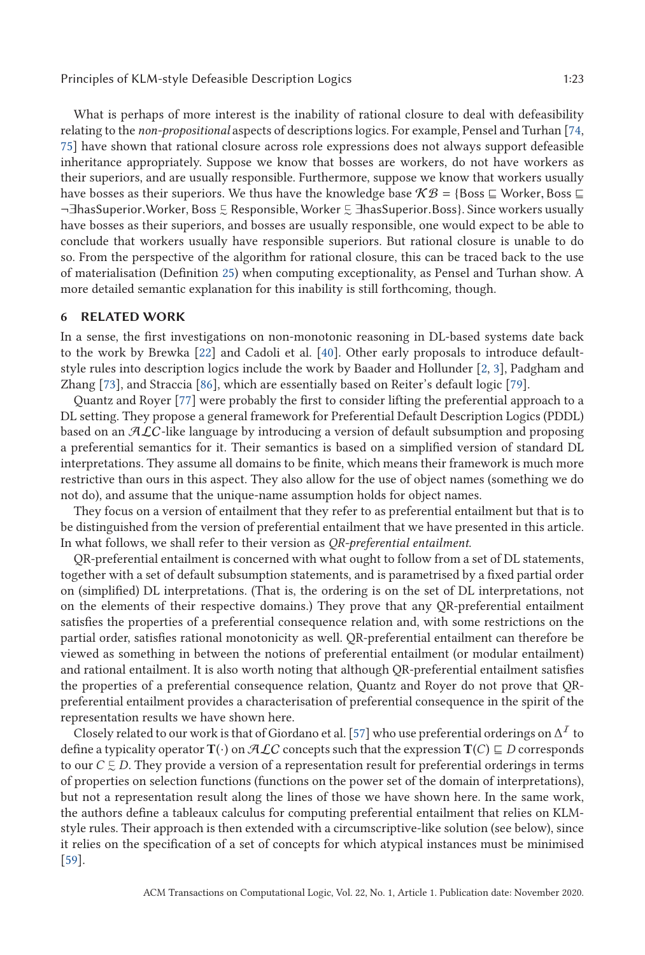<span id="page-22-0"></span>What is perhaps of more interest is the inability of rational closure to deal with defeasibility relating to the *non-propositional* aspects of descriptions logics. For example, Pensel and Turhan [\[74,](#page-45-0) [75\]](#page-45-0) have shown that rational closure across role expressions does not always support defeasible inheritance appropriately. Suppose we know that bosses are workers, do not have workers as their superiors, and are usually responsible. Furthermore, suppose we know that workers usually have bosses as their superiors. We thus have the knowledge base  $K\mathcal{B} = \{\text{Boss } \sqsubseteq \text{Worker, Boss } \sqsubseteq \text{Boss } \sqsubseteq \text{Worker, Boss } \sqsubseteq \text{Newer, Boss } \sqsubseteq \text{Newer, Boss } \sqsubseteq \text{Newer, Boss } \sqsubseteq \text{Newer, Boss } \sqsubseteq \text{Newer, Boss } \sqsubseteq \text{Newer, Boss } \sqsubseteq \text{Newer, Boss } \sqsubseteq \text{Newer, Boss } \sqsubseteq \text{Newer, Boss }$ ¬∃hasSuperior.Worker, Boss 5 Responsible, Worker 5 ∃hasSuperior.Boss}. Since workers usually<br>have bosses as their superiors, and bosses are usually responsible, one would expect to be able to have bosses as their superiors, and bosses are usually responsible, one would expect to be able to conclude that workers usually have responsible superiors. But rational closure is unable to do so. From the perspective of the algorithm for rational closure, this can be traced back to the use of materialisation (Definition [25\)](#page-16-0) when computing exceptionality, as Pensel and Turhan show. A more detailed semantic explanation for this inability is still forthcoming, though.

# **6 RELATED WORK**

In a sense, the first investigations on non-monotonic reasoning in DL-based systems date back to the work by Brewka [\[22\]](#page-43-0) and Cadoli et al. [\[40\]](#page-43-0). Other early proposals to introduce defaultstyle rules into description logics include the work by Baader and Hollunder [\[2,](#page-42-0) [3\]](#page-42-0), Padgham and Zhang [\[73\]](#page-45-0), and Straccia [\[86\]](#page-45-0), which are essentially based on Reiter's default logic [\[79\]](#page-45-0).

Quantz and Royer [\[77\]](#page-45-0) were probably the first to consider lifting the preferential approach to a DL setting. They propose a general framework for Preferential Default Description Logics (PDDL) based on an  $ALC$ -like language by introducing a version of default subsumption and proposing a preferential semantics for it. Their semantics is based on a simplified version of standard DL interpretations. They assume all domains to be finite, which means their framework is much more restrictive than ours in this aspect. They also allow for the use of object names (something we do not do), and assume that the unique-name assumption holds for object names.

They focus on a version of entailment that they refer to as preferential entailment but that is to be distinguished from the version of preferential entailment that we have presented in this article. In what follows, we shall refer to their version as *QR-preferential entailment*.

QR-preferential entailment is concerned with what ought to follow from a set of DL statements, together with a set of default subsumption statements, and is parametrised by a fixed partial order on (simplified) DL interpretations. (That is, the ordering is on the set of DL interpretations, not on the elements of their respective domains.) They prove that any QR-preferential entailment satisfies the properties of a preferential consequence relation and, with some restrictions on the partial order, satisfies rational monotonicity as well. QR-preferential entailment can therefore be viewed as something in between the notions of preferential entailment (or modular entailment) and rational entailment. It is also worth noting that although QR-preferential entailment satisfies the properties of a preferential consequence relation, Quantz and Royer do not prove that QRpreferential entailment provides a characterisation of preferential consequence in the spirit of the representation results we have shown here.

Closely related to our work is that of Giordano et al. [\[57\]](#page-44-0) who use preferential orderings on  $\Delta^I$  to define a typicality operator  $\mathbf{T}(\cdot)$  on  $\mathcal{ALC}$  concepts such that the expression  $\mathbf{T}(C) \sqsubseteq D$  corresponds to our  $C \subsetneq D$ . They provide a version of a representation result for preferential orderings in terms of properties on selection functions (functions on the power set of the domain of interpretations), but not a representation result along the lines of those we have shown here. In the same work, the authors define a tableaux calculus for computing preferential entailment that relies on KLMstyle rules. Their approach is then extended with a circumscriptive-like solution (see below), since it relies on the specification of a set of concepts for which atypical instances must be minimised [\[59\]](#page-44-0).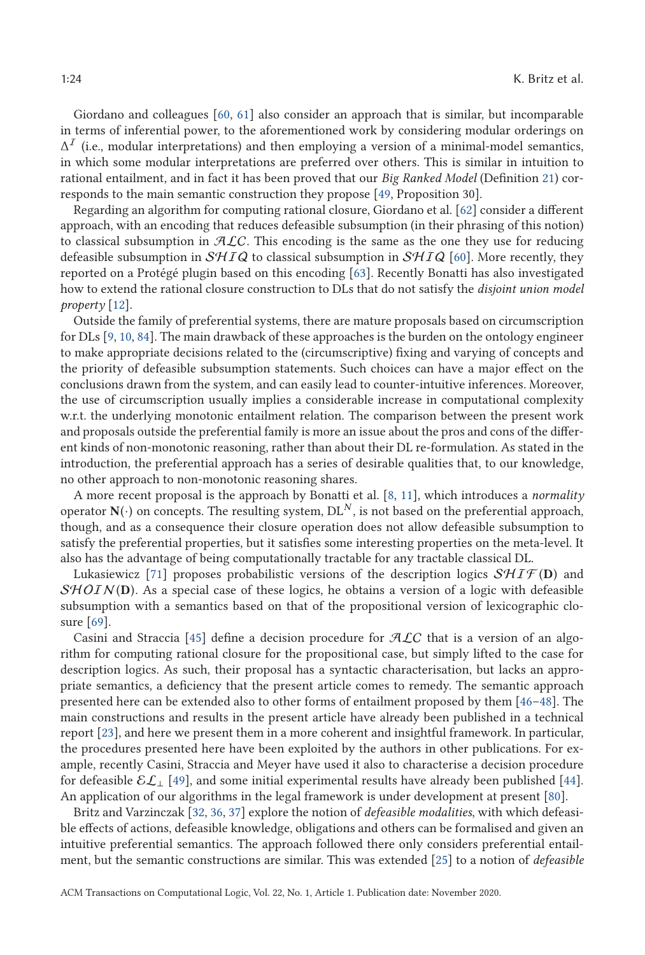Giordano and colleagues [\[60,](#page-44-0) [61\]](#page-44-0) also consider an approach that is similar, but incomparable in terms of inferential power, to the aforementioned work by considering modular orderings on  $\Delta^I$  (i.e., modular interpretations) and then employing a version of a minimal-model semantics, in which some modular interpretations are preferred over others. This is similar in intuition to rational entailment, and in fact it has been proved that our *Big Ranked Model* (Definition [21\)](#page-13-0) corresponds to the main semantic construction they propose [\[49,](#page-44-0) Proposition 30].

Regarding an algorithm for computing rational closure, Giordano et al. [\[62\]](#page-44-0) consider a different approach, with an encoding that reduces defeasible subsumption (in their phrasing of this notion) to classical subsumption in  $\mathcal{A}\mathcal{L}C$ . This encoding is the same as the one they use for reducing defeasible subsumption in  $\mathcal{S}H I \mathcal{Q}$  to classical subsumption in  $\mathcal{S}H I \mathcal{Q}$  [\[60\]](#page-44-0). More recently, they reported on a Protégé plugin based on this encoding [\[63\]](#page-44-0). Recently Bonatti has also investigated how to extend the rational closure construction to DLs that do not satisfy the *disjoint union model property* [\[12\]](#page-42-0).

Outside the family of preferential systems, there are mature proposals based on circumscription for DLs [\[9,](#page-42-0) [10,](#page-42-0) [84\]](#page-45-0). The main drawback of these approaches is the burden on the ontology engineer to make appropriate decisions related to the (circumscriptive) fixing and varying of concepts and the priority of defeasible subsumption statements. Such choices can have a major effect on the conclusions drawn from the system, and can easily lead to counter-intuitive inferences. Moreover, the use of circumscription usually implies a considerable increase in computational complexity w.r.t. the underlying monotonic entailment relation. The comparison between the present work and proposals outside the preferential family is more an issue about the pros and cons of the different kinds of non-monotonic reasoning, rather than about their DL re-formulation. As stated in the introduction, the preferential approach has a series of desirable qualities that, to our knowledge, no other approach to non-monotonic reasoning shares.

A more recent proposal is the approach by Bonatti et al. [\[8,](#page-42-0) [11\]](#page-42-0), which introduces a *normality* operator  $N(\cdot)$  on concepts. The resulting system,  $DL^N$ , is not based on the preferential approach, though, and as a consequence their closure operation does not allow defeasible subsumption to satisfy the preferential properties, but it satisfies some interesting properties on the meta-level. It also has the advantage of being computationally tractable for any tractable classical DL.

Lukasiewicz [\[71\]](#page-45-0) proposes probabilistic versions of the description logics  $\mathcal{SHTF}(\mathbf{D})$  and  $SHOLN(D)$ . As a special case of these logics, he obtains a version of a logic with defeasible subsumption with a semantics based on that of the propositional version of lexicographic closure [\[69\]](#page-45-0).

Casini and Straccia [\[45\]](#page-44-0) define a decision procedure for  $ALC$  that is a version of an algorithm for computing rational closure for the propositional case, but simply lifted to the case for description logics. As such, their proposal has a syntactic characterisation, but lacks an appropriate semantics, a deficiency that the present article comes to remedy. The semantic approach presented here can be extended also to other forms of entailment proposed by them [46[–48\]](#page-44-0). The main constructions and results in the present article have already been published in a technical report [\[23\]](#page-43-0), and here we present them in a more coherent and insightful framework. In particular, the procedures presented here have been exploited by the authors in other publications. For example, recently Casini, Straccia and Meyer have used it also to characterise a decision procedure for defeasible  $\mathcal{EL}_\perp$  [\[49\]](#page-44-0), and some initial experimental results have already been published [\[44\]](#page-44-0). An application of our algorithms in the legal framework is under development at present [\[80\]](#page-45-0).

Britz and Varzinczak [\[32,](#page-43-0) [36,](#page-43-0) [37\]](#page-43-0) explore the notion of *defeasible modalities*, with which defeasible effects of actions, defeasible knowledge, obligations and others can be formalised and given an intuitive preferential semantics. The approach followed there only considers preferential entailment, but the semantic constructions are similar. This was extended [\[25\]](#page-43-0) to a notion of *defeasible*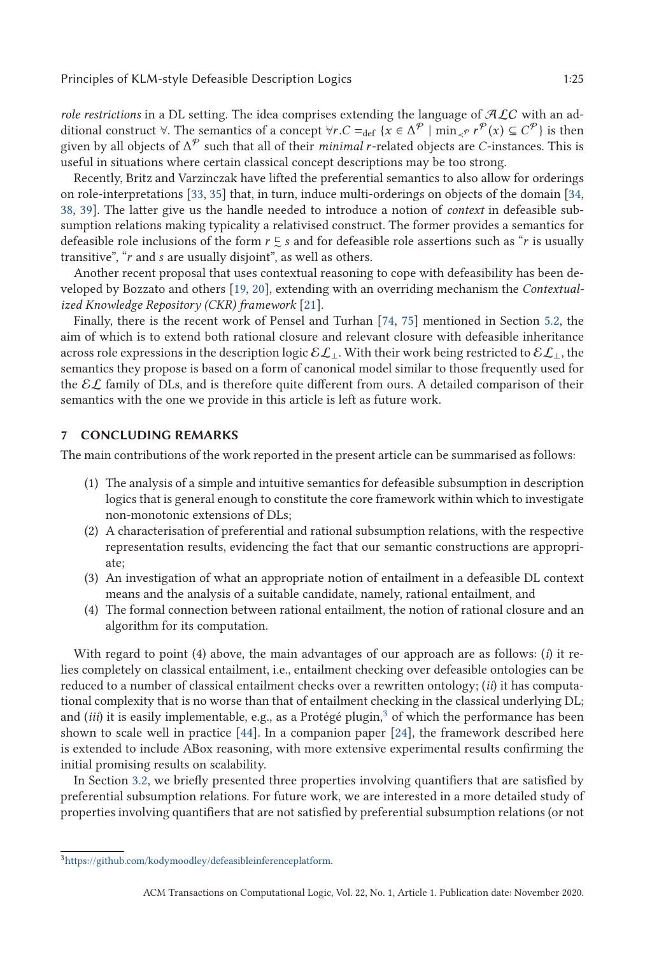*role restrictions* in a DL setting. The idea comprises extending the language of  $ALC$  with an additional construct  $\forall$ . The semantics of a concept  $\forall r.C =_{def} \{x \in \Delta^{\mathcal{P}} \mid \min_{\prec \mathcal{P}} r^{\mathcal{P}}(x) \subseteq C^{\mathcal{P}}\}$  is then given by all objects of  $\Delta^{\mathcal{P}}$  such that all of their *minimal* r-related objects are *C*-insta given by all objects of  $\Delta^{\mathcal{P}}$  such that all of their *minimal r*-related objects are *C*-instances. This is useful in situations where certain classical concept descriptions may be too strong.

Recently, Britz and Varzinczak have lifted the preferential semantics to also allow for orderings on role-interpretations [\[33,](#page-43-0) [35\]](#page-43-0) that, in turn, induce multi-orderings on objects of the domain [\[34,](#page-43-0) [38,](#page-43-0) [39\]](#page-43-0). The latter give us the handle needed to introduce a notion of *context* in defeasible subsumption relations making typicality a relativised construct. The former provides a semantics for defeasible role inclusions of the form  $r \leq s$  and for defeasible role assertions such as "*r* is usually transitive", "*r* and *s* are usually disjoint", as well as others.

Another recent proposal that uses contextual reasoning to cope with defeasibility has been developed by Bozzato and others [\[19,](#page-42-0) [20\]](#page-42-0), extending with an overriding mechanism the *Contextualized Knowledge Repository (CKR) framework* [\[21\]](#page-43-0).

Finally, there is the recent work of Pensel and Turhan [\[74,](#page-45-0) [75\]](#page-45-0) mentioned in Section [5.2,](#page-16-0) the aim of which is to extend both rational closure and relevant closure with defeasible inheritance across role expressions in the description logic  $\mathcal{EL}_\perp$ . With their work being restricted to  $\mathcal{EL}_\perp$ , the semantics they propose is based on a form of canonical model similar to those frequently used for the  $\mathcal{EL}$  family of DLs, and is therefore quite different from ours. A detailed comparison of their semantics with the one we provide in this article is left as future work.

### **7 CONCLUDING REMARKS**

The main contributions of the work reported in the present article can be summarised as follows:

- (1) The analysis of a simple and intuitive semantics for defeasible subsumption in description logics that is general enough to constitute the core framework within which to investigate non-monotonic extensions of DLs;
- (2) A characterisation of preferential and rational subsumption relations, with the respective representation results, evidencing the fact that our semantic constructions are appropriate;
- (3) An investigation of what an appropriate notion of entailment in a defeasible DL context means and the analysis of a suitable candidate, namely, rational entailment, and
- (4) The formal connection between rational entailment, the notion of rational closure and an algorithm for its computation.

With regard to point (4) above, the main advantages of our approach are as follows: (*i*) it relies completely on classical entailment, i.e., entailment checking over defeasible ontologies can be reduced to a number of classical entailment checks over a rewritten ontology; (*ii*) it has computational complexity that is no worse than that of entailment checking in the classical underlying DL; and *(iii)* it is easily implementable, e.g., as a Protégé plugin,<sup>3</sup> of which the performance has been shown to scale well in practice [\[44\]](#page-44-0). In a companion paper [\[24\]](#page-43-0), the framework described here is extended to include ABox reasoning, with more extensive experimental results confirming the initial promising results on scalability.

In Section [3.2,](#page-6-0) we briefly presented three properties involving quantifiers that are satisfied by preferential subsumption relations. For future work, we are interested in a more detailed study of properties involving quantifiers that are not satisfied by preferential subsumption relations (or not

[<sup>3</sup>https://github.com/kodymoodley/defeasibleinferenceplatform.](https://github.com/kodymoodley/defeasibleinferenceplatform)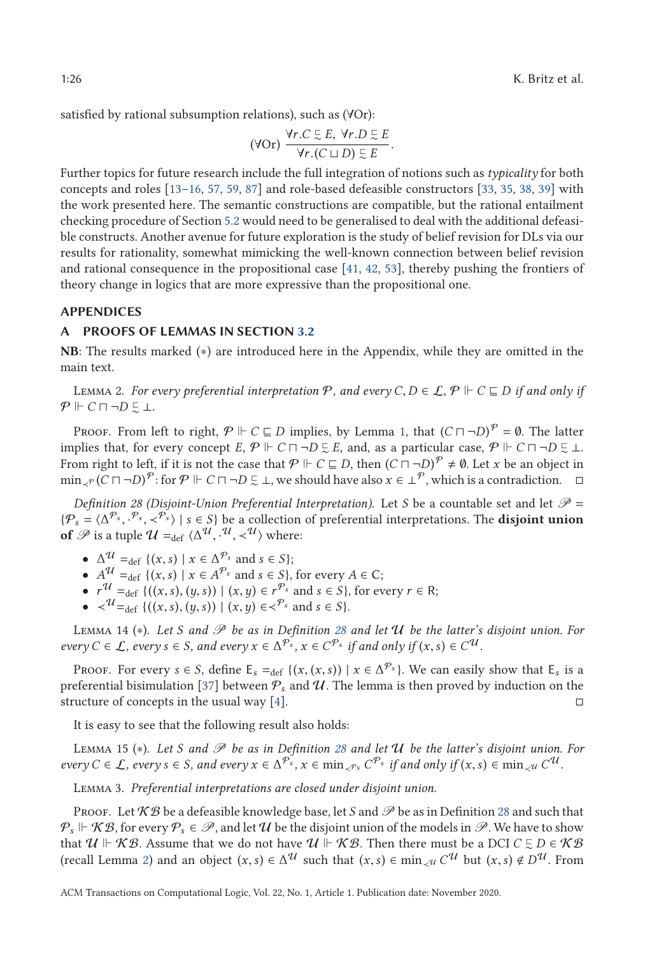<span id="page-25-0"></span>satisfied by rational subsumption relations), such as (∀Or):

$$
(\forall Or)\ \frac{\forall r.C \subseteq E,\ \forall r.D \subseteq E}{\forall r.(C \sqcup D) \subseteq E}.
$$

<sup>∀</sup>*r*.(*<sup>C</sup> <sup>D</sup>*) -Further topics for future research include the full integration of notions such as *typicality* for both concepts and roles [13[–16,](#page-42-0) [57,](#page-44-0) [59,](#page-44-0) [87\]](#page-45-0) and role-based defeasible constructors [\[33,](#page-43-0) [35,](#page-43-0) [38,](#page-43-0) [39\]](#page-43-0) with the work presented here. The semantic constructions are compatible, but the rational entailment checking procedure of Section [5.2](#page-16-0) would need to be generalised to deal with the additional defeasible constructs. Another avenue for future exploration is the study of belief revision for DLs via our results for rationality, somewhat mimicking the well-known connection between belief revision and rational consequence in the propositional case [\[41,](#page-43-0) [42,](#page-43-0) [53\]](#page-44-0), thereby pushing the frontiers of theory change in logics that are more expressive than the propositional one.

#### **APPENDICES**

## **PROOFS OF LEMMAS IN SECTION [3.2](#page-6-0)**

**NB**: The results marked (∗) are introduced here in the Appendix, while they are omitted in the main text.

LEMMA 2. *For every preferential interpretation*  $\mathcal{P}$ *, and every C*, *D* ∈ *L*,  $\mathcal{P}$   $\Vdash$  *C* ⊑ *D if and only if*  $\Vdash$  *C* □ ¬ *D* □  $\vdash$  $P \Vdash C \sqcap \neg D \subsetneq \bot.$ 

Proof. From left to right,  $\mathcal{P} \Vdash C \sqsubseteq D$  implies, by Lemma [1,](#page-8-0) that  $(C \sqcap \neg D)^{\mathcal{P}} = \emptyset$ . The latter implies that, for every concept  $E, \mathcal{P} \Vdash C \sqcap \neg D \subsetneq E$ , and, as a particular case,  $\mathcal{P} \Vdash C \sqcap \neg D \subsetneq \bot$ . From right to left, if it is not the case that  $P \Vdash C \sqsubseteq D$ , then  $(C \sqcap \neg D)^P \neq \emptyset$ . Let *x* be an object in  $\min_{\prec P} (C \sqcap \neg D)^\mathcal{P}$ : for  $\mathcal{P} \Vdash C \sqcap \neg D \subsetneq \bot$ , we should have also  $x \in \bot^\mathcal{P}$ , which is a contradiction.  $\Box$ 

*Definition 28 (Disjoint-Union Preferential Interpretation).* Let *S* be a countable set and let  $\mathcal{P}$  =  ${\{\mathcal{P}_s = \langle \Delta^{\mathcal{P}_s}, \cdot^{\mathcal{P}_s}, \prec^{\mathcal{P}_s} \rangle \mid s \in S\}}$  be a collection of preferential interpretations. The **disjoint union**<br>of  $\mathcal{P}$  is a tuple  $\mathcal{U} = \{(\mathcal{M}^{\mathcal{U}}, \mathcal{U}^{\mathcal{U}})\}$  where: **of**  $\mathscr P$  is a tuple  $\mathcal U =_{\text{def}} \langle \Delta^{\mathcal U}, \cdot^{\mathcal U}, \prec^{\mathcal U} \rangle$  where:

- $\Delta$ <sup>U</sup> = def {(*x*, *s*) | *x*  $\in$   $\Delta$ <sup>*Ps*</sup> and *s*  $\in$  *S*};
- $A^{\mathcal{U}} = \text{def } \{ (x, s) \mid x \in A^{\mathcal{P}_s} \text{ and } s \in S \}$ , for every  $A \in \mathbb{C}$ ;
- $r^{\mathcal{U}} = \text{det} \{((x, s), (y, s)) \mid (x, y) \in r^{\mathcal{P}_s} \text{ and } s \in S\}$ , for every  $r \in \mathbb{R}$ ;
- $\prec^{\mathcal{U}} =$ def {((*x*, *s*), (*y*, *s*)) | (*x*, *y*)  $\in \prec^{\mathcal{P}_s}$  and  $s \in S$  }.

Lemma 14 (∗). *Let S and* P *be as in Definition 28 and let* U *be the latter's disjoint union. For every*  $C \in \mathcal{L}$ *, every*  $s \in S$ *, and every*  $x \in \Delta^{\mathcal{P}_s}$ *,*  $x \in C^{\mathcal{P}_s}$  *if and only if*  $(x, s) \in C^{\mathcal{U}}$ *.* 

Proof. For every  $s \in S$ , define  $E_s =_{def} \{(x, (x, s)) \mid x \in \Delta^{\mathcal{P}_s}\}\)$ . We can easily show that  $E_s$  is a preferential bisimulation [\[37\]](#page-43-0) between  $P_s$  and  $U$ . The lemma is then proved by induction on the structure of concepts in the usual way [\[4\]](#page-42-0).  $\Box$ 

It is easy to see that the following result also holds:

Lemma 15 (∗). *Let S and* P *be as in Definition 28 and let* U *be the latter's disjoint union. For*  $e^{i\varphi}$   $C \in \mathcal{L}$ ,  $e^{i\varphi}$ ,  $s \in S$ , and  $e^{i\varphi}$ ,  $x \in \Delta^{\mathcal{P}_s}$ ,  $x \in \min_{\mathcal{P}_s} C^{\mathcal{P}_s}$  *if and only if*  $(x, s) \in \min_{\mathcal{P}_s} C^{\mathcal{U}}$ .

Lemma 3. *Preferential interpretations are closed under disjoint union.*

Proof. Let  $KB$  be a defeasible knowledge base, let *S* and  $\mathscr P$  be as in Definition 28 and such that  $\mathcal{P}_s \Vdash \mathcal{KB}$ , for every  $\mathcal{P}_s \in \mathscr{P}$ , and let  $\mathcal U$  be the disjoint union of the models in  $\mathscr P.$  We have to show that  $\mathcal{U} \Vdash \mathcal{KB}$ . Assume that we do not have  $\mathcal{U} \Vdash \mathcal{KB}$ . Then there must be a DCI  $C \subsetneq D \in \mathcal{KB}$ (recall Lemma [2\)](#page-8-0) and an object  $(x, s) \in \Delta^U$  such that  $(x, s) \in \min_{x \in U} C^U$  but  $(x, s) \notin D^U$ . From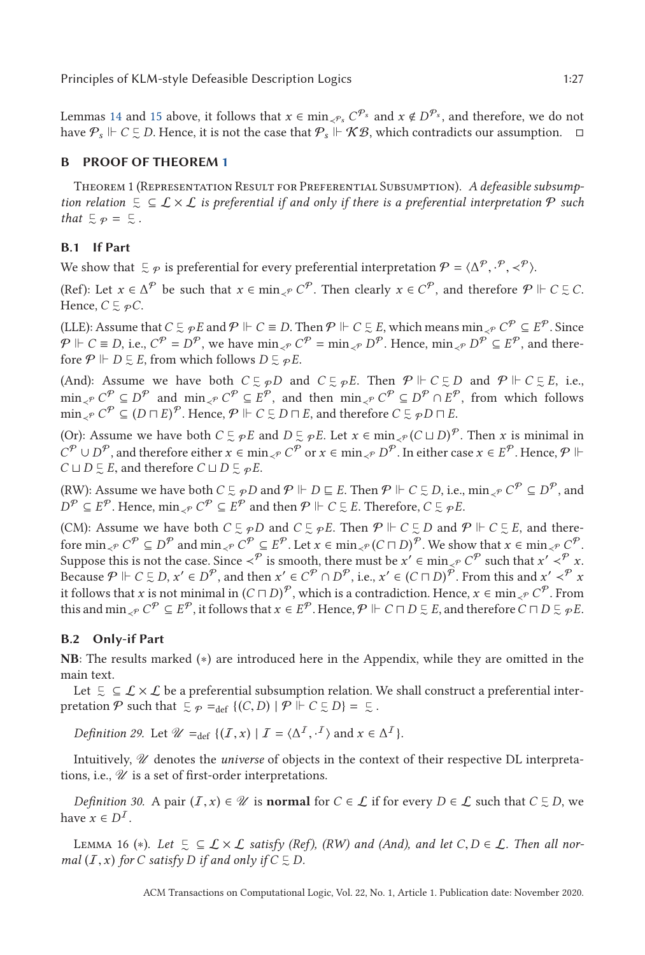<span id="page-26-0"></span>Lemmas [14](#page-25-0) and [15](#page-25-0) above, it follows that  $x \in \min_{\mathcal{S} \in \mathcal{S}} C^{p_s}$  and  $x \notin D^{p_s}$ , and therefore, we do not have  $\mathcal{P}_s \Vdash C \subsetneq D$ . Hence, it is not the case that  $\mathcal{P}_s \Vdash \mathcal{KB}$ , which contradicts our assumption.  $\Box$ 

# **B PROOF OF THEOREM [1](#page-8-0)**

Theorem 1 (Representation Result for Preferential Subsumption). *A defeasible subsump*tion relation  $\subseteq \subseteq \mathcal{L} \times \mathcal{L}$  is preferential if and only if there is a preferential interpretation  $\mathcal{P}$  such *that*  $\leq p = \leq$ .

# **B.1 If Part**

We show that  $\subseteq \varphi$  is preferential for every preferential interpretation  $\mathcal{P} = \langle \Delta^{\mathcal{P}}, \cdot^{\mathcal{P}}, \prec^{\mathcal{P}} \rangle$ .

(Ref): Let  $x \in \Delta^{\mathcal{P}}$  be such that  $x \in \min_{\prec^{\mathcal{P}}} C^{\mathcal{P}}$ . Then clearly  $x \in C^{\mathcal{P}}$ , and therefore  $\mathcal{P} \Vdash C \subsetneq C$ . Hence,  $C \subsetneq \mathcal{P}C$ .

(LLE): Assume that  $C \subsetneq \rho E$  and  $P \Vdash C \equiv D$ . Then  $P \Vdash C \subsetneq E$ , which means  $\min_{\lambda} P C^P \subseteq E^P$ . Since  $P$   $\Vdash$  *C* ≡ *D*, i.e.,  $C^P = D^P$ , we have  $\min_{\prec P} C^P = \min_{\prec P} D^P$ . Hence,  $\min_{\prec P} D^P \subseteq E^P$ , and therefore  $P \Vdash D \subsetneq E$ , from which follows  $D \subsetneq \varphi E$ .

(And): Assume we have both  $C \subseteq \mathcal{P}D$  and  $C \subseteq \mathcal{P}E$ . Then  $\mathcal{P} \Vdash C \subseteq D$  and  $\mathcal{P} \Vdash C \subseteq E$ , i.e.,  $\min_{\mathcal{S}^P} C^P \subseteq D^P$  and  $\min_{\mathcal{S}^P} C^P \subseteq E^P$ , and then  $\min_{\mathcal{S}^P} C^P \subseteq D^P \cap E^P$ , from which follows  $\min_{\prec P} C^P \subseteq (D \sqcap E)^P$ . Hence,  $P \Vdash C \subsetneq D \sqcap E$ , and therefore  $C \subsetneq \varphi D \sqcap E$ .

(Or): Assume we have both  $C \subsetneq_{\mathcal{P}} E$  and  $D \subsetneq_{\mathcal{P}} E$ . Let  $x \in \min_{\mathcal{P}} (C \sqcup D)^{\mathcal{P}}$ . Then *x* is minimal in *C*<sup> $P$ </sup> ∪ *D*<sup> $P$ </sup>, and therefore either *x* ∈ min<sub>≺</sub> $\varphi$  *C*<sup> $P$ </sup> or *x* ∈ min<sub>≺</sub> $\varphi$  *D*<sup> $P$ </sup>. In either case *x* ∈ *E*<sup> $P$ </sup>. Hence,  $P$   $\Vdash$  $C \sqcup D \subsetneq E$ , and therefore  $C \sqcup D \subsetneq \varphi E$ .

(RW): Assume we have both  $C \subseteq \mathcal{P}D$  and  $\mathcal{P} \Vdash D \sqsubseteq E$ . Then  $\mathcal{P} \Vdash C \subseteq D$ , i.e.,  $\min_{\prec \mathcal{P}} C^{\mathcal{P}} \subseteq D^{\mathcal{P}}$ , and  $D^{\mathcal{P}} \subseteq E^{\mathcal{P}}$ . Hence,  $\min_{\prec^{\mathcal{P}}} C^{\mathcal{P}} \subseteq E^{\mathcal{P}}$  and then  $\mathcal{P} \Vdash C \subseteq E$ . Therefore,  $C \subseteq \mathcal{P}E$ .

(CM): Assume we have both  $C \subsetneq \mathcal{P}D$  and  $C \subsetneq \mathcal{P}E$ . Then  $\mathcal{P} \Vdash C \subsetneq D$  and  $\mathcal{P} \Vdash C \subsetneq E$ , and there- $\text{for } \min_{\prec^{\mathcal{P}}} C^{\mathcal{P}} \subseteq D^{\mathcal{P}} \text{ and } \min_{\prec^{\mathcal{P}}} C^{\mathcal{P}} \subseteq E^{\mathcal{P}}.$  Let  $x \in \min_{\prec^{\mathcal{P}}} (C \sqcap D)^{\mathcal{P}}.$  We show that  $x \in \min_{\prec^{\mathcal{P}}} C^{\mathcal{P}}.$ Suppose this is not the case. Since  $\prec^{\mathcal{P}}$  is smooth, there must be  $x' \in \min_{\prec^{\mathcal{P}}} C^{\mathcal{P}}$  such that  $x' \prec^{\mathcal{P}} x$ . Because  $P \Vdash C \subsetneq D$ ,  $x' \in D^P$ , and then  $x' \in C^P \cap D^P$ , i.e.,  $x' \in (C \cap D)^P$ . From this and  $x' \prec^P x$ it follows that *x* is not minimal in  $(C \sqcap D)^{\mathcal{P}}$ , which is a contradiction. Hence,  $x \in \min_{\prec \mathcal{P}} C^{\mathcal{P}}$ . From this and  $\min_{\prec P} C^{\mathcal{P}} \subseteq E^{\mathcal{P}}$ , it follows that  $x \in E^{\mathcal{P}}$ . Hence,  $\mathcal{P} \Vdash C \sqcap D \subsetneq E$ , and therefore  $C \sqcap D \subsetneq \mathcal{P}E$ .

# **B.2 Only-if Part**

**NB**: The results marked (∗) are introduced here in the Appendix, while they are omitted in the main text.

Let  $\zeta \subseteq \mathcal{L} \times \mathcal{L}$  be a preferential subsumption relation. We shall construct a preferential interpretation  $P$  such that  $\subseteq \varphi =_{def} \{ (C, D) \mid P \Vdash C \subseteq D \} = \subseteq$ .

*Definition 29.* Let  $\mathcal{U} =_{def} \{ (I, x) | I = \langle \Delta^I, \cdot^I \rangle \text{ and } x \in \Delta^I \}.$ 

Intuitively, U denotes the *universe* of objects in the context of their respective DL interpretations, i.e.,  $\mathcal U$  is a set of first-order interpretations.

*Definition 30.* A pair  $(I, x) \in \mathcal{U}$  is **normal** for  $C \in \mathcal{L}$  if for every  $D \in \mathcal{L}$  such that  $C \subsetneq D$ , we we  $\subset \mathbb{R}^I$ have  $x \in D^{\mathcal{I}}$ .

LEMMA 16 (\*). Let  $\subseteq \subseteq L \times L$  satisfy (Ref), (RW) and (And), and let *C*, *D* ∈ *L*. Then all nor-<br>al (*T* x) for *C* satisfy *D* if and only if *C* ⊏ *D mal*  $(I, x)$  *for*  $C$  *satisfy*  $D$  *if and only if*  $C \subseteq D$ *.*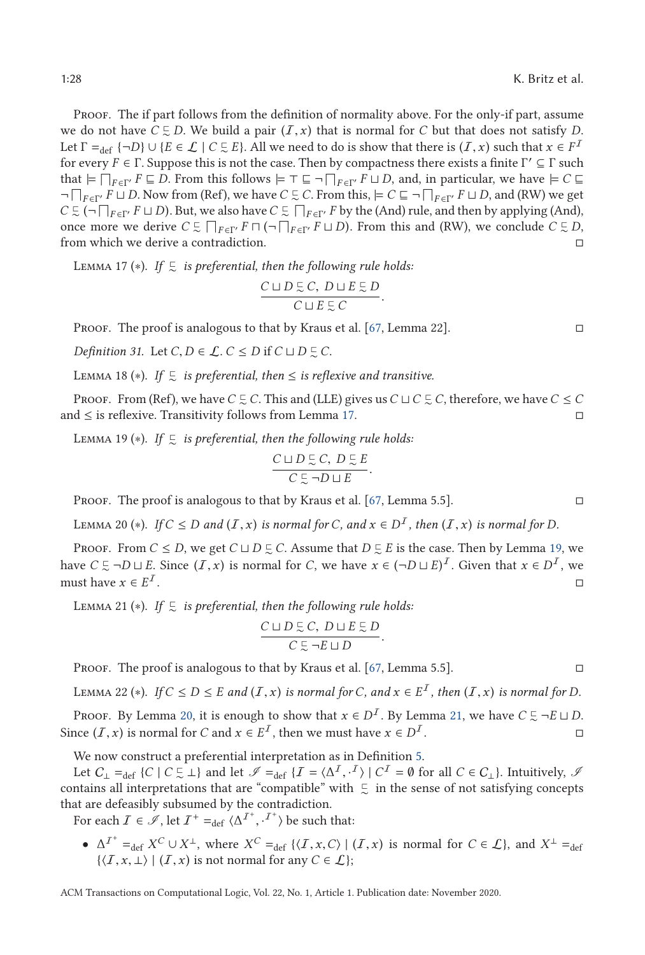<span id="page-27-0"></span>PROOF. The if part follows from the definition of normality above. For the only-if part, assume we do not have  $C \subseteq D$ . We build a pair  $(I, x)$  that is normal for *C* but that does not satisfy *D*.<br>Let  $\Gamma = (I - D) \cup (E \subseteq L \cup C \subseteq E)$  All we need to do is show that there is  $(I, x)$  such that  $x \in E^I$ Let  $\Gamma =_{def} \{-D\} \cup \{E \in \mathcal{L} \mid C \subsetneq E\}$ . All we need to do is show that there is  $(I, x)$  such that  $x \in F^I$ <br>for every  $E \in \Gamma$ . Suppose this is not the case. Then by compactness there evists a finite  $\Gamma' \subset \Gamma$  such for every  $F \in \Gamma$ . Suppose this is not the case. Then by compactness there exists a finite  $\Gamma' \subseteq \Gamma$  such that  $\models \prod_{F \in \Gamma'} F \sqsubseteq D$ . From this follows  $\models \top \sqsubseteq \neg \prod_{F \in \Gamma'} F \sqcup D$ , and, in particular, we have  $\models C \sqsubseteq$  $\neg\bigcap_{F\in\Gamma'} F\sqcup D$ . Now from (Ref), we have *C*  $\subseteq$  *C*. From this,  $\models C ⊆ \neg\bigcap_{F\in\Gamma'} F\sqcup D$ , and (RW) we get  $C \subsetneq (-\prod_{F \in \Gamma'} F \sqcup D)$ . But, we also have  $C \subsetneq \prod_{F \in \Gamma'} F$  by the (And) rule, and then by applying (And), once more we derive  $C \subsetneq \prod_{F \in \Gamma'} F \cap (\neg \prod_{F \in \Gamma'} F \sqcup D)$ . From this and (RW), we conclude  $C \subsetneq D$ , from which we derive a contradiction.

L $_{\rm EMMA}$  17 ( $*$ ). If  $\lneq$  is preferential, then the following rule holds:

$$
\frac{C \sqcup D \subsetneq C, D \sqcup E \subsetneq D}{C \sqcup E \subsetneq C}.
$$

Proof. The proof is analogous to that by Kraus et al. [\[67,](#page-45-0) Lemma 22].

*Definition 31.* Let  $C, D \in \mathcal{L}$ .  $C \leq D$  if  $C \sqcup D \subsetneq C$ .

LEMMA 18 ( $\diamond$ ). If  $\subseteq$  *is preferential, then* ≤ *is reflexive and transitive.* 

Proof. From (Ref), we have  $C \subsetneq C$ . This and (LLE) gives us  $C \sqcup C \subsetneq C$ , therefore, we have  $C \leq C$ and  $≤$  is reflexive. Transitivity follows from Lemma 17.  $□$ 

 $\textsc{Lemma 19}$  (\*). If  $\mathfrak{S}$  is preferential, then the following rule holds:

$$
\frac{C \sqcup D \subsetneq C, \ D \subsetneq E}{C \subsetneq \neg D \sqcup E}.
$$

PROOF. The proof is analogous to that by Kraus et al. [\[67,](#page-45-0) Lemma 5.5].  $\Box$ 

LEMMA 20 (\*). *If*  $C \leq D$  *and*  $(I, x)$  *is normal for*  $C$ *, and*  $x \in D^I$ *, then*  $(I, x)$  *is normal for*  $D$ *.* 

Proof. From  $C \leq D$ , we get  $C \sqcup D \subsetneq C$ . Assume that  $D \subsetneq E$  is the case. Then by Lemma 19, we have  $C \subseteq \neg D \sqcup E$ . Since  $(I, x)$  is normal for *C*, we have  $x \in (\neg D \sqcup E)^{I}$ . Given that  $x \in D^{I}$ , we must have  $x \in E^{I}$ must have  $x \in E^I$ .

LEMMA 21  $(*)$ . If  $\subseteq$  is preferential, then the following rule holds:

$$
\frac{C \sqcup D \subsetneq C, D \sqcup E \subsetneq D}{C \subsetneq \neg E \sqcup D}.
$$

PROOF. The proof is analogous to that by Kraus et al. [\[67,](#page-45-0) Lemma 5.5].  $\Box$ 

LEMMA 22 (∗). *If*  $C \le D \le E$  *and*  $(I, x)$  *is normal for C, and*  $x \in E^I$ *, then*  $(I, x)$  *is normal for D.* 

Proof. By Lemma 20, it is enough to show that  $x \in D^{\mathcal{I}}$ . By Lemma 21, we have  $C \subsetneq \neg E \sqcup D$ . Since (*I*, *x*) is normal for *C* and  $x \in E^I$ , then we must have  $x \in D^I$ . □

We now construct a preferential interpretation as in Definition [5.](#page-6-0)

Let  $C_{\perp} =_{def} \{C \mid C \subseteq \perp\}$  and let  $\mathcal{I} =_{def} \{T = \langle \Delta^I, \cdot^I \rangle \mid C^I = \emptyset \text{ for all } C \in C_{\perp}\}.$  Intuitively,  $\mathcal{I}$  the sense of not satisfying concepts contains all interpretations that are "compatible" with  $\mathrel{\subsetneq}$  in the sense of not satisfying concepts that are defeasibly subsumed by the contradiction.

For each  $\mathcal{I} \in \mathscr{I}$ , let  $\mathcal{I}^+ =_{def} \langle \Delta^{\mathcal{I}^+}, \cdot^{\mathcal{I}^+} \rangle$  be such that:

•  $\Delta^{T^+} =_{\text{def}} X^C \cup X^{\perp}$ , where  $X^C =_{\text{def}} \{ \langle \mathcal{I}, x, C \rangle \mid (\mathcal{I}, x) \text{ is normal for } C \in \mathcal{L} \}$ , and  $X^{\perp} =_{\text{def}} \{ \langle \mathcal{I}, x, C \rangle \mid (\mathcal{I}, x) \text{ is normal for } C \in \mathcal{L} \}$ , and  $X^{\perp} =_{\text{def}} \{ \langle \mathcal{I}, x, C \rangle \mid (\mathcal{I}, x) \text{ is normal for } C \in \mathcal{L} \}$ .  $\{\langle \mathcal{I}, x, \perp \rangle \mid (\mathcal{I}, x) \text{ is not normal for any } C \in \mathcal{L}\}\;$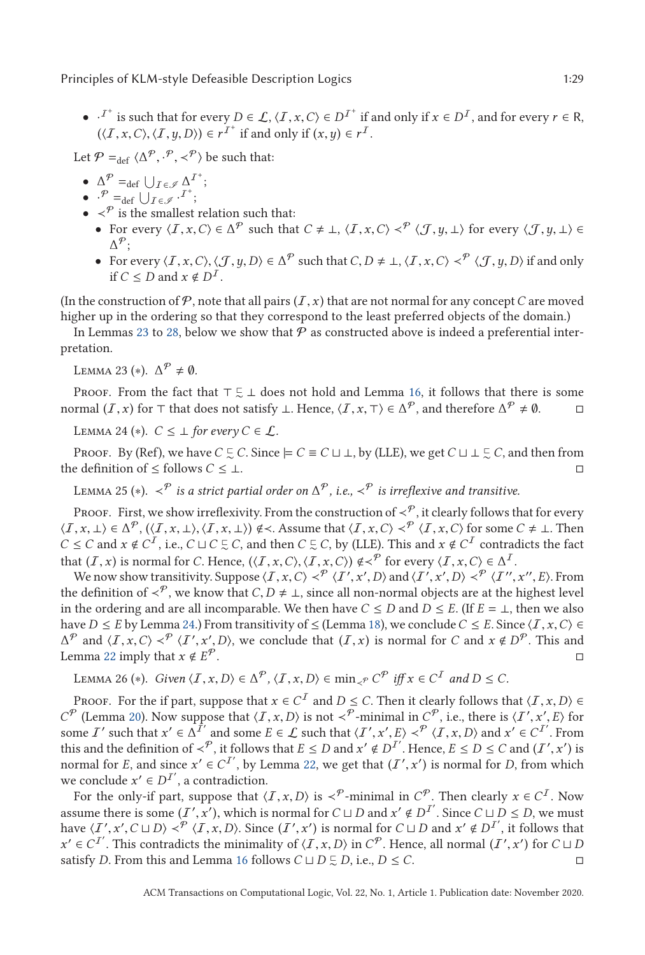<span id="page-28-0"></span>•  $\cdot$ <sup>T+</sup> is such that for every *D* ∈ *L*,  $\langle I, x, C \rangle \in D^{T^+}$  if and only if  $x \in D^T$ , and for every  $r \in R$ ,  $\langle I, x, C \rangle \langle I, y, D \rangle \in F^T$  if and only if  $(x, y) \in F$  $(\langle I, x, C \rangle, \langle I, y, D \rangle) \in r^{I^+}$  if and only if  $(x, y) \in r^{I}$ .

Let  $P =_{def} \langle \Delta^P, \cdot^P, \prec^P \rangle$  be such that:

- $\Delta^{\mathcal{P}} =_{\text{def}} \bigcup_{\mathcal{I} \in \mathcal{I}} \Delta^{\mathcal{I}^+};$
- $\cdot^{\mathcal{P}} =$ def  $\bigcup_{\mathcal{I} \in \mathcal{I}} \cdot^{\mathcal{I}^+}$ ;
- $\bullet \prec^{\mathcal{P}}$  is the smallest relation such that:
	- For every  $\langle I, x, C \rangle \in \Delta^{\mathcal{P}}$  such that  $C \neq \bot$ ,  $\langle I, x, C \rangle \prec^{\mathcal{P}} \langle J, y, \bot \rangle$  for every  $\langle J, y, \bot \rangle \in \Delta^{\mathcal{P}}$ .  $\Delta^{\mathcal{P}}$ :
	- For every  $\langle I, x, C \rangle$ ,  $\langle J, y, D \rangle$  ∈ Δ<sup>P</sup> such that *C*, *D* ≠ ⊥,  $\langle I, x, C \rangle$   $\prec$ <sup>P</sup>  $\langle J, y, D \rangle$  if and only if *C* < *D* and *x* ⊄ *D*<sup>*I*</sup> if  $C \leq D$  and  $x \notin D^{\mathcal{I}}$ .

(In the construction of  $P$ , note that all pairs  $(I, x)$  that are not normal for any concept C are moved higher up in the ordering so that they correspond to the least preferred objects of the domain.)

In Lemmas 23 to [28,](#page-29-0) below we show that  $P$  as constructed above is indeed a preferential interpretation.

Lemma 23 (\*).  $\Delta^{\mathcal{P}} \neq \emptyset$ .

PROOF. From the fact that  $\top \subseteq \bot$  does not hold and Lemma [16,](#page-26-0) it follows that there is some normal  $(I, x)$  for  $\top$  that does not satisfy  $\bot$ . Hence,  $\langle I, x, \top \rangle \in \Delta^{\mathcal{P}}$ , and therefore  $\Delta^{\mathcal{P}} \neq \emptyset$ .

LEMMA 24 (\*).  $C \leq \perp$  *for every*  $C \in \mathcal{L}$ .

Proof. By (Ref), we have  $C \subsetneq C$ . Since  $\models C \equiv C \sqcup \bot$ , by (LLE), we get  $C \sqcup \bot \subsetneq C$ , and then from the definition of  $\leq$  follows  $C \leq \perp$ .

LEMMA 25 (\*).  $\langle \varphi \rangle$  *is a strict partial order on*  $\Delta^{\mathcal{P}}$ *, i.e.,*  $\langle \varphi \rangle$  *is irreflexive and transitive.* 

PROOF. First, we show irreflexivity. From the construction of  $\lt^{\mathcal{P}}$ , it clearly follows that for every  $\langle I, x, \perp \rangle \in \Delta^{\mathcal{P}}, \langle \langle I, x, \perp \rangle, \langle I, x, \perp \rangle \rangle \notin \langle \angle$ . Assume that  $\langle I, x, C \rangle \prec^{\mathcal{P}} \langle I, x, C \rangle$  for some  $C \neq \perp$ . Then  $C \leq C$  and  $x \notin C^I$  i.e.  $C \cup C \subseteq C$  and then  $C \subseteq C$  by (IIF). This and  $x \notin C^I$  contradicts the  $C \le C$  and  $x \notin C^I$ , i.e.,  $C \sqcup C \subseteq C$ , and then  $C \subseteq C$ , by (LLE). This and  $x \notin C^I$  contradicts the fact that  $(I, x)$  is normal for *C*. Hence,  $(\langle I, x, C \rangle, \langle I, x, C \rangle) \notin \langle^{\mathcal{P}}$  for every  $\langle I, x, C \rangle \in \Delta^{I}$ .

We now show transitivity. Suppose  $\langle I, x, C \rangle \prec^p \langle I', x', D \rangle$  and  $\langle I', x', D \rangle \prec^p \langle I'', x'', E \rangle$ . From  $\vdash$  and  $\vdash^p$  we know that  $C, D, \star \bot$  since all non-normal objects are at the highest level the definition of  $\prec^p$ , we know that *C*, *D*  $\neq$  ⊥, since all non-normal objects are at the highest level<br>in the ordering and are all incomparable. We then have *C* < *D* and *D* < *F* (If *F* - + then we also in the ordering and are all incomparable. We then have  $C \leq D$  and  $D \leq E$ . (If  $E = \perp$ , then we also have *D* ≤ *E* by Lemma 24.) From transitivity of ≤ (Lemma [18\)](#page-27-0), we conclude *C* ≤ *E*. Since  $\langle I, x, C \rangle \in$  $\Delta^{\mathcal{P}}$  and  $\langle I, x, C \rangle \prec^{\mathcal{P}} \langle I', x', D \rangle$ , we conclude that  $(I, x)$  is normal for *C* and  $x \notin D^{\mathcal{P}}$ . This and I amma 22 imply that  $x \notin E^{\mathcal{P}}$ Lemma [22](#page-27-0) imply that  $x \notin E^{\mathcal{P}}$ .

LEMMA 26 (\*). *Given*  $\langle I, x, D \rangle \in \Delta^{\mathcal{P}}, \langle I, x, D \rangle \in \min_{\mathcal{A}^{\mathcal{P}}} C^{\mathcal{P}}$  *iff*  $x \in C^{\mathcal{I}}$  *and*  $D \leq C$ *.* 

Proof. For the if part, suppose that  $x \in C^{\mathcal{I}}$  and  $D \leq C$ . Then it clearly follows that  $\langle \mathcal{I}, x, D \rangle \in$ *C*<sup> $P$ </sup> (Lemma [20\)](#page-27-0). Now suppose that  $\langle I, x, D \rangle$  is not  $\prec^P$ -minimal in  $C^P$ , i.e., there is  $\langle I', x', E \rangle$  for some *I'* such that  $x' \in \Delta \tilde{I}'$  and some  $E \in \mathcal{L}$  such that  $\langle I', x', E \rangle \prec^{\mathcal{P}} \langle I, x, D \rangle$  and  $x' \in C^{\mathcal{I}}$ . From this and the definition of  $\prec^{\mathcal{P}}$  if follows that  $F \prec D$  and  $x' \notin D^{\mathcal{I}'}$ . Hence  $F \prec D \prec C$  a this and the definition of  $\lt^p$ , it follows that  $E \leq D$  and  $x' \notin D^{I'}$ . Hence,  $E \leq D \leq C$  and  $(I', x')$  is normal for *E* and since  $x' \in C^{I'}$  by Lemma 22, we get that  $(I', x')$  is normal for *D* from which normal for *E*, and since  $x' \in C^{I'}$ , by Lemma [22,](#page-27-0) we get that  $(I', x')$  is normal for *D*, from which we conclude  $x' \in D^{I'}$ , a contradiction.

For the only-if part, suppose that  $\langle I, x, D \rangle$  is  $\prec^p$ -minimal in  $C^p$ . Then clearly  $x \in C^I$ . Now assume there is some  $(I', x')$ , which is normal for  $C \sqcup D$  and  $x' \notin D^{I'}$ . Since  $C \sqcup D \leq D$ , we must<br>have  $(I', x') \subset D \sqcup D \prec P$ ,  $(I, x, D)$ . Since  $(I', x')$  is normal for  $C \sqcup D$  and  $x' \notin D^{I'}$ , it follows that have  $\langle I', x', C \sqcup D \rangle \prec^{\mathcal{P}} \langle I, x, D \rangle$ . Since  $(I', x')$  is normal for  $C \sqcup D$  and  $x' \notin D^{I'}$ , it follows that  $x' \in C^{I'}$ . This contradicts the minimality of  $(I, x, D)$  in  $C^{\mathcal{P}}$ . Hence, all normal  $(I', x')$  for  $C \sqcup D$  $x' \in C^{I'}$ . This contradicts the minimality of  $\langle I, x, D \rangle$  in  $C^{\mathcal{P}}$ . Hence, all normal  $(I', x')$  for  $C \sqcup D$  satisfy *D*. From this and Lemma 16 follows  $C \sqcup D \subseteq D$  i.e.,  $D \le C$ satisfy *D*. From this and Lemma [16](#page-26-0) follows *C*  $\sqcup$  *D*  $\subseteq$  *D*, i.e., *D* ≤ *C*.  $\Box$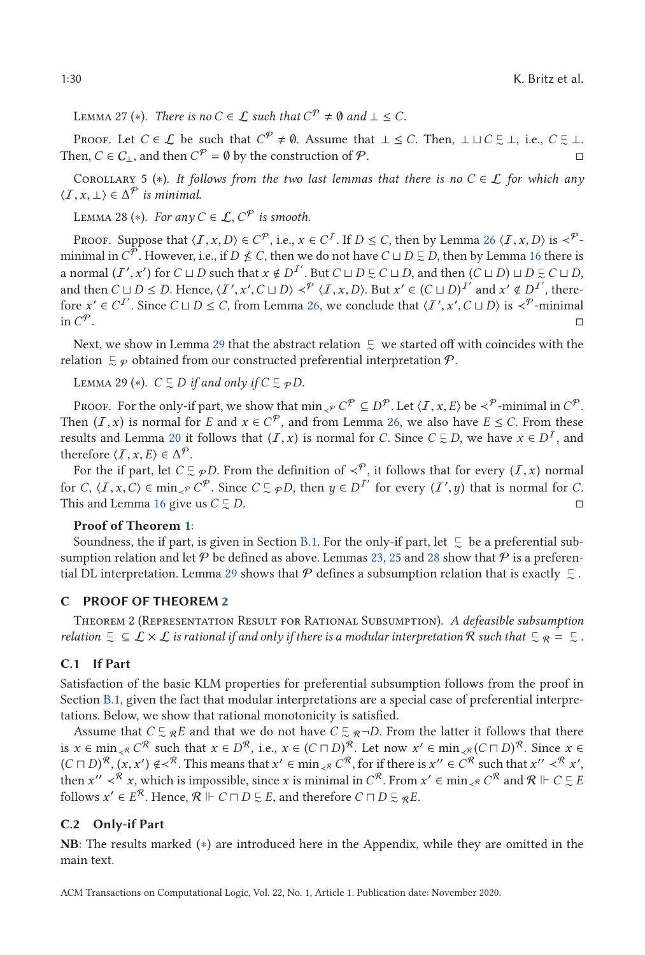<span id="page-29-0"></span>LEMMA 27 (\*). *There is no*  $C \in \mathcal{L}$  *such that*  $C^{\mathcal{P}} \neq \emptyset$  *and*  $\bot \leq C$ *.* 

Proof. Let  $C \in \mathcal{L}$  be such that  $C^{\mathcal{P}} \neq \emptyset$ . Assume that  $\bot \leq C$ . Then,  $\bot \sqcup C \subsetneq \bot$ , i.e.,  $C \subsetneq \bot$ . Then,  $C \in C_{\perp}$ , and then  $C^{\mathcal{P}} = \emptyset$  by the construction of  $\mathcal{P}$ .

COROLLARY 5 (\*). *It follows from the two last lemmas that there is no*  $C \in \mathcal{L}$  *for which any*  $\langle I, x, \perp \rangle \in \Delta^{\mathcal{P}}$  *is minimal.* 

LEMMA 28 (\*). *For any*  $C \in \mathcal{L}$ ,  $C^{\mathcal{P}}$  *is smooth.* 

Proof. Suppose that  $\langle I, x, D \rangle \in C^{\mathcal{P}}$ , i.e.,  $x \in C^{\mathcal{I}}$ . If  $D \leq C$ , then by Lemma [26](#page-28-0)  $\langle I, x, D \rangle$  is  $\prec^{\mathcal{P}}$ minimal in  $C^{\overline{p}}$ . However, i.e., if  $D \nleq C$ , then we do not have  $C \sqcup D \subsetneq D$ , then by Lemma [16](#page-26-0) there is a normal  $(I', x')$  for  $C \sqcup D$  such that  $x \notin D^{I'}$ . But  $C \sqcup D \subseteq C \sqcup D$ , and then  $(C \sqcup D) \sqcup D \subseteq C \sqcup D$ , and then  $C \sqcup D \subseteq D$  Honor  $(I', x') \subseteq C \sqcup D$ .  $\mathcal{P}(I, x, D)$ . But  $x' \in (C \sqcup D)^{I'}$  and  $x' \notin D^{I'}$ , there and then  $C \sqcup D \leq D$ . Hence,  $\langle I', x', C \sqcup D \rangle \prec^P \langle I, x, D \rangle$ . But  $x' \in (C \sqcup D)^{I'}$  and  $x' \notin D^{I'}$ , there-<br>fore  $x' \in C^{I'}$ . Since  $C \sqcup D \leq C$  from Lemma 26, we conclude that  $\langle I', x', C \sqcup D \rangle$  is  $\prec^P$ -minimal fore  $x' \in C^{I'}$ . Since  $C \sqcup D \le C$ , from Lemma [26,](#page-28-0) we conclude that  $\langle I', x', C \sqcup D \rangle$  is  $\prec^{\mathcal{P}}$ -minimal in  $C^{\mathcal{P}}$ in  $\mathcal{C}^{\mathcal{P}}$ .

Next, we show in Lemma 29 that the abstract relation  $\ \overline{\mathbb{L}}\ \ }$  we started off with coincides with the relation  $\mathfrak{S}_{\mathcal{P}}$  obtained from our constructed preferential interpretation  $\mathcal{P}.$ 

 $\text{LEMMA } 29 (*)$ .  $C \subsetneq D$  if and only if  $C \subsetneq \varphi D$ .

Proof. For the only-if part, we show that  $\min_{\mathcal{L}^P} C^P \subseteq D^P$ . Let  $\langle I, x, E \rangle$  be  $\prec^P$ -minimal in  $C^P$ . Then  $(I, x)$  is normal for *E* and  $x \in C^{\mathcal{P}}$ , and from Lemma [26,](#page-28-0) we also have  $E \leq C$ . From these results and Lemma [20](#page-27-0) it follows that  $(I, x)$  is normal for *C*. Since  $C \subsetneq D$ , we have  $x \in D<sup>T</sup>$ , and therefore  $(T, x, E) \subset \Delta^{\mathcal{P}}$ therefore  $\langle I, x, E \rangle \in \Delta^{\mathcal{P}}$ .

For the if part, let  $C \subseteq \mathcal{P}D$ . From the definition of  $\prec^{\mathcal{P}}$ , it follows that for every  $(I, x)$  normal for  $C \subset \mathcal{P}$ ,  $\prec^{\mathcal{P}}$  for  $\prec^{\mathcal{P}}$  for every  $(I', u)$  that is normal for  $C$ for *C*,  $\langle I, x, C \rangle \in \min_{\prec P} C^P$ . Since  $C \subsetneq \mathcal{P}D$ , then  $y \in D^{I'}$  for every  $(I', y)$  that is normal for *C*.<br>This and Lemma 16 give us  $C \subseteq D$ This and Lemma [16](#page-26-0) give us  $C \subsetneq$ ∼ *D*.

#### **Proof of Theorem [1](#page-8-0)**:

Soundness, the if part, is given in Section [B.1.](#page-26-0) For the only-if part, let  $\mathrel{\subsetsim}$  be a preferential subsumption relation and let  $P$  be defined as above. Lemmas [23,](#page-28-0) [25](#page-28-0) and 28 show that  $P$  is a preferential DL interpretation. Lemma 29 shows that  $\mathcal P$  defines a subsumption relation that is exactly  $\mathrel{\subsetsim}$ .

#### **C PROOF OF THEOREM [2](#page-9-0)**

Theorem 2 (Representation Result for Rational Subsumption). *A defeasible subsumption* relation  $\zeta \subseteq L \times L$  is rational if and only if there is a modular interpretation R such that  $\zeta_R = \zeta$  .

#### **C.1 If Part**

Satisfaction of the basic KLM properties for preferential subsumption follows from the proof in Section [B.1,](#page-26-0) given the fact that modular interpretations are a special case of preferential interpretations. Below, we show that rational monotonicity is satisfied.

Assume that  $C \subseteq_R E$  and that we do not have  $C \subseteq_R \neg D$ . From the latter it follows that there is  $x \in \min_{\mathcal{A}} C^{\mathcal{R}}$  such that  $x \in D^{\mathcal{R}}$ , i.e.,  $x \in (C \sqcap D)^{\mathcal{R}}$ . Let now  $x' \in \min_{\mathcal{A}} (C \sqcap D)^{\mathcal{R}}$ . Since  $x \in$  $(C \sqcap D)^{\mathcal{R}}, (x, x') \notin \prec^{\mathcal{R}}$ . This means that  $x' \in \min_{x \in \mathcal{R}} C^{\mathcal{R}}$ , for if there is  $x'' \in C^{\mathcal{R}}$  such that  $x'' \prec^{\mathcal{R}} x'$ , then  $x'' \prec^{\mathcal{R}} x$  is minore *x* is minimal in  $C^{\mathcal{R}}$ . From  $x' \in \min_{x \in C} C^{\mathcal{R}}$ then  $x'' <sup>R</sup> x$ , which is impossible, since *x* is minimal in  $C^R$ . From  $x' \in \min_{x \in C} C^R$  and  $R \Vdash C \subsetneq E$ follows  $x' \in E^{\mathcal{R}}$ . Hence,  $\mathcal{R} \Vdash C \sqcap D \subsetneq E$ , and therefore  $C \sqcap D \subsetneq \mathcal{R}E$ .

#### **C.2 Only-if Part**

**NB**: The results marked (∗) are introduced here in the Appendix, while they are omitted in the main text.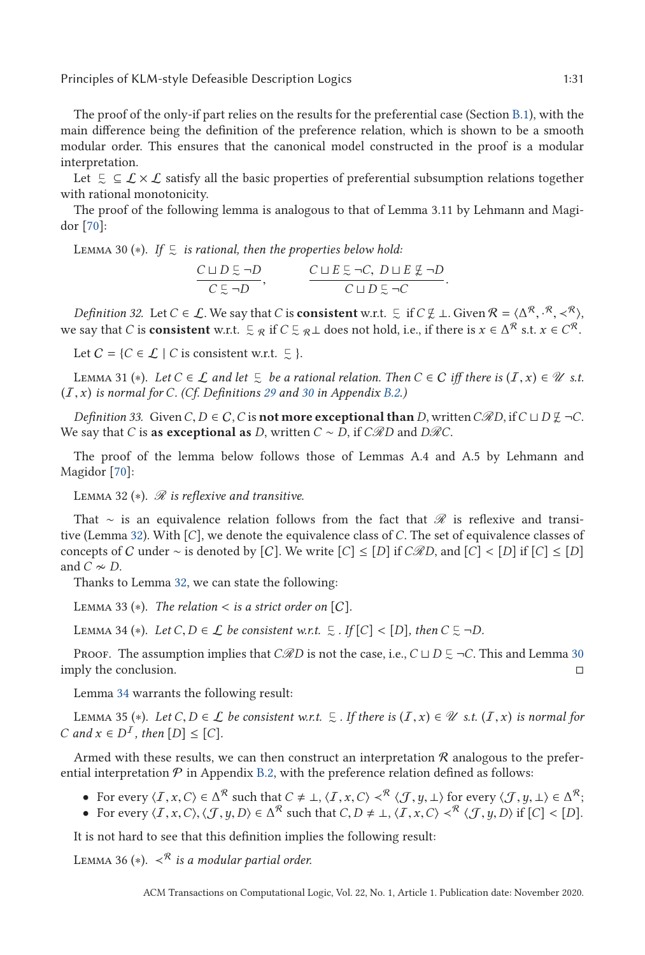The proof of the only-if part relies on the results for the preferential case (Section [B.1\)](#page-26-0), with the main difference being the definition of the preference relation, which is shown to be a smooth modular order. This ensures that the canonical model constructed in the proof is a modular interpretation.

Let  $\zeta \subseteq \mathcal{L} \times \mathcal{L}$  satisfy all the basic properties of preferential subsumption relations together with rational monotonicity.

The proof of the following lemma is analogous to that of Lemma 3.11 by Lehmann and Magidor [\[70\]](#page-45-0):

 $\textsc{Lemma 30 (*)}.$  If  $\mathfrak{\subsetneq}$  is rational, then the properties below hold:

$$
\frac{C \sqcup D \subsetneq \neg D}{C \subsetneq \neg D}, \qquad \frac{C \sqcup E \subsetneq \neg C, D \sqcup E \not\subsetneq \neg D}{C \sqcup D \subsetneq \neg C}.
$$

*Definition 32.* Let *C* ∈ *L*. We say that *C* is **consistent** w.r.t.  $\subseteq$  if *C*  $\nsubseteq$  *⊥*. Given  $\mathcal{R} = \langle \Delta^{\mathcal{R}}, \cdot^{\mathcal{R}}, \times^{\mathcal{R}} \rangle$ ,  $\leq$   $\sim$   $\mathcal{R}$ ,  $\leq$   $\sim$   $\mathcal{R}$ ,  $\leq$   $\sim$   $\mathcal{R}$ ,  $\leq$   $\sim$   $\mathcal{$ we say that *C* is **consistent** w.r.t.  $\subseteq \mathbb{R}$  if  $C \subseteq \mathbb{R}$  does not hold, i.e., if there is  $x \in \Delta^{\mathcal{R}}$  s.t.  $x \in C^{\mathcal{R}}$ .

Let  $C = \{C \in \mathcal{L} \mid C \text{ is consistent w.r.t. } \subsetneq \}.$ 

LEMMA 31 (\*). *Let C* ∈ *L and let*  $\subseteq$  *be a rational relation. Then C* ∈ *C iff there is* (*I*, *x*) ∈ U *s.t.*<br>
∴ *x*) *is normal for C* (Cf. Definitions 29 and 30 in Appendix B 2) (I, *<sup>x</sup>*) *is normal for <sup>C</sup>. (Cf. Definitions [29](#page-26-0) and [30](#page-26-0) in Appendix [B.2.](#page-26-0))*

*Definition 33.* Given *C*, *D* ∈ *C*, *C* is **not more exceptional than** *D*, written *C* $\Re D$ , if *C*  $\sqcup$  *D*  $\nsubseteq$  *-C*. We say that *C* is **as exceptional as** *D*, written  $C \sim D$ , if  $C\Re D$  and  $D\Re C$ .

The proof of the lemma below follows those of Lemmas A.4 and A.5 by Lehmann and Magidor [\[70\]](#page-45-0):

LEMMA 32 (\*). *R* is reflexive and transitive.

That ∼ is an equivalence relation follows from the fact that  $\mathscr R$  is reflexive and transitive (Lemma 32). With [*C*], we denote the equivalence class of *C*. The set of equivalence classes of concepts of C under ∼ is denoted by [C]. We write  $[C] \leq [D]$  if  $C\Re D$ , and  $[C] < [D]$  if  $[C] \leq [D]$ and  $\overrightarrow{C} \approx D$ .

Thanks to Lemma 32, we can state the following:

LEMMA 33  $(*)$ . *The relation* < *is a strict order on* [C].

LEMMA 34 (\*). *Let*  $C, D \in \mathcal{L}$  *be consistent w.r.t.*  $\subseteq$  *. If*  $[C] < [D]$ *, then*  $C \subseteq \neg D$ *.* 

Proof. The assumption implies that  $C\mathscr{R}D$  is not the case, i.e.,  $C\sqcup D\subsetneq \neg C$ . This and Lemma 30 imply the conclusion.

Lemma 34 warrants the following result:

LEMMA 35 (∗). *Let C*, *D* ∈ *L be consistent w.r.t.*  $\subseteq$  *. If there is*  $(I, x) \in \mathcal{U}$  *s.t.*  $(I, x)$  *is normal for* and  $x \in D^I$  then  $[D] \leq [C]$ *C* and  $x$  ∈  $D<sup>T</sup>$ , then  $[D]$  ≤  $[C]$ *.* 

Armed with these results, we can then construct an interpretation  $R$  analogous to the preferential interpretation  $P$  in Appendix [B.2,](#page-26-0) with the preference relation defined as follows:

- For every  $\langle I, x, C \rangle \in \Delta^{\mathcal{R}}$  such that  $C \neq \bot$ ,  $\langle I, x, C \rangle \prec^{\mathcal{R}} \langle J, y, \bot \rangle$  for every  $\langle J, y, \bot \rangle \in \Delta^{\mathcal{R}}$ ;<br>► For every  $\langle I, x, C \rangle \langle I, y, D \rangle \in \Delta^{\mathcal{R}}$  such that  $C, D \neq \bot \langle I, x, C \rangle \prec^{\mathcal{R}} \langle I, y, D \rangle$  if  $[C]$
- For every  $\langle I, x, C \rangle, \langle J, y, D \rangle \in \Delta^R$  such that  $C, D \neq \bot, \langle I, x, C \rangle \prec^R \langle J, y, D \rangle$  if  $[C] < [D]$ .

It is not hard to see that this definition implies the following result:

LEMMA 36 (\*).  $\prec^{\mathcal{R}}$  *is a modular partial order.*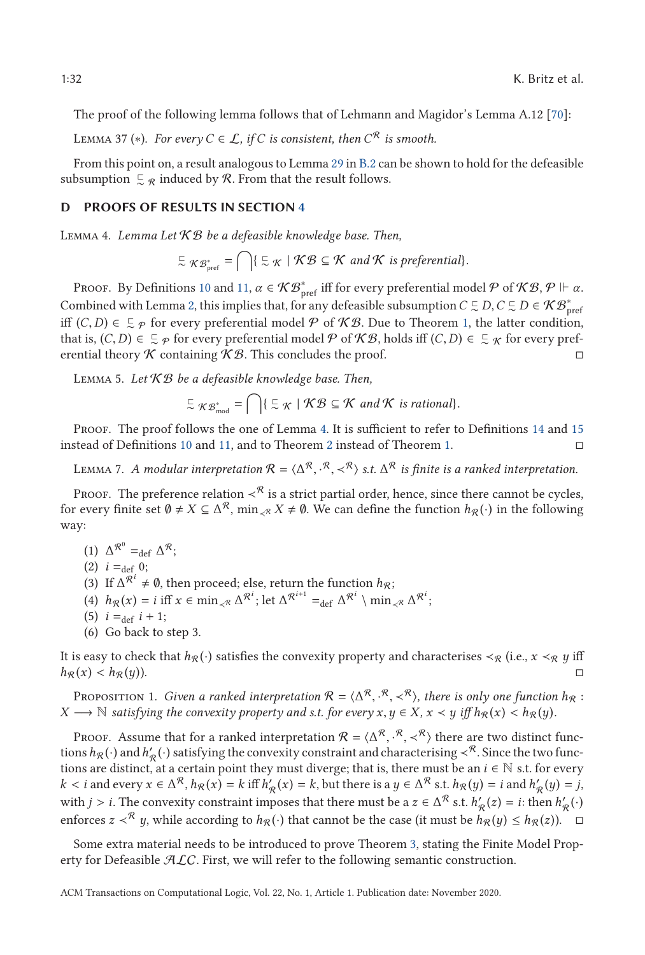<span id="page-31-0"></span>The proof of the following lemma follows that of Lehmann and Magidor's Lemma A.12 [\[70\]](#page-45-0):

LEMMA 37 ( $*$ ). *For every C* ∈ *L*, *if C is consistent, then*  $C^R$  *is smooth.* 

From this point on, a result analogous to Lemma [29](#page-29-0) in [B.2](#page-26-0) can be shown to hold for the defeasible subsumption  $\mathfrak{S}_{\mathcal{R}}$  induced by  $\mathcal{R}$ . From that the result follows.

#### **D PROOFS OF RESULTS IN SECTION [4](#page-9-0)**

Lemma 4. *Lemma Let* K B *be a defeasible knowledge base. Then,*

$$
\subseteq \mathcal{KB}_{\text{pref}}^* = \bigcap \{ \subseteq \mathcal{K} \mid \mathcal{KB} \subseteq \mathcal{K} \text{ and } \mathcal{K} \text{ is preferential} \}.
$$

Proof. By Definitions [10](#page-9-0) and [11,](#page-9-0)  $\alpha \in \mathcal{KB}_{\mathsf{pref}}^*$  iff for every preferential model  $\mathcal P$  of  $\mathcal{KB}, \mathcal P \Vdash \alpha$ . Combined with Lemma [2,](#page-8-0) this implies that, for any defeasible subsumption  $C \subseteq D, C \subseteq D \in \mathcal{KB}_{\text{pref}}^*$ iff  $(C, D) \in \mathbb{Z}_{p}$  for every preferential model  $P$  of  $\mathcal{KB}$ . Due to Theorem [1,](#page-8-0) the latter condition, that is  $(C, D) \in \mathbb{Z}_{p}$  for every preferential model  $P$  of  $\mathcal{KB}$  holds iff  $(C, D) \in \mathbb{Z}_{q}$  for every prefe that is,  $(C, D) \in \mathcal{Z}_P$  for every preferential model  $\mathcal P$  of  $\mathcal{KB}$ , holds iff  $(C, D) \in \mathcal{Z}_\mathcal{KB}$  for every preferential theory  $\mathcal{KG}$  containing  $\mathcal{KG}$ . This concludes the proof erential theory  $K$  containing  $K\mathcal{B}$ . This concludes the proof.

Lemma 5. *Let* K B *be a defeasible knowledge base. Then,*

$$
\subseteq \mathcal{KB}_{\text{mod}}^* = \bigcap \{ \subseteq \mathcal{K} \mid \mathcal{KB} \subseteq \mathcal{K} \text{ and } \mathcal{K} \text{ is rational} \}.
$$

PROOF. The proof follows the one of Lemma [4.](#page-10-0) It is sufficient to refer to Definitions [14](#page-10-0) and [15](#page-10-0) instead of Definitions [10](#page-9-0) and [11,](#page-9-0) and to Theorem [2](#page-9-0) instead of Theorem [1.](#page-8-0)

LEMMA 7. *A modular interpretation*  $R = \langle \Delta^R, \cdot^R, \prec^R \rangle$  *s.t.*  $\Delta^R$  *is finite is a ranked interpretation.* 

PROOF. The preference relation  $\prec^{\mathcal{R}}$  is a strict partial order, hence, since there cannot be cycles, for every finite set  $\emptyset \neq X \subseteq \Delta^{\mathcal{R}}$ ,  $\min_{\prec^{\mathcal{R}}} X \neq \emptyset$ . We can define the function  $h_{\mathcal{R}}(\cdot)$  in the following way:

- (1)  $\Delta^{\mathcal{R}^0}$  = def  $\Delta^{\mathcal{R}}$ ;
- (2)  $i =_{def} 0;$
- (3) If  $\Delta^{\mathcal{R}^i} \neq \emptyset$ , then proceed; else, return the function  $h_{\mathcal{R}}$ ;
- (4)  $h_{\mathcal{R}}(x) = i \text{ iff } x \in \min_{\mathcal{R}} \Delta^{\mathcal{R}^i}$ ; let  $\Delta^{\mathcal{R}^{i+1}} =_{\text{def}} \Delta^{\mathcal{R}^i} \setminus \min_{\mathcal{R}} \Delta^{\mathcal{R}^i}$ ;
- $(5)$  *i* = def *i* + 1;
- (6) Go back to step 3.

It is easy to check that  $h_R(\cdot)$  satisfies the convexity property and characterises  $\prec_R$  (i.e.,  $x \prec_R y$  iff  $h_{\mathcal{R}}(x) < h_{\mathcal{R}}(y)$ .

PROPOSITION 1. *Given a ranked interpretation*  $\mathcal{R} = \langle \Delta^{\mathcal{R}}, \cdot^{\mathcal{R}}, \prec^{\mathcal{R}} \rangle$ , *there is only one function*  $h_{\mathcal{R}} :$ <br>  $\longrightarrow \mathbb{N}$  satisfying the convexity property and s t, for every  $x, y \in X, x \leq y$  iff  $h_{\mathcal{$ *X* → N *satisfying the convexity property and s.t. for every*  $x, y \in X$ ,  $x \prec y$  *iff*  $h_R(x) \leq h_R(y)$ .

PROOF. Assume that for a ranked interpretation  $\mathcal{R} = \langle \Delta^{\mathcal{R}}, \cdot^{\mathcal{R}}, \prec^{\mathcal{R}} \rangle$  there are two distinct func-<br>ns ho(.) and h' (.) satisfying the convexity constraint and characterising  $\prec^{\mathcal{R}}$  Since the two fun tions  $h_{\mathcal{R}}(\cdot)$  and  $h'_{\mathcal{R}}(\cdot)$  satisfying the convexity constraint and characterising ≺<sup>R</sup>. Since the two functions are distinct, at a certain point they must diverge; that is, there must be an  $i \in \mathbb{N}$  s.t. for every *k* < *i* and every  $x \in \Delta^R$ ,  $h_R(x) = k$  iff  $h'_R(x) = k$ , but there is a  $y \in \Delta^R$  s.t.  $h_R(y) = i$  and  $h'_R(y) = j$ , with  $i > j$ . The convertive constraint imposes that there must be a  $\alpha \in \Delta^R$  at  $k'$  (c) = *i*, then  $k'$  () with *j* > *i*. The convexity constraint imposes that there must be a *z* ∈  $\Delta^R$  s.t.  $h'_R(z) = i$ : then  $h'_R(\cdot)$ enforces *z* ≺<sup>R</sup> *y*, while according to  $h_R(·)$  that cannot be the case (it must be  $h_R(y) \leq h_R(z)$ ).  $\Box$ 

Some extra material needs to be introduced to prove Theorem [3,](#page-12-0) stating the Finite Model Property for Defeasible  $ALC$ . First, we will refer to the following semantic construction.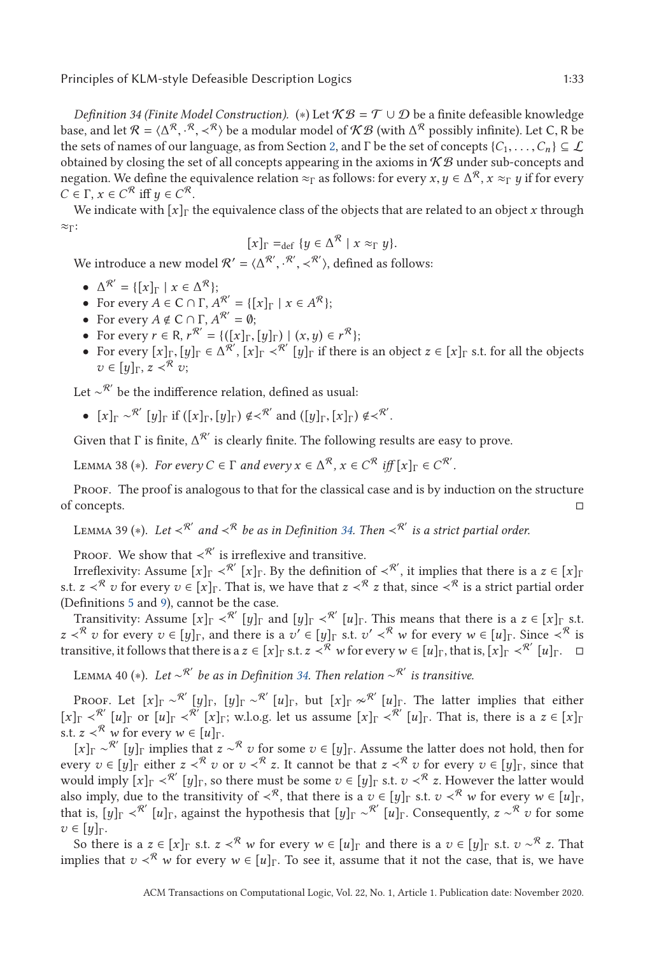<span id="page-32-0"></span>*Definition 34 (Finite Model Construction).* (\*) Let  $\mathcal{KB} = \mathcal{T} \cup \mathcal{D}$  be a finite defeasible knowledge base, and let  $\mathcal{R} = \langle \Delta^{\mathcal{R}}, \cdot^{\mathcal{R}}, \times^{\mathcal{R}} \rangle$  be a modular model of  $\mathcal{KB}$  (with  $\Delta^{\mathcal{R}}$  possibly infinite). Let C, R be the set of concents  $C_1$ ,  $C_2$  is the set of concents  $C_2$ ,  $C_3$  is  $C_4$ the sets of names of our language, as from Section [2,](#page-2-0) and Γ be the set of concepts  $\{C_1,\ldots,C_n\} \subseteq \mathcal{L}$ obtained by closing the set of all concepts appearing in the axioms in  $KB$  under sub-concepts and negation. We define the equivalence relation  $\approx_{\Gamma}$  as follows: for every  $x, y \in \Delta^{\mathcal{R}}$ ,  $x \approx_{\Gamma} y$  if for every  $C \in \Gamma$ ,  $x \in C^{\mathcal{R}}$  iff  $y \in C^{\mathcal{R}}$ .

We indicate with  $[x]_T$  the equivalence class of the objects that are related to an object x through  $\approx_{\Gamma}$ :

$$
[x]_{\Gamma} =_{\text{def}} \{ y \in \Delta^{\mathcal{R}} \mid x \approx_{\Gamma} y \}.
$$

 $[x]_{\Gamma} =_{\text{def}} \{y \in \Delta^{\mathcal{R}} \mid x \approx_{\Gamma} y\}.$ <br>We introduce a new model  $\mathcal{R}' = \langle \Delta^{\mathcal{R}'}, \cdot^{\mathcal{R}'}, \prec^{\mathcal{R}'}\rangle$ , defined as follows:

- $\Delta^{\mathcal{R}'} = \{ [x]_{\Gamma} \mid x \in \Delta^{\mathcal{R}} \};$
- For every  $A \in \mathbb{C} \cap \Gamma$ ,  $A^{R'} = \{ [x]_{\Gamma} \mid x \in A^{R} \}$ ;
- For every  $A \notin C \cap \Gamma$ ,  $A^{R'} = \emptyset$ ;
- For every  $r \in \mathbb{R}$ ,  $r^{R'} = \{([x]_F, [y]_F) \mid (x, y) \in r^R\};$ <br>• For every [x]<sub>R</sub> [*y*]<sub>R</sub>  $\in \Lambda^R$ ' [x]<sub>R</sub>  $\sim$   $R'$  [y]<sub>R</sub> if there
- For every  $[x]_{\Gamma}, [y]_{\Gamma} \in \Delta^{\mathcal{R}}$ ,  $[x]_{\Gamma} < \mathcal{R}'$  [*y*]<sub>Γ</sub> if there is an object  $z \in [x]_{\Gamma}$  s.t. for all the objects  $z \in [x]_{\Gamma}$  $v \in [y]_{\Gamma}$ ,  $z \prec^{\mathcal{R}} v$ ;

Let  $\sim^{\mathcal{R}'}$  be the indifference relation, defined as usual:

•  $[x]_{\Gamma} \sim^{\mathcal{R}'} [y]_{\Gamma}$  if  $([x]_{\Gamma}, [y]_{\Gamma}) \notin \prec^{\mathcal{R}'}$  and  $([y]_{\Gamma}, [x]_{\Gamma}) \notin \prec^{\mathcal{R}'}$ .

Given that  $\Gamma$  is finite,  $\Delta^{R'}$  is clearly finite. The following results are easy to prove.

 $\Delta^R$ ,  $x \in C^R$  *iff*  $[x]$ <sub>Γ</sub> ∈  $C^R$ . *For every*  $C \in \Gamma$  *and every*  $x \in \Delta^R$ ,  $x \in C^R$  *iff*  $[x]$ <sub>Γ</sub> ∈  $C^R$ .

Proof. The proof is analogous to that for the classical case and is by induction on the structure of concepts.

LEMMA 39 (\*). Let  $\prec^{\mathcal{R}'}$  and  $\prec^{\mathcal{R}}$  be as in Definition 34. Then  $\prec^{\mathcal{R}'}$  is a strict partial order.

Proof. We show that  $\prec^{\mathcal{R}'}$  is irreflexive and transitive.

Irreflexivity: Assume  $[x]_\Gamma\prec^{{\mathcal{R}}'}[x]_\Gamma.$  By the definition of  $\prec^{{\mathcal{R}}'},$  it implies that there is a  $z\in [x]_\Gamma$ s.t.  $z \leq R$  *v* for every  $v \in [x]_r$ . That is, we have that  $z \leq R$  *z* that, since  $\leq R$  is a strict partial order (Definitions [5](#page-6-0) and [9\)](#page-9-0), cannot be the case.

Transitivity: Assume  $[x]_{\Gamma} \prec^{\mathcal{R}'} [y]_{\Gamma}$  and  $[y]_{\Gamma} \prec^{\mathcal{R}'} [u]_{\Gamma}$ . This means that there is a  $z \in [x]_{\Gamma}$  s.t. *z*  $\lt \lt^R$  *v* for every  $v \in [y]_F$ , and there is a  $v' \in [y]_F$  s.t.  $v' \lt^R w$  for every  $w \in [u]_F$ . Since  $\lt^R$  is transitive, it follows that there is a  $z \in [x]$  s.t.  $z \leq \sqrt{R}$  *w* for every  $w \in [u]$ <sub>Γ</sub>, that is,  $[x]$ <sub>Γ</sub>  $\lt^{\mathcal{R}'} [u]$ <sub>Γ</sub>.  $\Box$ 

Lemma 40 (∗). *Let* ∼R *be as in Definition 34. Then relation* ∼R *is transitive.*

Proof. Let  $[x]_\Gamma \sim^{\mathcal{R}'}[y]_\Gamma, [y]_\Gamma \sim^{\mathcal{R}'}[u]_\Gamma,$  but  $[x]_\Gamma \nsim^{\mathcal{R}'}[u]_\Gamma.$  The latter implies that either  $[x]$ Γ  $\prec^{\mathcal{R}'}$   $[u]$ Γ or  $[u]$ Γ  $\prec^{\mathcal{R}'}$   $[x]$ Γ; w.l.o.g. let us assume  $[x]$ Γ  $\prec^{\mathcal{R}'}$   $[u]$ Γ. That is, there is a  $z \in [x]$ Γ s.t.  $z <sup>R</sup>$  *w* for every  $w \in [u]$ <sub>Γ</sub>.

 $[x]$ Γ  $\sim$ <sup>R'</sup> [*y*]<sub>Γ</sub> implies that  $z \sim$ <sup>R</sup> *v* for some  $v \in [y]$ <sub>Γ</sub>. Assume the latter does not hold, then for every  $v \in [y]$ <sub>Γ</sub> either  $z \prec^R v$  or  $v \prec^R z$ . It cannot be that  $z \prec^R v$  for every  $v \in [y]_r$ , since that would imply  $[x]_T \prec^{R'} [y]_T$ , so there must be some  $v \in [y]_T$  s.t.  $v \prec^R z$ . However the latter would also imply, due to the transitivity of  $\prec^R$ , that there is a  $v \in [y]$ <sub>Γ</sub> s.t.  $v \prec^R w$  for every  $w \in [u]$ <sub>Γ</sub>, that is,  $[y]_{\Gamma} <sup>R</sup>'$   $[u]_{\Gamma}$ , against the hypothesis that  $[y]_{\Gamma} <sup>R</sup>'$   $[u]_{\Gamma}$ . Consequently,  $z <sup>R</sup>$   $v$  for some  $$ 

So there is a  $z \in [x]_F$  s.t.  $z \leq R$  *w* for every  $w \in [u]_F$  and there is a  $v \in [y]_F$  s.t.  $v \sim R$  *z*. That implies that  $v \lt \mathcal{R}$  *w* for every  $w \in [u]_{\Gamma}$ . To see it, assume that it not the case, that is, we have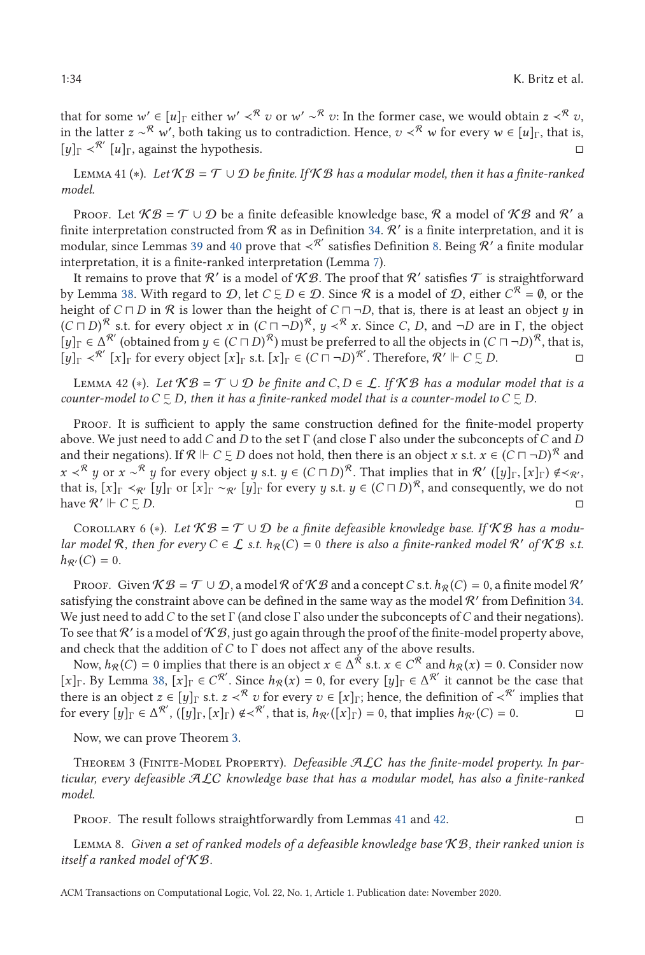<span id="page-33-0"></span>

that for some  $w' \in [u]_{\Gamma}$  either  $w' \prec^{\mathcal{R}} v$  or  $w' \sim^{\mathcal{R}} v$ : In the former case, we would obtain  $z \prec^{\mathcal{R}} v$ , in the latter  $z \sim^{\mathcal{R}} w'$ , both taking us to contradiction. Hence,  $v <^{\mathcal{R}} w$  for every  $w \in [u]_{\Gamma}$ , that is, [*y*]<sup>Γ</sup> ≺R [*u*]Γ, against the hypothesis.

Lemma 41 (∗). *Let* K B = T ∪D *be finite. If* K B *has a modular model, then it has a finite-ranked model.*

PROOF. Let  $\mathcal{KB} = \mathcal{T} \cup \mathcal{D}$  be a finite defeasible knowledge base,  $\mathcal{R}$  a model of  $\mathcal{KB}$  and  $\mathcal{R}'$  a finite interpretation constructed from  $R$  as in Definition [34.](#page-32-0)  $R'$  is a finite interpretation, and it is modular, since Lemmas [39](#page-32-0) and [40](#page-32-0) prove that  $\prec^{\mathcal{R}'}$  satisfies Definition [8.](#page-8-0) Being  $\mathcal{R}'$  a finite modular interpretation, it is a finite-ranked interpretation (Lemma [7\)](#page-12-0).

It remains to prove that R' is a model of KB. The proof that R' satisfies T is straightforward by Lemma [38.](#page-32-0) With regard to  $D$ , let  $C \subsetneq D \in D$ . Since  $\mathcal R$  is a model of  $D$ , either  $C^{\mathcal R} = \emptyset$ , or the height of  $C \sqcap D$  in  $\mathcal R$  is lower than the height of  $C \sqcap \neg D$ , that is, there is at least an object  $y$  in  $(C \sqcap D)^{\mathcal{R}}$  s.t. for every object *x* in  $(C \sqcap \neg D)^{\mathcal{R}}$ ,  $y < \mathcal{R}$  *x*. Since *C*, *D*, and  $\neg D$  are in  $\Gamma$ , the object  $\lceil \nu \rceil = \lceil \sqrt{\mathcal{R}} \rceil$  (obtained from  $y \in (C \sqcap D)^{\mathcal{R}}$ ) must be preferred to all the obj  $[y]$ Γ  $\in \Delta^{R'}$  (obtained from  $y \in (C \sqcap D)^R$ ) must be preferred to all the objects in  $(C \sqcap \neg D)^R$ , that is,  $[y]$ Γ  $\lt^{\mathcal{R}'}$  [*x*]<sub>Γ</sub> for every object [*x*]<sub>Γ</sub> s.t. [*x*]<sub>Γ</sub>  $\in$  (*C*  $\Box \neg D$ )<sup>*R'*</sup>. Therefore,  $\mathcal{R}' \Vdash C \subsetneq D$ .

LEMMA 42 (\*). Let  $KB = T \cup D$  be finite and  $C, D \in L$ . If KB has a modular model that is a counter-model to  $C \subsetneq D$ , then it has a finite-ranked model that is a counter-model to  $C \subsetneq D$ .

PROOF. It is sufficient to apply the same construction defined for the finite-model property above. We just need to add *C* and *D* to the set Γ (and close Γ also under the subconcepts of*C* and *D* and their negations). If  $\mathcal{R} \Vdash C \subsetneq D$  does not hold, then there is an object *x* s.t.  $x \in (C \sqcap \neg D)^{\mathcal{R}}$  and *x*  $\langle \times^R y \rangle$  or *x* ∼<sup>R</sup> *y* for every object *y* s.t. *y* ∈ (*C*  $\Box$ *D*)<sup>R</sup>. That implies that in R' ([*y*]<sub>Γ</sub>,[*x*]<sub>Γ</sub>) ∉  $\langle \times_R$ , that is [*x*]<sub>Γ</sub>  $\langle \times_R, [\times]$ <sub>*I*</sub>  $\cap$   $\langle \times_R, [\times]$ <sub>*I*</sub>  $\cap$   $\langle \times_R, [\times]$ <sub>*I*</sub>  $\cap$  that is,  $[x]_{\Gamma} \prec_{\mathcal{R}} [y]_{\Gamma}$  or  $[x]_{\Gamma} \sim_{\mathcal{R}} [y]_{\Gamma}$  for every *y* s.t.  $y \in (C \sqcap D)^{\mathcal{R}}$ , and consequently, we do not have  $\mathcal{R}' \Vdash C \subsetneq$ ∼ *D*.

COROLLARY 6 (\*). Let  $KB = T \cup D$  be a finite defeasible knowledge base. If  $KB$  has a modu*lar model* R, then for every  $C \in \mathcal{L}$  *s.t.*  $h_{\mathcal{R}}(C) = 0$  there is also a finite-ranked model R' of KB *s.t.*  $h_{\mathcal{R}'}(C) = 0.$ 

Proof. Given  $KB = \mathcal{T} \cup \mathcal{D}$ , a model R of  $KB$  and a concept C s.t.  $h_{\mathcal{R}}(C) = 0$ , a finite model R' satisfying the constraint above can be defined in the same way as the model  $\mathcal R'$  from Definition [34.](#page-32-0) We just need to add*C* to the set Γ (and close Γ also under the subconcepts of*C* and their negations). To see that  $R'$  is a model of  $K\mathcal{B}$ , just go again through the proof of the finite-model property above, and check that the addition of *C* to Γ does not affect any of the above results.

Now,  $h_R(C) = 0$  implies that there is an object  $x \in \Delta^R$  s.t.  $x \in C^R$  and  $h_R(x) = 0$ . Consider now [*x*]<sub>Γ</sub>. By Lemma [38,](#page-32-0) [*x*]<sub>Γ</sub> ∈ *C*<sup>*R'*</sup>. Since  $h$ <sub>*R*</sub>(*x*) = 0, for every [*y*]<sub>Γ</sub> ∈ Δ<sup>*R'*</sup> it cannot be the case that there is an object  $z \in [y]$ <sub>Γ</sub> s.t.  $z \prec^{\mathcal{R}} v$  for every  $v \in [x]$ <sub>Γ</sub>; hence, the definition of  $\prec^{\mathcal{R}'}$  implies that for every  $[y]_{\Gamma} \in \Delta^{R'}$ ,  $([y]_{\Gamma}, [x]_{\Gamma}) \notin \langle R', \text{ that is, } h_{R'}([x]_{\Gamma}) = 0$ , that implies  $h_{R'}(C) = 0$ .

Now, we can prove Theorem [3.](#page-12-0)

Theorem 3 (Finite-Model Property). *Defeasible* ALC *has the finite-model property. In particular, every defeasible* ALC *knowledge base that has a modular model, has also a finite-ranked model.*

Proof. The result follows straightforwardly from Lemmas 41 and 42.

Lemma 8. *Given a set of ranked models of a defeasible knowledge base* K B*, their ranked union is itself a ranked model of* K B*.*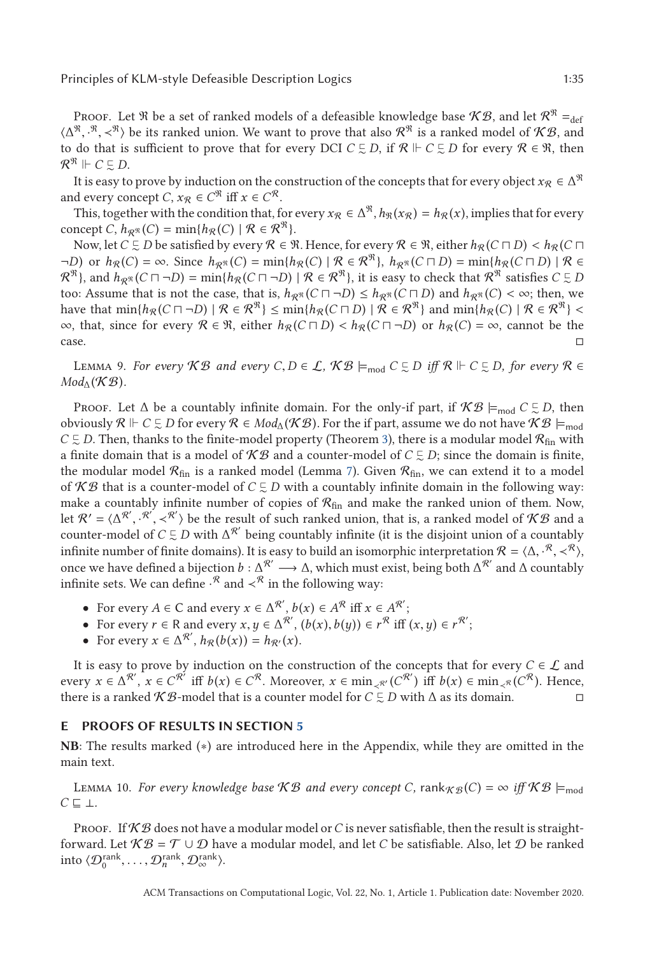<span id="page-34-0"></span>Proof. Let R be a set of ranked models of a defeasible knowledge base  $\mathcal{KB}$ , and let  $\mathcal{R}^{\mathfrak{R}} =_{\text{def}}$  $(\Delta^{\mathfrak{R}}, \mathbb{R}, \prec^{\mathfrak{R}})$  be its ranked union. We want to prove that also  $\mathcal{R}^{\mathfrak{R}}$  is a ranked model of  $\mathcal{KB}$ , and to do that is sufficient to prove that for every DCI  $C \subseteq D$  if  $\mathcal{R} \models C \subseteq D$  for every  $\math$ to do that is sufficient to prove that for every DCI  $C \subsetneq D$ , if  $\mathcal{R} \Vdash C \subsetneq D$  for every  $\mathcal{R} \in \mathcal{R}$ , then  $\mathcal{R}^{\mathfrak{R}} \Vdash C \subsetneq D.$ 

It is easy to prove by induction on the construction of the concepts that for every object  $x_R \in \Delta^{\mathfrak{R}}$ and every concept *C*,  $x_R \in C^{\mathcal{R}}$  iff  $x \in C^{\mathcal{R}}$ .

This, together with the condition that, for every  $x_R \in \Delta^{\mathcal{R}}, h_{\mathcal{R}}(x_R) = h_R(x)$ , implies that for every concept *C*,  $h_{\mathcal{R}^{\mathfrak{R}}}(C) = \min\{h_{\mathcal{R}}(C) \mid \mathcal{R} \in \mathcal{R}^{\mathfrak{R}}\}.$ 

Now, let *C*  $\subseteq$  *D* be satisfied by every R ∈ R. Hence, for every R ∈ R, either  $h_R(C \sqcap D) < h_R(C \sqcap D)$ <br>
and  $h_R(C) = \infty$ , Since  $h_R(C) = \min\{h_R(C) \mid R \in \mathcal{R}^{\Re} \}$ ,  $h_R(C \sqcap D) = \min\{h_R(C \sqcap D) \mid R \in \mathcal{R}$  $\neg D$ ) or  $h_{\mathcal{R}}(C) = \infty$ . Since  $h_{\mathcal{R}^{\mathfrak{R}}}(C) = \min\{h_{\mathcal{R}}(C) \mid \mathcal{R} \in \mathcal{R}^{\mathfrak{R}}\},\ h_{\mathcal{R}^{\mathfrak{R}}}(C \sqcap D) = \min\{h_{\mathcal{R}}(C \sqcap D) \mid \mathcal{R} \in \mathcal{R}^{\mathfrak{R}}\}$  $\mathcal{R}^{\mathfrak{R}}$ , and  $h_{\mathcal{R}^{\mathfrak{R}}}(C \sqcap \neg D) = \min\{h_{\mathcal{R}}(C \sqcap \neg D) \mid \mathcal{R} \in \mathcal{R}^{\mathfrak{R}}\}$ , it is easy to check that  $\mathcal{R}^{\mathfrak{R}}$  satisfies  $C \subsetneq D$ too: Assume that is not the case, that is,  $h_{\mathcal{R}^{\mathcal{R}}}(C \sqcap \neg D) \leq h_{\mathcal{R}^{\mathcal{R}}}(C \sqcap D)$  and  $h_{\mathcal{R}^{\mathcal{R}}}(C) < \infty$ ; then, we have that  $\min\{h_{\mathcal{R}}(C \sqcap \neg D) \mid \mathcal{R} \in \mathcal{R}^{\mathcal{R}}\}\times \min\{h_{\mathcal{R}}(C \sqcap D) \mid \mathcal{R}$ have that  $\min\{h_{\mathcal{R}}(C \sqcap \neg D) \mid \mathcal{R} \in \mathcal{R}^{\mathfrak{R}}\} \leq \min\{h_{\mathcal{R}}(C \sqcap D) \mid \mathcal{R} \in \mathcal{R}^{\mathfrak{R}}\}$  and  $\min\{h_{\mathcal{R}}(C) \mid \mathcal{R} \in \mathcal{R}^{\mathfrak{R}}\} \leq \infty$  that since for every  $\mathcal{R} \in \mathbb{R}$  either  $h_{\mathcal{R}}(C \sqcap$  $\infty$ , that, since for every  $\mathcal{R} \in \mathbb{R}$ , either  $h_{\mathcal{R}}(C \sqcap D) < h_{\mathcal{R}}(C \sqcap \neg D)$  or  $h_{\mathcal{R}}(C) = \infty$ , cannot be the  $\Box$ 

LEMMA 9. *For every*  $KB$  *and every*  $C, D \in \mathcal{L}$ ,  $KB \models_{\text{mod}} C \subsetneq D$  *iff*  $R \Vdash C \subsetneq D$ , for every  $R \in$  $Mod_\Lambda(\mathcal{KB})$ .

Proof. Let  $\Delta$  be a countably infinite domain. For the only-if part, if  $\mathcal{KB} \models_{\text{mod}} C \subsetneq D$ , then obviously  $\mathcal{R} \Vdash C \subsetneq D$  for every  $\mathcal{R} \in Mod_{\Delta}(\mathcal{KB})$ . For the if part, assume we do not have  $\mathcal{KB} \models_{\text{mod}}$  $C \subsetneq D$ . Then, thanks to the finite-model property (Theorem [3\)](#page-12-0), there is a modular model  $\mathcal{R}_{\text{fin}}$  with a finite domain that is a model of  $KB$  and a counter-model of  $C \subsetneq D$ ; since the domain is finite, the modular model  $\mathcal{R}_{fin}$  is a ranked model (Lemma [7\)](#page-12-0). Given  $\mathcal{R}_{fin}$ , we can extend it to a model of  $KB$  that is a counter-model of  $C \subsetneq D$  with a countably infinite domain in the following way: make a countably infinite number of copies of  $\mathcal{R}_{fin}$  and make the ranked union of them. Now, let  $\mathcal{R}' = \langle \Delta^{\mathcal{R}'}, \cdot^{\mathcal{R}'}, \prec^{\mathcal{R}'} \rangle$  be the result of such ranked union, that is, a ranked model of  $\mathcal{KB}$  and a counter-model of  $C \subseteq D$  with  $\Delta^{\mathcal{R}'}$  being countably infinite (it is the disjoint union of counter-model of  $C \subseteq D$  with  $\Delta^{R'}$  being countably infinite (it is the disjoint union of a countably infinite number of finite domains). It is easy to build an isomorphic interpretation  $\mathcal{R} = \langle \Delta, \cdot^{\mathcal{R}}, \prec^{\mathcal{R}} \rangle$ , once we have defined a bijection *b* : Δ<sup> $\mathcal{R}'$ </sup> → Δ, which must exist, being both Δ $^{\mathcal{R}'}$  a  $\binom{\mathcal{R}}{\mathcal{R}} \times \binom{\mathcal{R}}{\mathcal{R}}$ infinite sets. We can define  $\cdot^{\mathcal{R}}$  and  $\prec^{\mathcal{R}}$  in the following way:

- For every  $A \in \mathbb{C}$  and every  $x \in \Delta^{\mathcal{R}'}, b(x) \in A^{\mathcal{R}}$  iff  $x \in A^{\mathcal{R}'};$
- For every  $r \in \mathbb{R}$  and every  $x, y \in \Delta^{\mathcal{R}'}, (b(x), b(y)) \in r^{\mathcal{R}}$  iff  $(x, y) \in r^{\mathcal{R}'};$ <br>
► For every  $x \in \Delta^{\mathcal{R}'}$ ,  $b_{\mathcal{R}}(b(x)) = b_{\mathcal{R}}(x)$
- For every  $x \in \Delta^{R'}$ ,  $h_{R}(b(x)) = h_{R'}(x)$ .

It is easy to prove by induction on the construction of the concepts that for every  $C \in \mathcal{L}$  and every  $x \in \Delta^{\mathcal{R}'}$ ,  $x \in C^{\mathcal{R}'}$  iff  $b(x) \in C^{\mathcal{R}}$ . Moreover,  $x \in \min_{\alpha \in \mathcal{R}'} (C^{\mathcal{R}'})$  iff  $b(x) \in \min_{\alpha \in \mathcal{R}} (C^{\mathcal{R}})$ . Hence, there is a ranked  $\mathcal{KB}\text{-model}$  that is a counter model for  $C\subsetneq D$  with  $\Delta$  as its domain.

#### **E PROOFS OF RESULTS IN SECTION [5](#page-13-0)**

**NB**: The results marked (∗) are introduced here in the Appendix, while they are omitted in the main text.

LEMMA 10. *For every knowledge base*  $KB$  *and every concept C*,  $rank_{KB}(C) = \infty$  *iff*  $KB \models_{mod}$ *C* ⊥*.*

PROOF. If K B does not have a modular model or C is never satisfiable, then the result is straightforward. Let  $\mathcal{KB} = \mathcal{T} \cup \mathcal{D}$  have a modular model, and let *C* be satisfiable. Also, let  $\mathcal{D}$  be ranked into  $\langle \mathcal{D}_0^{\text{rank}}, \dots, \mathcal{D}_n^{\text{rank}}, \mathcal{D}_{\infty}^{\text{rank}} \rangle$ .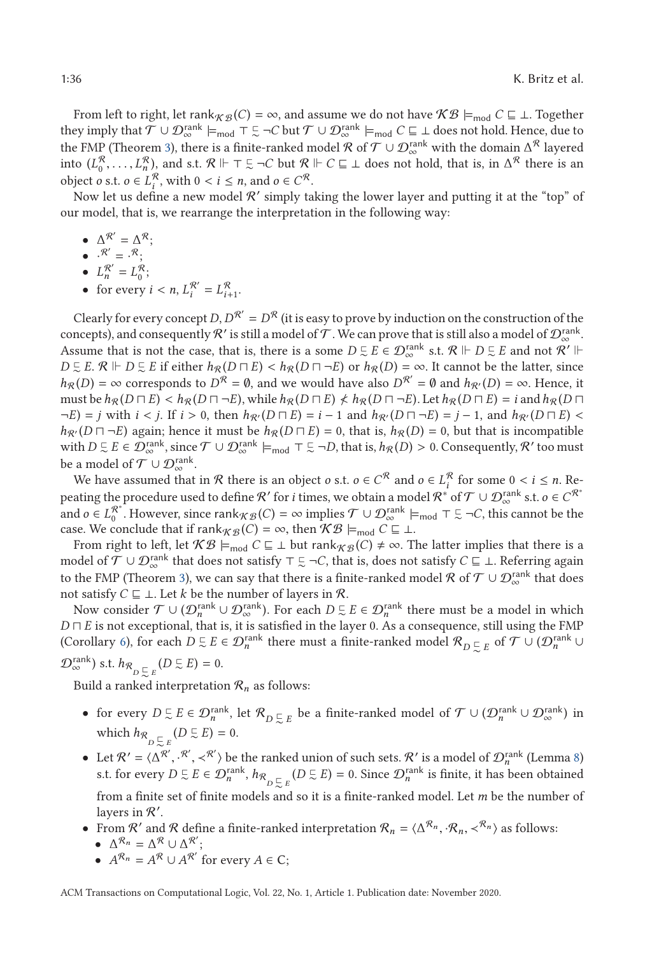From left to right, let rank $_{K\mathcal{B}}(C) = \infty$ , and assume we do not have  $K\mathcal{B} \models_{\text{mod}} C \sqsubseteq \bot$ . Together they imply that  $\mathcal{T} \cup \mathcal{D}_{\infty}^{\text{rank}} \models_{\text{mod}} \top \subseteq \neg C$  but  $\mathcal{T} \cup \mathcal{D}_{\infty}^{\text{rank}} \models_{\text{mod}} C \sqsubseteq \bot$  does not hold. Hence, due to the FMP (Theorem [3\)](#page-12-0), there is a finite-ranked model  $\mathcal R$  of  $\mathcal T\cup\mathcal D_\infty^{\rm rank}$  with the domain  $\Delta^\mathcal R$  layered into  $(L_0^R, \ldots, L_n^R)$ , and s.t.  $\mathcal{R} \Vdash \top \subsetneq \neg C$  but  $\mathcal{R} \Vdash C \sqsubseteq \bot$  does not hold, that is, in  $\Delta^R$  there is an object a at  $\circ \in I^R$  with  $0 \le i \le n$  and  $\circ \in C^R$ object *o* s.t. *o* ∈  $L_i^R$ , with 0 < *i* ≤ *n*, and *o* ∈  $C^R$ .<br>Now let us define a new model  $R'$  simply to

Now let us define a new model  $\mathcal{R}'$  simply taking the lower layer and putting it at the "top" of our model, that is, we rearrange the interpretation in the following way:

- $\Delta^{\mathcal{R}'} = \Delta^{\mathcal{R}};$
- $\bullet \quad \cdot^{\mathcal{R}'} = \cdot^{\mathcal{R}}$ ;
- $L_n^{\mathcal{R}'} = L_0^{\mathcal{R}};$
- for every  $i < n$ ,  $L_i^{\mathcal{R}'} = L_{i+1}^{\mathcal{R}}$ .

Clearly for every concept *D*,  $D^{R'} = D^R$  (it is easy to prove by induction on the construction of the concepts), and consequently  $\mathcal R'$  is still a model of  $\mathcal T$  . We can prove that is still also a model of  $\mathcal D_\infty^{\mathrm{rank}}.$ Assume that is not the case, that is, there is a some  $D \subsetneq E \in \mathcal{D}_{\infty}^{\text{rank}}$  s.t.  $\mathcal{R} \Vdash D \subsetneq E$  and not  $\mathcal{R}' \Vdash$  $D \subseteq E$ .  $\mathcal{R} \Vdash D \subseteq E$  if either  $h_{\mathcal{R}}(D \sqcap E) < h_{\mathcal{R}}(D \sqcap \neg E)$  or  $h_{\mathcal{R}}(D) = \infty$ . It cannot be the latter, since  $h_{\mathcal{R}}(D) = \infty$  corresponds to  $D^{\mathcal{R}} = \emptyset$  and we would have also  $D^{\mathcal{R}}' = \emptyset$  and  $h_{\mathcal{$  $h_{\mathcal{R}}(D) = \infty$  corresponds to  $D^{\mathcal{R}} = \emptyset$ , and we would have also  $D^{\mathcal{R}'} = \emptyset$  and  $h_{\mathcal{R}'}(D) = \infty$ . Hence, it must be  $h_{\mathcal{R}}(D \sqcap E) < h_{\mathcal{R}}(D \sqcap \neg E)$ , while  $h_{\mathcal{R}}(D \sqcap E) \nless h_{\mathcal{R}}(D \sqcap \neg E)$ . Let  $h_{\mathcal{R}}(D \sqcap E) = i$  and  $h_{\mathcal{R}}(D \sqcap E)$ <br>  $-h_{\mathcal{R}}(D \sqcap E)$  $\neg E$ ) = *j* with *i* < *j*. If *i* > 0, then  $h_{\mathcal{R}}(D \sqcap E) = i - 1$  and  $h_{\mathcal{R}}(D \sqcap \neg E) = j - 1$ , and  $h_{\mathcal{R}}(D \sqcap E)$  <  $h_{\mathcal{R}}(D \sqcap \neg F)$  again: hence it must be  $h_{\mathcal{R}}(D \sqcap F) = 0$  that is  $h_{\mathcal{R}}(D) = 0$  but that  $h_{\mathcal{R}}(D \sqcap \neg E)$  again; hence it must be  $h_{\mathcal{R}}(D \sqcap E) = 0$ , that is,  $h_{\mathcal{R}}(D) = 0$ , but that is incompatible with  $D \subsetneq E \in \mathcal{D}_{\infty}^{\text{rank}}$ , since  $\mathcal{T} \cup \mathcal{D}_{\infty}^{\text{rank}} \models_{\text{mod}} \top \subsetneq \neg D$ , that is,  $h_{\mathcal{R}}(D) > 0$ . Consequently,  $\mathcal{R}'$  too must<br>be a model of  $\mathcal{T} \cup \mathcal{D}_{\text{rank}}^{\text{rank}}}$ be a model of  $\mathcal{T} \cup \mathcal{D}_{\infty}^{\text{rank}}$ .

We have assumed that in R there is an object *o* s.t.  $o \in C^R$  and  $o \in L_i^R$  for some  $0 < i \le n$ . Re-<br>*i*ting the precedure used to define  $\mathcal{P}'$  for *i* times, we obtain a model  $\mathcal{P}^* \circ \mathcal{F} \subset L_i^R$  (*n* and  $a \in C^R$ peating the procedure used to define  $\mathcal{R}'$  for *i* times, we obtain a model  $\mathcal{R}^*$  of  $\mathcal{T}\cup\mathcal{D}_\infty^{\text{rank}}$  s.t.  $o\in C^{\mathcal{R}^*}$ and  $o \in L_0^{\mathcal{R}^*}$ . However, since  $\text{rank}_{\mathcal{KB}}(C) = \infty$  implies  $\mathcal{T} \cup \mathcal{D}_{\infty}^{\text{rank}} \models_{\text{mod}} \top \Sigma \neg C$ , this cannot be the case. We conclude that if rank $_{K\mathcal{B}}(C) = \infty$ , then  $\mathcal{KB} \models_{\text{mod}} C \sqsubseteq \bot$ .

From right to left, let  $KB \models_{mod} C \sqsubseteq \bot$  but  $\text{rank}_{\mathcal{KB}}(C) \neq \infty$ . The latter implies that there is a model of  $\mathcal{T} \cup \mathcal{D}_{\infty}^{\text{rank}}$  that does not satisfy  $\top \subsetneq \neg C$ , that is, does not satisfy  $C \sqsubseteq \bot$ . Referring again to the FMP (Theorem [3\)](#page-12-0), we can say that there is a finite-ranked model  $\mathcal R$  of  $\mathcal T\cup\mathcal D_\infty^{\rm rank}$  that does not satisfy  $C \sqsubseteq \bot$ . Let *k* be the number of layers in  $\mathcal{R}$ .

Now consider  $\mathcal{T} \cup (\mathcal{D}_n^{\text{rank}} \cup \mathcal{D}_\infty^{\text{rank}})$ . For each  $D \subsetneq E \in \mathcal{D}_n^{\text{rank}}$  there must be a model in which  $D\sqcap E$  is not exceptional, that is, it is satisfied in the layer 0. As a consequence, still using the FMP (Corollary [6\)](#page-33-0), for each  $D \subsetneq E \in \mathcal{D}_n^{\text{rank}}$  there must a finite-ranked model  $\mathcal{R}_{D \subsetneq E}$  of  $\mathcal{T} \cup (\mathcal{D}_n^{\text{rank}} \cup$  $\mathcal{D}_{\infty}^{\text{rank}}$ ) s.t.  $h_{\mathcal{R}}_{D \subseteq E}$  $(D \subsetneq E) = 0.$ 

Build a ranked interpretation  $\mathcal{R}_n$  as follows:

- for every  $D \subseteq E \in \mathcal{D}_n^{\text{rank}}$ , let  $\mathcal{R}_{D \subseteq E}$  be a finite-ranked model of  $\mathcal{T} \cup (\mathcal{D}_n^{\text{rank}} \cup \mathcal{D}_\infty^{\text{rank}})$  in which  $h_{\mathcal{R}_{D \subseteq E}}(D \subseteq E) = 0.$
- Let  $\mathcal{R}' = \langle \Delta^{\mathcal{R}'}, \cdot^{\mathcal{R}'}, \prec^{\mathcal{R}'}\rangle$  be the ranked union of such sets.  $\mathcal{R}'$  is a model of  $\mathcal{D}_n^{\text{rank}}$  (Lemma [8\)](#page-13-0)<br>*st for every D E E ∈ Q*<sup>rank</sup> *h*<sub>0</sub> (D E E) = 0. Since  $\Omega^{\text{rank}}$  is finite it has bee s.t. for every  $D \subsetneq E \in \mathcal{D}_n^{\text{rank}}, h_{\mathcal{R}}_{D \subsetneq E}$  $(D \subsetneq E) = 0$ . Since  $\mathcal{D}_n^{\text{rank}}$  is finite, it has been obtained from a finite set of finite models and so it is a finite-ranked model. Let *m* be the number of layers in  $R'$ .
- From  $\mathcal{R}'$  and  $\mathcal{R}$  define a finite-ranked interpretation  $\mathcal{R}_n = \langle \Delta^{\mathcal{R}_n}, \cdot \mathcal{R}_n, \prec^{\mathcal{R}_n} \rangle$  as follows: •  $\Delta^{\mathcal{R}_n} = \Delta^{\mathcal{R}} \cup \Delta^{\mathcal{R}'};$ 
	- $A^{\mathcal{R}_n} = A^{\mathcal{R}} \cup A^{\mathcal{R}'}$  for every  $A \in \mathbb{C}$ ;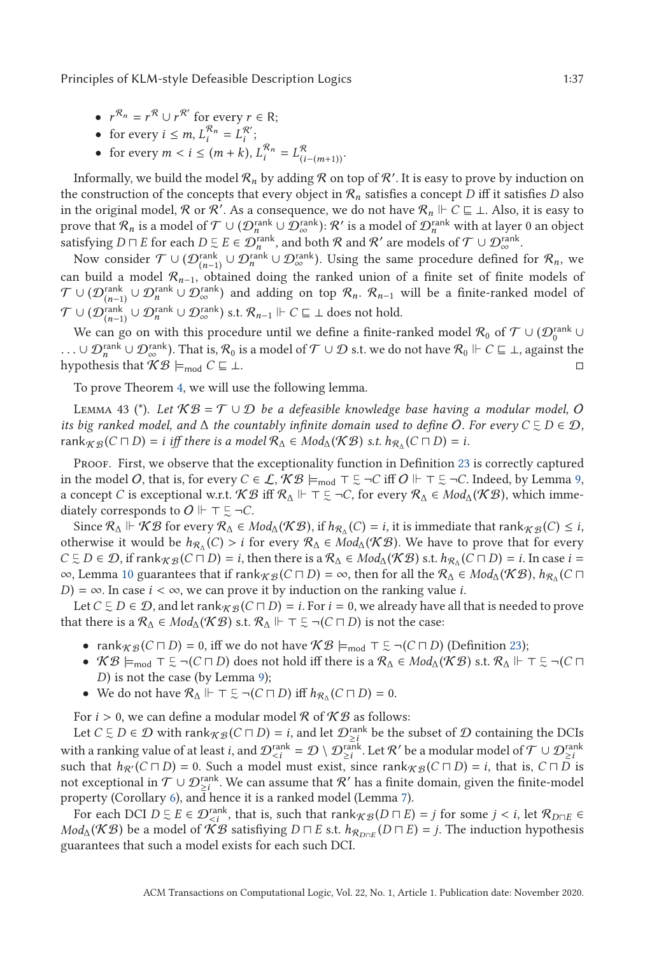- <span id="page-36-0"></span>•  $r^{\mathcal{R}_n} = r^{\mathcal{R}} \cup r^{\mathcal{R}'}$  for every  $r \in \mathbb{R}$ ;
- for every  $i \leq m$ ,  $L_i^{\mathcal{R}_n} = L_i^{\mathcal{R}'};$
- for every  $m < i \le (m + k)$ ,  $L_i^{\mathcal{R}_n} = L_{(i-(m+1))}^{\mathcal{R}}$ .

Informally, we build the model  $\mathcal{R}_n$  by adding  $\mathcal R$  on top of  $\mathcal R'$ . It is easy to prove by induction on the construction of the concepts that every object in  $\mathcal{R}_n$  satisfies a concept *D* iff it satisfies *D* also in the original model,  $\mathcal R$  or  $\mathcal R'$ . As a consequence, we do not have  $\mathcal R_n \Vdash C \sqsubseteq \bot$ . Also, it is easy to prove that  $\mathcal{R}_n$  is a model of  $\mathcal{T} \cup (\mathcal{D}_n^{\text{rank}} \cup \mathcal{D}_\infty^{\text{rank}})$ :  $\mathcal{R}'$  is a model of  $\mathcal{D}_n^{\text{rank}}$  with at layer 0 an object satisfying  $D \sqcap E$  for each  $D \subsetneq E \in \mathcal{D}_n^{\text{rank}}$ , and both  $\mathcal R$  and  $\mathcal R'$  are models of  $\mathcal T \cup \mathcal{D}_{\infty}^{\text{rank}}$ .

Now consider  $\mathcal{T} \cup (\mathcal{D}^\text{rank}_{(n-1)} \cup \mathcal{D}^\text{rank}_n \cup \mathcal{D}^\text{rank}_\infty).$  Using the same procedure defined for  $\mathcal{R}_n$ , we can build a model R*n*<sup>−</sup>1, obtained doing the ranked union of a finite set of finite models of  $\mathcal{T} \cup (\mathcal{D}_{(n-1)}^{\text{rank}} \cup \mathcal{D}_{\infty}^{\text{rank}})$  and adding on top  $\mathcal{R}_n$ .  $\mathcal{R}_{n-1}$  will be a finite-ranked model of  $\mathcal{T} \cup (\mathcal{D}_{(n-1)}^{\text{rank}} \cup \mathcal{D}_{\infty}^{\text{rank}})$  s.t.  $\mathcal{R}_{n-1} \Vdash C \sqsubseteq \bot$  does not hold.

We can go on with this procedure until we define a finite-ranked model  $\mathcal{R}_0$  of  $\mathcal{T} \cup (\mathcal{D}_0^{\text{rank}} \cup$ ...∪  $\mathcal{D}_n^{\text{rank}} \cup \mathcal{D}_\infty^{\text{rank}}$ ). That is,  $\mathcal{R}_0$  is a model of  $\mathcal{T} \cup \mathcal{D}$  s.t. we do not have  $\mathcal{R}_0 \Vdash C \sqsubseteq \bot$ , against the hypothesis that  $\mathcal{R} \mathcal{B} \vdash \bot C \sqsubseteq \bot$ hypothesis that  $\mathcal{KB} \models_{\text{mod}} C \sqsubseteq \bot$ .

To prove Theorem [4,](#page-15-0) we will use the following lemma.

LEMMA 43 (\*). Let  $\mathcal{KB} = \mathcal{T} \cup \mathcal{D}$  be a defeasible knowledge base having a modular model, O *its big ranked model, and*  $\Delta$  *the countably infinite domain used to define O. For every*  $C \subsetneq D \in \mathcal{D}$ *,*  $rank_{\mathcal{KB}}(C \sqcap D) = i$  *iff there is a model*  $\mathcal{R}_{\Delta} \in Mod_{\Delta}(\mathcal{KB})$  *s.t.*  $h_{\mathcal{R}_{\Delta}}(C \sqcap D) = i$ *.* 

PROOF. First, we observe that the exceptionality function in Definition [23](#page-14-0) is correctly captured in the model *O*, that is, for every *C* ∈ *L*,  $KB \models_{\text{mod}} \top \subseteq \neg C$  iff *O*  $\Vdash \top \subseteq \neg C$ . Indeed, by Lemma [9,](#page-13-0) a concept *C* is exceptional w.r.t.  $KB$  iff  $R_{\Delta} \Vdash \top \subseteq \neg C$ , for every  $R_{\Delta} \in Mod_{\Delta}(\mathcal{KB})$ , which immediately corresponds to  $O \Vdash \top \subsetneq \neg C$ .

Since  $\mathcal{R}_{\Delta} \Vdash \mathcal{KB}$  for every  $\mathcal{R}_{\Delta} \in Mod_{\Delta}(\mathcal{KB})$ , if  $h_{\mathcal{R}_{\Delta}}(C) = i$ , it is immediate that  $rank_{\mathcal{KB}}(C) \leq i$ , otherwise it would be  $h_{R_{\Delta}}(C) > i$  for every  $\mathcal{R}_{\Delta} \in Mod_{\Delta}(\mathcal{KB})$ . We have to prove that for every  $C \subsetneq D \in \mathcal{D}$ , if rank $_{\mathcal{KB}}(C \sqcap D) = i$ , then there is a  $\mathcal{R}_{\Delta} \in Mod_{\Delta}(\mathcal{KB})$  s.t.  $h_{\mathcal{R}_{\Delta}}(C \sqcap D) = i$ . In case  $i =$  $\infty$ , Lemma [10](#page-15-0) guarantees that if rank $_{K\mathcal{B}}(C \sqcap D) = \infty$ , then for all the  $\mathcal{R}_{\Delta} \in Mod_{\Delta}(\mathcal{KB})$ ,  $h_{\mathcal{R}_{\Delta}}(C \sqcap D)$ *D*) =  $\infty$ . In case *i* <  $\infty$ , we can prove it by induction on the ranking value *i*.

Let  $C \subsetneq D \in \mathcal{D}$ , and let rank $_{\mathcal{KB}}(C \sqcap D) = i$ . For  $i = 0$ , we already have all that is needed to prove that there is a  $\mathcal{R}_\Delta \in Mod_\Delta(\mathcal{KB})$  s.t.  $\mathcal{R}_\Delta \Vdash \top \subsetneq \neg(C \sqcap D)$  is not the case:

- $rank_{\mathcal{KB}}(C \sqcap D) = 0$ , iff we do not have  $\mathcal{KB} \models_{\text{mod}} \top \subseteq \neg(C \sqcap D)$  (Definition [23\)](#page-14-0);
- $\mathcal{KB} \models_{\text{mod}} \top \subseteq \neg(C \sqcap D)$  does not hold iff there is a  $\mathcal{R}_{\Delta} \in Mod_{\Delta}(\mathcal{KB})$  s.t.  $\mathcal{R}_{\Delta} \Vdash \top \subseteq \neg(C \sqcap D)$ *D*) is not the case (by Lemma [9\)](#page-13-0);
- We do not have  $\mathcal{R}_{\Delta} \Vdash \top \subsetneq \neg(C \sqcap D)$  iff  $h_{\mathcal{R}_{\Delta}}(C \sqcap D) = 0$ .

For  $i > 0$ , we can define a modular model  $\mathcal{R}$  of  $\mathcal{KB}$  as follows:

Let  $C \subsetneq D \in \mathcal{D}$  with  $\text{rank}_{\mathcal{KB}}(C \sqcap D) = i$ , and let  $\mathcal{D}_{\geq i}^{\text{rank}}$  be the subset of  $\mathcal D$  containing the DCIs with a ranking value of at least *i*, and  $\mathcal{D}_{\leq i}^{\text{rank}} = \mathcal{D} \setminus \mathcal{D}_{\geq i}^{\text{rank}}$ . Let  $\mathcal{R}'$  be a modular model of  $\mathcal{T} \cup \mathcal{D}_{\geq i}^{\text{rank}}$  such that  $h_{\mathcal{R}'}(C \sqcap D) = 0$ . Such a model must exist, since  $\text{rank$ not exceptional in  $\mathcal{T} \cup \mathcal{D}_{\geq i}^{\text{rank}}$ . We can assume that  $\mathcal{R}'$  has a finite domain, given the finite-model property (Corollary [6\)](#page-33-0), and hence it is a ranked model (Lemma [7\)](#page-12-0).

For each DCI  $D \subseteq E \in \mathcal{D}_{\leq i}^{\text{rank}}$ , that is, such that  $\text{rank}_{\mathcal{KB}}(D \sqcap E) = j$  for some  $j < i$ , let  $\mathcal{R}_{D \sqcap E} \in \mathcal{A}_{\leq i}(\mathcal{KB})$  be a model of  $\mathcal{KB}$  satisfiving  $D \sqcap E$  s t  $h_{\mathcal{B}}$  ( $D \sqcap E$ ) – *i*. The induct *Mod*<sub>Δ</sub>( $\mathcal{KB}$ ) be a model of  $\mathcal{KB}$  satisfiying  $D \sqcap E$  s.t.  $h_{\mathcal{R}_{D \sqcap E}}(D \sqcap E) = j$ . The induction hypothesis guarantees that such a model exists for each such DCI.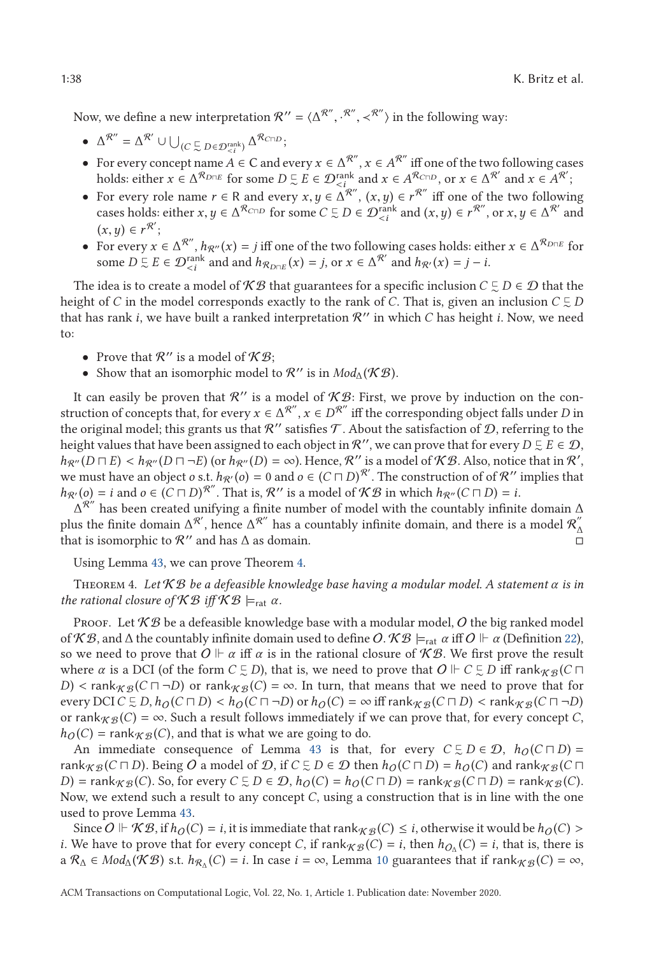Now, we define a new interpretation  $\mathcal{R}^{\prime\prime} = \langle \Delta^{\mathcal{R}^{\prime\prime}}, \cdot^{\mathcal{R}^{\prime\prime}}, \prec^{\mathcal{R}^{\prime\prime}} \rangle$  in the following way:

- $\Delta^{\mathcal{R}''} = \Delta^{\mathcal{R}'} \cup \bigcup_{(C \subseteq D \in \mathcal{D}_{\leq i}^{\text{rank}})} \Delta^{\mathcal{R}_{C \sqcap D}};$
- For every concept name  $A \in \mathbb{C}$  and every  $x \in \Delta^{R''}, x \in A^{R''}$  iff one of the two following cases holds: either  $x \in A^{\mathcal{R}_{D \cap E}}$  for some  $D \subsetneq E \in \mathcal{D}_{\epsilon}^{\text{rank}}$  and  $x \in A^{\mathcal{R}_{CDD}}$ , or  $x \in A^{\mathcal{R}'}$  and  $x \in A^{\mathcal{R}'}$ .<br>For every role name  $x \in B$  and every  $x, y \in A^{\mathcal{R}''}$  ( $x, y \in x^{\mathcal{R}''}$  iff one of the two
- For every role name  $r \in \mathbb{R}$  and every  $x, y \in \Delta^{\mathcal{R}}$ ,  $(x, y) \in r^{\mathcal{R}}$  iff one of the two following cases holds; either  $x, y \in \Delta^{\mathcal{R}}$  one cases holds; either  $x, y \in \Delta^{\mathcal{R}}$  or  $\Omega$  and  $(x, y) \in r^{\mathcal{R}}$  or  $x,$ cases holds: either  $x, y \in \Delta^{\mathcal{R}_{C \cap D}}$  for some  $C \subsetneq D \in \mathcal{D}_{\leq i}^{\text{rank}}$  and  $(x, y) \in r^{\mathcal{R}'},$  or  $x, y \in \Delta^{\mathcal{R}'}$  and  $(x, y) \in r^{\mathcal{R}'}.$  $(x, y) \in r^{\mathcal{R}'};$ <br>For every x
- For every  $x \in \Delta^{R''}, h_{R''}(x) = j$  iff one of the two following cases holds: either  $x \in \Delta^{R_{D \sqcap E}}$  for some  $D \subseteq E \in \mathcal{D}_{\leq i}^{\text{rank}}$  and and  $h_{\mathcal{R}_{D \cap E}}(x) = j$ , or  $x \in \Delta^{\mathcal{R}'}$  and  $h_{\mathcal{R}'}(x) = j - i$ .

The idea is to create a model of  $KB$  that guarantees for a specific inclusion  $C \subsetneq D \in \mathcal{D}$  that the height of *C* in the model corresponds exactly to the rank of *C*. That is, given an inclusion  $C \subsetneq D$ that has rank  $i$ , we have built a ranked interpretation  $\mathcal{R}$ " in which  $C$  has height  $i$ . Now, we need to:

- Prove that  $\mathcal{R}''$  is a model of  $\mathcal{KB}$ ;
- Show that an isomorphic model to  $\mathcal{R}$ " is in  $Mod_{\Lambda}(\mathcal{KB})$ .

It can easily be proven that  $\mathcal{R}''$  is a model of  $\mathcal{KB}$ : First, we prove by induction on the construction of concepts that, for every  $x \in \Delta^{R''}, x \in D^{R''}$  iff the corresponding object falls under *D* in the original model; this grants us that  $\mathcal{R}''$  satisfies T. About the satisfaction of D, referring to the height values that have been assigned to each object in  $\mathcal{R}''$ , we can prove that for every  $D \subsetneq E \in \mathcal{D}$ ,  $h_{\mathcal{R}''}(D \sqcap E) < h_{\mathcal{R}''}(D \sqcap \neg E)$  (or  $h_{\mathcal{R}''}(D) = \infty$ ). Hence,  $\mathcal{R}''$  is a model of K B. Also, notice that in  $\mathcal{R}'$ , we must have an object  $a \in k_{\mathcal{R}''}(a) = 0$  and  $a \in (C \sqcap D)^{\mathcal{R}'}$ . The construction of of we must have an object *o* s.t.  $h_{\mathcal{R}}(o) = 0$  and  $o \in (C \sqcap D)^{\mathcal{R}}'$ . The construction of of  $\mathcal{R}''$  implies that  $h_{\mathcal{R}}(o) = i$  and  $o \in (C \sqcap D)^{\mathcal{R}''}$ . That is,  $\mathcal{R}''$  is a model of  $\mathcal{KB}$  in which  $h_{\mathcal{R}''}(C \sqcap D) = i$ .

 $\Delta^{\mathcal{R}''}$  has been created unifying a finite number of model with the countably infinite domain  $\Delta$ plus the finite domain  $\Delta^{R'}$ , hence  $\Delta^{R''}$  has a countably infinite domain, and there is a model  $\mathcal{R}''_\Delta$ that is isomorphic to  $\mathcal{R}''$  and has  $\Delta$  as domain.

Using Lemma [43,](#page-36-0) we can prove Theorem [4.](#page-15-0)

Theorem 4. *Let* K B *be a defeasible knowledge base having a modular model. A statement α is in the rational closure of*  $\mathcal{KB}$  *iff*  $\mathcal{KB} \models_{rat} \alpha$ *.* 

Proof. Let  $\mathcal{KB}$  be a defeasible knowledge base with a modular model, O the big ranked model of  $KB$ , and  $\Delta$  the countably infinite domain used to define  $O$ .  $KB \models_{rat} \alpha$  iff  $O \Vdash \alpha$  (Definition [22\)](#page-13-0), so we need to prove that  $O \Vdash \alpha$  iff  $\alpha$  is in the rational closure of  $\mathcal{KB}.$  We first prove the result where  $\alpha$  is a DCI (of the form  $C \subsetneq D$ ), that is, we need to prove that  $O \Vdash C \subsetneq D$  iff  $\text{rank}_{\mathcal{KB}}(C \sqcap$ *D*) < rank<sub>K B</sub> (*C*  $\Box$  -*D*) or rank<sub>K B</sub> (*C*) = ∞. In turn, that means that we need to prove that for every DCI *C*  $\Box$  *D*  $\Box$  *b*  $\triangle$  *(C*  $\Box$  *D*)  $\angle$  *b*  $\triangle$  *(C*  $\Box$  *D*)  $\angle$  *b*  $\triangle$  *c*)  $\triangle$  *b*  $\triangle$ every DCI*C*  $\subseteq$  *D*,  $h_O(C \sqcap D)$  <  $h_O(C \sqcap \neg D)$  or  $h_O(C) = \infty$  iff rank  $\chi_B(C \sqcap D)$  < rank $\chi_B(C \sqcap \neg D)$ <br>or rankeco(C) =  $\infty$  Such a result follows immediately if we can prove that, for every concept C or rank  $g(x) = \infty$ . Such a result follows immediately if we can prove that, for every concept *C*,  $h_O(C) = \text{rank}_{\mathcal{KB}}(C)$ , and that is what we are going to do.

An immediate consequence of Lemma [43](#page-36-0) is that, for every  $C \subsetneq D \in \mathcal{D}$ ,  $h_O(C \sqcap D) =$ rank $_{\mathcal{KB}}(C \sqcap D)$ . Being  $O$  a model of  $\mathcal{D}$ , if  $C \subsetneq D \in \mathcal{D}$  then  $h_O(C \sqcap D) = h_O(C)$  and rank $_{\mathcal{KB}}(C \sqcap D)$  $D$ ) = rank $_{\mathcal{KB}}(C)$ . So, for every  $C \subsetneq D \in \mathcal{D}$ ,  $h_O(C) = h_O(C \sqcap D) = \text{rank}_{\mathcal{KB}}(C \sqcap D) = \text{rank}_{\mathcal{KB}}(C)$ . Now, we extend such a result to any concept *C*, using a construction that is in line with the one used to prove Lemma [43.](#page-36-0)

Since  $O \Vdash \mathcal{KB}$ , if  $h_O(C) = i$ , it is immediate that  $rank_{\mathcal{KB}}(C) \leq i$ , otherwise it would be  $h_O(C) >$ <br>We have to prove that for every concept C if  $rank_{\mathcal{BC}}(C) = i$ , then  $h_O(C) = i$ , that is, there is *i*. We have to prove that for every concept *C*, if rank $_{K\mathcal{B}}(C) = i$ , then  $h_{O_{\Lambda}}(C) = i$ , that is, there is  $a \mathcal{R}_{\Delta} \in Mod_{\Delta}(\mathcal{KB})$  s.t.  $h_{\mathcal{R}_{\Delta}}(C) = i$ . In case  $i = \infty$ , Lemma [10](#page-15-0) guarantees that if rank  $g_{\Delta}(C) = \infty$ ,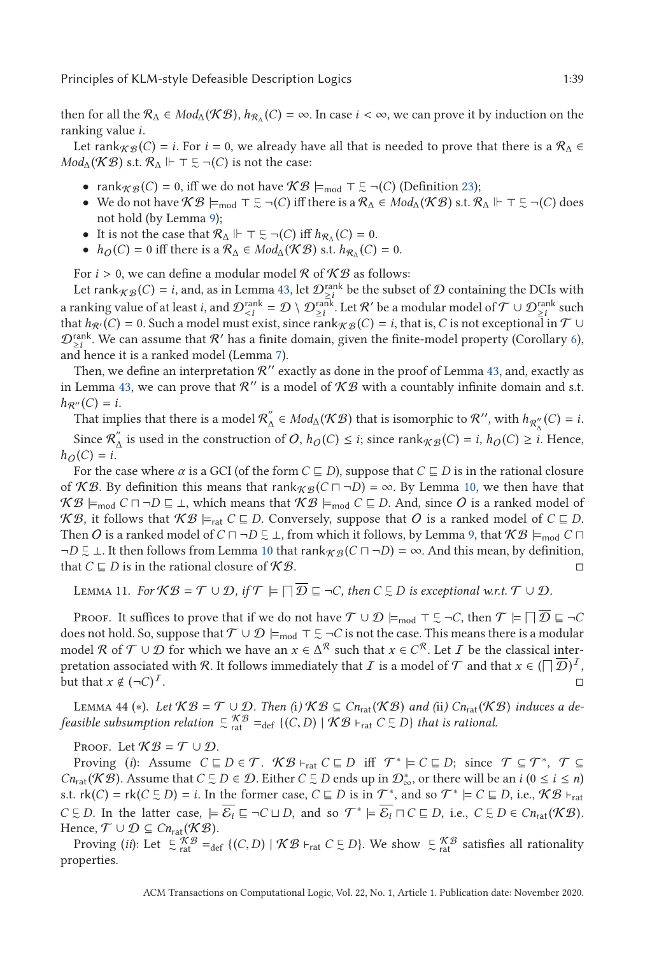<span id="page-38-0"></span>then for all the  $\mathcal{R}_{\Delta} \in Mod_{\Delta}(\mathcal{KB}), h_{\mathcal{R}_{\Delta}}(C) = \infty$ . In case  $i < \infty$ , we can prove it by induction on the ranking value *i*.

Let rank $\chi_{\beta}(C) = i$ . For  $i = 0$ , we already have all that is needed to prove that there is a  $\mathcal{R}_{\Lambda} \in$  $Mod_{\Delta}(\mathcal{KB})$  s.t.  $\mathcal{R}_{\Delta} \Vdash \top \subsetneq \neg(C)$  is not the case:

- $rank_{\mathcal{KB}}(C) = 0$ , iff we do not have  $\mathcal{KB} \models_{\text{mod}} \top \subseteq \neg(C)$  (Definition [23\)](#page-14-0);
- We do not have  $\mathcal{KB} \models_{\text{mod}} \top \Sigma \neg(C)$  iff there is a  $\mathcal{R}_{\Delta} \in Mod_{\Delta}(\mathcal{KB})$  s.t.  $\mathcal{R}_{\Delta} \Vdash \top \Sigma \neg(C)$  does not hold (by Lemma [9\)](#page-13-0);
- It is not the case that  $\mathcal{R}_{\Delta} \Vdash \top \subseteq \neg(C)$  iff  $h_{\mathcal{R}_{\Delta}}(C) = 0$ .
- $h_O(C) = 0$  iff there is a  $\mathcal{R}_\Lambda \in Mod_\Lambda(\mathcal{KB})$  s.t.  $h_{\mathcal{R}_\Lambda}(C) = 0$ .

For *i* > 0, we can define a modular model  $\mathcal{R}$  of  $\mathcal{KB}$  as follows:

Let rank $_{\mathcal{KB}}(C) = i$ , and, as in Lemma [43,](#page-36-0) let  $\mathcal{D}_{\geq i}^{\text{rank}}$  be the subset of  $\mathcal D$  containing the DCIs with a ranking value of at least *i*, and  $\mathcal{D}_{\leq i}^{\text{rank}} = \mathcal{D} \setminus \mathcal{D}_{\leq i}^{\text{rank}}$ . Let  $\mathcal{R}'$  be a modular model of  $\mathcal{T} \cup \mathcal{D}_{\leq i}^{\text{rank}}$  such that  $h_{\mathcal{D}'}(C) = 0$ . Such a model must exist, since rankee  $(C) = i$  that  $h_{\mathcal{R}'}(C) = 0$ . Such a model must exist, since rank $_{\mathcal{KB}}(C) = i$ , that is, *C* is not exceptional in  $\mathcal{T} \cup$  $\mathcal{D}_{\geq i}^{\text{rank}}$ . We can assume that  $\mathcal{R}'$  has a finite domain, given the finite-model property (Corollary [6\)](#page-33-0), and hence it is a ranked model (Lemma [7\)](#page-12-0).

Then, we define an interpretation  $\mathcal{R}''$  exactly as done in the proof of Lemma [43,](#page-36-0) and, exactly as in Lemma [43,](#page-36-0) we can prove that  $\mathcal{R}''$  is a model of  $\mathcal{KB}$  with a countably infinite domain and s.t.  $h_{\mathcal{R}''}(C) = i.$ 

That implies that there is a model  $\mathcal{R}_\Delta'' \in Mod_\Delta(\mathcal{KB})$  that is isomorphic to  $\mathcal{R}''$ , with  $h_{\mathcal{R}_\Delta''}(C) = i$ . Since  $\mathcal{R}_{\Delta}^{''}$  is used in the construction of O,  $h_O(C) \leq i$ ; since rank $K_B(C) = i$ ,  $h_O(C) \geq i$ . Hence,  $h_O(C) = i$ .

For the case where *α* is a GCI (of the form  $C \sqsubseteq D$ ), suppose that  $C \sqsubseteq D$  is in the rational closure of KB. By definition this means that rank $_{K\mathcal{B}}(C \sqcap \neg D) = \infty$ . By Lemma [10,](#page-15-0) we then have that  $KB \models_{\text{mod}} C \sqcap \neg D \sqsubseteq \bot$ , which means that  $KB \models_{\text{mod}} C \sqsubseteq D$ . And, since  $O$  is a ranked model of  $KB$ , it follows that  $KB \models_{rat} C \sqsubseteq D$ . Conversely, suppose that O is a ranked model of  $C \sqsubseteq D$ . Then  $O$  is a ranked model of  $C \sqcap \neg D \subsetneq \bot$ , from which it follows, by Lemma [9,](#page-13-0) that  $K \mathcal{B} \models_{\text{mod}} C \sqcap$  $\neg D \subsetneq \bot$ . It then follows from Lemma [10](#page-15-0) that rank  $\chi_{\mathcal{B}}(C \sqcap \neg D) = \infty$ . And this mean, by definition, that  $C \sqsubseteq D$  is in the rational closure of  $\mathcal{KB}$ .

LEMMA 11. For  $KB = \mathcal{T} \cup \mathcal{D}$ , if  $\mathcal{T} \models \Box \mathcal{D} \sqsubseteq \neg C$ , then  $C \subsetneq D$  is exceptional w.r.t.  $\mathcal{T} \cup \mathcal{D}$ .

Proof. It suffices to prove that if we do not have  $\mathcal{T} \cup \mathcal{D} \models_{\text{mod}} \top \subsetneq \neg C$ , then  $\mathcal{T} \models \Box \mathcal{D} \sqsubseteq \neg C$ does not hold. So, suppose that  $\mathcal{T}\cup\mathcal{D}\models_\text{mod} \top \bar{\succsim}_\mathcal{T} C$  is not the case. This means there is a modular model R of  $\mathcal{T} \cup \mathcal{D}$  for which we have an  $x \in \Delta^{\mathcal{R}}$  such that  $x \in C^{\mathcal{R}}$ . Let *I* be the classical interpretation associated with  $\mathcal R.$  It follows immediately that  $I$  is a model of  $\mathcal T$  and that  $x\in (\Box\, \overline{\mathcal D})^I,$ but that  $x \notin (\neg C)^{\perp}$ .

LEMMA 44 (\*). Let  $KB = T \cup D$ . Then (i)  $KB \subseteq Cn_{rat}(\mathcal{KB})$  and (ii)  $Cn_{rat}(\mathcal{KB})$  induces a de*feasible subsumption relation*  $\subsetneq$   $\mathcal{KB}$  =<sub>def</sub> {(*C*, *D*) |  $\mathcal{KB}$  +<sub>rat</sub> *C*  $\subsetneq$  *D*} *that is rational.* 

PROOF. Let  $\mathcal{KB} = \mathcal{T} \cup \mathcal{D}$ .

Proving (*i*): Assume  $C \sqsubseteq D \in \mathcal{T}$ .  $\mathcal{KB} \vdash_{rat} C \sqsubseteq D$  iff  $\mathcal{T}^* \models C \sqsubseteq D$ ; since  $\mathcal{T} \subseteq \mathcal{T}^*$ ,  $\mathcal{T} \subseteq$ *Cn*<sub>rat</sub>( $\mathcal{KB}$ ). Assume that *C*  $\subseteq$  *D*  $\in$  *D*. Either *C*  $\subseteq$  *D* ends up in  $\mathcal{D}^*_{\infty}$ , or there will be an *i* ( $0 \le i \le n$ ) s.t.  $rk(C) = rk(C \subseteq D) = i$ . In the former case,  $C \subseteq D$  is in  $\mathcal{T}^*$ , and so  $\mathcal{T}^* \models C \subseteq D$ , i.e.,  $\mathcal{KB} \vdash_{rat}$  $C \subseteq D$ . In the latter case,  $\models \overline{\mathcal{E}_i} \sqsubseteq \neg C \sqcup D$ , and so  $\mathcal{T}^* \models \overline{\mathcal{E}_i} \sqcap C \sqsubseteq D$ , i.e.,  $C \subseteq D \in Cn_{\text{rat}}(\mathcal{KB})$ . Hence,  $\mathcal{T} \cup \mathcal{D} \subseteq Cn_{\text{rat}}(\mathcal{KB}).$ 

Proving (*ii*): Let  $\sum_{rat}^{\infty} \frac{\mathcal{K}\mathcal{B}}{=}$   $\text{def } \{(C, D) \mid \mathcal{KB} \vdash_{rat} C \subsetneq D\}$ . We show  $\sum_{rat}^{\infty} \frac{\mathcal{KB}}{=}$  satisfies all rationality properties.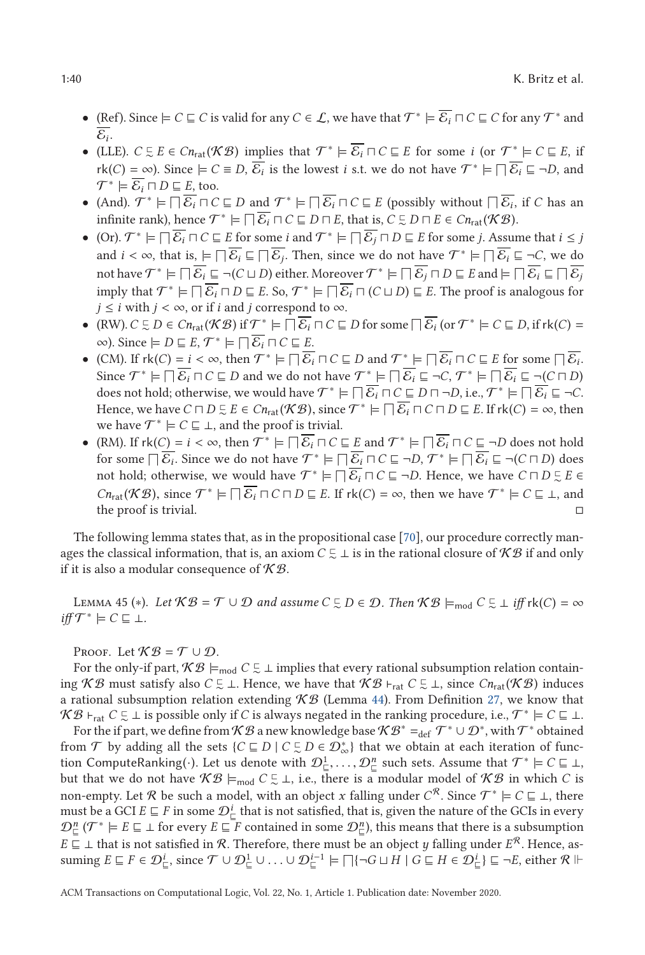- <span id="page-39-0"></span>• (Ref). Since  $\models C \sqsubseteq C$  is valid for any  $C \in \mathcal{L}$ , we have that  $\mathcal{T}^* \models \overline{\mathcal{E}_i} \sqcap C \sqsubseteq C$  for any  $\mathcal{T}^*$  and  $\overline{\mathcal{E}_i}$ .
- (LLE).  $C \subseteq E \in Cn_{rat}(\mathcal{KB})$  implies that  $\mathcal{T}^* \models \overline{\mathcal{E}_i} \sqcap C \sqsubseteq E$  for some *i* (or  $\mathcal{T}^* \models C \sqsubseteq E$ , if  $rk(C) = \infty$ ). Since  $\models C \equiv D$ ,  $\overline{\mathcal{E}_i}$  is the lowest *i* s.t. we do not have  $\mathcal{T}^* \models \Box \overline{\mathcal{E}_i} \sqsubseteq \neg D$ , and  $\mathcal{T}^* \models \overline{\mathcal{E}_i} \sqcap D \sqsubseteq E$ , too.
- (And).  $\mathcal{T}^* \models \Box \overline{\mathcal{E}_i} \Box C \sqsubseteq D$  and  $\mathcal{T}^* \models \Box \overline{\mathcal{E}_i} \Box C \sqsubseteq E$  (possibly without  $\Box \overline{\mathcal{E}_i}$ , if *C* has an infinite rank), hence  $\mathcal{T}^* \models \Box \overline{\mathcal{E}_i} \Box C \sqsubseteq D \Box E$ , that is,  $C \subsetneq D \Box E \in Cn_{\text{rat}}(\mathcal{KB})$ .
- $\bullet$  (Or).  $\mathcal{T}^* \models \Box \overline{\mathcal{E}_i} \Box C \sqsubseteq E$  for some *i* and  $\mathcal{T}^* \models \Box \overline{\mathcal{E}_j} \Box D \sqsubseteq E$  for some *j*. Assume that *i* ≤ *j* and  $i < \infty$ , that is,  $\models \Box \overline{\mathcal{E}_i} \sqsubseteq \Box \overline{\mathcal{E}_j}$ . Then, since we do not have  $\mathcal{T}^* \models \Box \overline{\mathcal{E}_i} \sqsubseteq \neg \mathcal{C}$ , we do not have  $\mathcal{T}^* \models \Box \overline{\mathcal{E}_i} \sqsubseteq \neg \mathcal{C}$ , we do not have  $\mathcal{T}^* \models \Box \overline{\mathcal{E}_i} \sqsubseteq \neg (\mathcal{C} \sqcup D)$  either. Moreover  $\mathcal{T}^* \models \Box \overline{\mathcal{E}_j} \sqcap D \sqsubseteq E$  and  $\models \Box \overline{\mathcal{E}_i} \sqsubseteq \Box \overline{\mathcal{E}_j}$ imply that  $\mathcal{T}^* \models \Box \overline{\mathcal{E}_i} \sqcap D \sqsubseteq E$ . So,  $\mathcal{T}^* \models \Box \overline{\mathcal{E}_i} \sqcap (C \sqcup D) \sqsubseteq E$ . The proof is analogous for *j*  $\leq$  *i* with *j* < ∞, or if *i* and *j* correspond to ∞.
- (RW).  $C \subseteq D \in Cn_{rat}(\mathcal{KB})$  if  $\mathcal{T}^* \models \Box \overline{\mathcal{E}_i} \Box C \sqsubseteq D$  for some  $\Box \overline{\mathcal{E}_i}$  (or  $\mathcal{T}^* \models C \sqsubseteq D$ , if rk(*C*) =  $\infty$ ). Since  $\models D \sqsubseteq E$ ,  $\mathcal{T}^* \models \Box \overline{\mathcal{E}_i} \sqcap C \sqsubseteq E$ .
- (CM). If  $rk(C) = i < \infty$ , then  $\mathcal{T}^* \models \Box \overline{\mathcal{E}_i} \Box C \sqsubseteq D$  and  $\mathcal{T}^* \models \Box \overline{\mathcal{E}_i} \Box C \sqsubseteq E$  for some  $\Box \overline{\mathcal{E}_i}$ .<br>Since  $\mathcal{T}^* \models \Box \overline{\mathcal{E}} \sqcup C \sqsubseteq D$  and we do not have  $\mathcal{T}^* \models \Box \overline{\mathcal{E}} \sqsubseteq \neg C$ .  $\mathcal{T}^* \models \Box$ Since  $\mathcal{T}^* \models \Box \overline{\mathcal{E}_i} \sqcap C \sqsubseteq D$  and we do not have  $\mathcal{T}^* \models \Box \overline{\mathcal{E}_i} \sqsubseteq \neg C$ ,  $\mathcal{T}^* \models \Box \overline{\mathcal{E}_i} \sqsubseteq \neg (C \sqcap D)$ does not hold; otherwise, we would have  $\mathcal{T}^* \models \Box \overline{\mathcal{E}_i} \sqcap \mathcal{C} \sqsubseteq D \sqcap \neg D$ , i.e.,  $\mathcal{T}^* \models \Box \overline{\mathcal{E}_i} \sqsubseteq \neg \mathcal{C}$ . Hence, we have  $C \sqcap D \subseteq E \in Cn_{rat}(\mathcal{KB})$ , since  $\mathcal{T}^* \models \bigcap \overline{\mathcal{E}_i} \sqcap C \sqcap D \sqsubseteq E$ . If  $rk(C) = \infty$ , then we have  $\mathcal{T}^* \models C \sqsubseteq \bot$ , and the proof is trivial.
- (RM). If  $rk(C) = i < \infty$ , then  $\mathcal{T}^* \models \Box \overline{\mathcal{E}_i} \Box C \sqsubseteq E$  and  $\mathcal{T}^* \models \Box \overline{\mathcal{E}_i} \Box C \sqsubseteq \neg D$  does not hold<br>for some  $\Box \overline{\mathcal{E}}_i$ . Since we do not have  $\mathcal{T}^* \models \Box \overline{\mathcal{E}}_i \Box C \sqsubseteq \neg D$ ,  $\mathcal{T}^* \models \Box \overline{\mathcal{E}}_i \sqsubseteq$ for some  $\Box \overline{\mathcal{E}_i}$ . Since we do not have  $\mathcal{T}^* \models \Box \overline{\mathcal{E}_i} \Box C \sqsubseteq \neg D$ ,  $\mathcal{T}^* \models \Box \overline{\mathcal{E}_i} \sqsubseteq \neg(C \sqcap D)$  does not hold; otherwise, we would have  $\mathcal{T}^* \models \Box \overline{\mathcal{E}_i} \sqcap \mathcal{C} \sqsubseteq \neg D$ . Hence, we have  $C \sqcap D \subsetneq E \in$ *Cn*<sub>rat</sub>(*KB*), since  $T^* \models \Box \overline{\mathcal{E}_i} \Box C \Box D \sqsubseteq E$ . If  $rk(C) = \infty$ , then we have  $T^* \models C \sqsubseteq \bot$ , and the proof is trivial the proof is trivial.  $\square$

The following lemma states that, as in the propositional case [\[70\]](#page-45-0), our procedure correctly manages the classical information, that is, an axiom  $C \subsetneq \bot$  is in the rational closure of  $\mathcal{KB}$  if and only if it is also a modular consequence of  $K\mathcal{B}$ .

LEMMA 45 (\*). Let  $KB = \mathcal{T} \cup \mathcal{D}$  and assume  $C \subsetneq D \in \mathcal{D}$ . Then  $KB \models_{\text{mod}} C \subsetneq \bot$  iff  $\text{rk}(C) = \infty$  $\text{if } f \mathcal{T}^* \models C \sqsubseteq \bot.$ 

PROOF. Let  $K\mathcal{B} = \mathcal{T} \cup \mathcal{D}$ .

For the only-if part,  $KB \models_{\text{mod}} C \subsetneq \bot$  implies that every rational subsumption relation containing *KB* must satisfy also *C*  $\subseteq$  ⊥. Hence, we have that *KB* ⊦<sub>rat</sub> *C*  $\subseteq$  ⊥, since *Cn*<sub>rat</sub>(*KB*) induces a rational subsumption relation extending  $K\mathcal{B}$  (Lemma [44\)](#page-38-0). From Definition [27,](#page-20-0) we know that  $\mathcal{KB}$  ⊦<sub>rat</sub>  $C \subsetneq \bot$  is possible only if *C* is always negated in the ranking procedure, i.e.,  $\mathcal{T}^* \models C \sqsubseteq \bot$ .

For the if part, we define from K B a new knowledge base K B<sup>∗</sup> =def  $\mathcal{T}^* \cup \mathcal{D}^*$ , with  $\mathcal{T}^*$  obtained from  $\mathcal T$  by adding all the sets  $\{C \sqsubseteq D \mid C \subsetneq D \in \mathcal D_{\infty}^*\}$  that we obtain at each iteration of function ComputeRanking(·). Let us denote with  $\mathcal{D}_{\subseteq}^1, \ldots, \mathcal{D}_{\subseteq}^n$  such sets. Assume that  $\mathcal{T}^* \models C \sqsubseteq \bot$ ,<br>but that we do not have  $\mathcal{KB} \models \bot C \sqsubseteq \bot$  is a there is a modular model of  $\mathcal{KB}$  in which C is but that we do not have  $KB \models_{\text{mod}} C \subsetneq \bot$ , i.e., there is a modular model of  $KB$  in which *C* is non-empty. Let R be such a model, with an object *x* falling under  $C^R$ . Since  $\mathcal{T}^* \models C \sqsubseteq \bot$ , there must be a GCI  $E \sqsubseteq F$  in some  $\mathcal{D}^i_{\sqsubseteq}$  that is not satisfied, that is, given the nature of the GCIs in every  $\mathcal{D}_{\Xi}^n$  ( $\mathcal{T}^* \models E \sqsubseteq \bot$  for every  $E \sqsubseteq F$  contained in some  $\mathcal{D}_{\Xi}^n$ ), this means that there is a subsumption *E*  $\subseteq$  ⊥ that is not satisfied in *R*. Therefore, there must be an object *y* falling under *E*<sup>*R*</sup>. Hence, assuming  $E \sqsubseteq F \in \mathcal{D}_{\sqsubseteq}^i$ , since  $\mathcal{T} \cup \mathcal{D}_{\sqsubseteq}^1 \cup ... \cup \mathcal{D}_{\sqsubseteq}^{i-1} \models \Box \{\neg G \sqcup H \mid G \sqsubseteq H \in \mathcal{D}_{\sqsubseteq}^i\} \sqsubseteq \neg E$ , either  $\mathcal{R} \Vdash$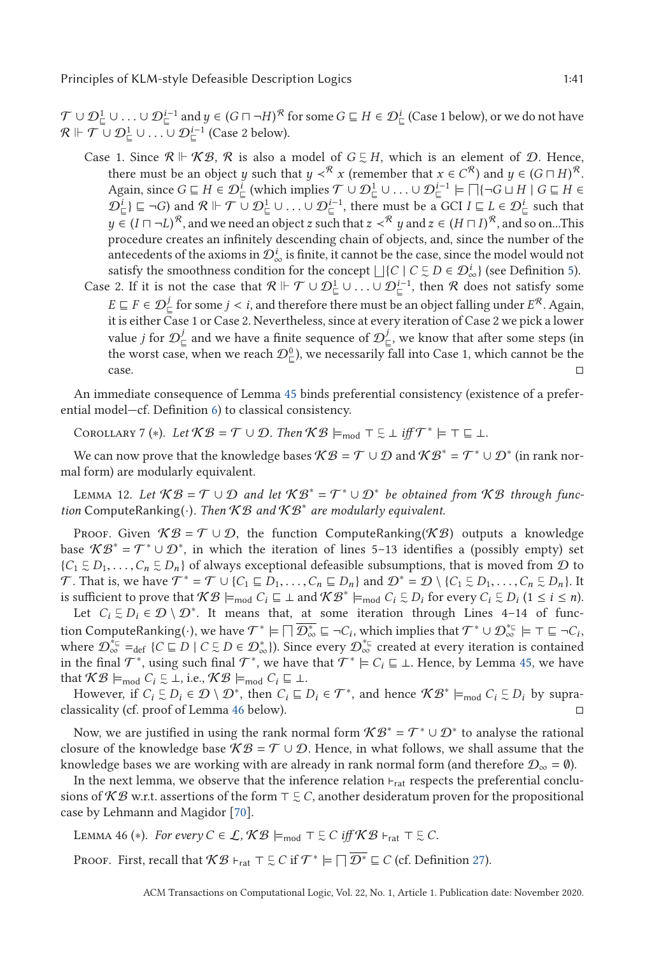<span id="page-40-0"></span> $\mathcal{T} \cup \mathcal{D}_{\sqsubseteq}^1 \cup \ldots \cup \mathcal{D}_{\sqsubseteq}^{i-1}$  and  $y \in (G \sqcap \neg H)^{\mathcal{R}}$  for some  $G \sqsubseteq H \in \mathcal{D}_{\sqsubseteq}^i$  (Case 1 below), or we do not have  $\mathcal{R} \Vdash \mathcal{T} \sqcup \mathcal{D}^{i-1} \sqcup \ldots \sqcup \mathcal{D}^{i-1}$  (Case 2 below)  $\mathcal{R} \Vdash \mathcal{T} \cup \mathcal{D}^1_{\sqsubseteq} \cup \ldots \cup \mathcal{D}^{i-1}_{\sqsubseteq}$  (Case 2 below).

- Case 1. Since  $\mathcal{R} \Vdash \mathcal{KB}$ ,  $\mathcal{R}$  is also a model of  $G \subsetneq H$ , which is an element of  $\mathcal{D}$ . Hence, there must be an object *y* such that  $y \prec^{\mathcal{R}} x$  (remember that  $x \in C^{\mathcal{R}}$ ) and  $y \in (G \sqcap H)^{\mathcal{R}}.$ Again, since  $G \sqsubseteq H \in \mathcal{D}^i_{\sqsubseteq}$  (which implies  $\mathcal{T} \cup \mathcal{D}^1_{\sqsubseteq} \cup ... \cup \mathcal{D}^{i-1}_{\sqsubseteq} \models \bigcap \{\neg G \sqcup H \mid G \sqsubseteq H \in \mathcal{D}^i\}$  or  $\bigcap_{i=1}^i F_i = G \cup H \cup \bigcap_{i=1}^i F_i = G \cup H$  $\mathcal{D}_{\underline{L}}^i$   $\subseteq$   $\neg G$ ) and  $\mathcal{R} \Vdash \mathcal{T} \cup \mathcal{D}_{\underline{L}}^1 \cup ... \cup \mathcal{D}_{\underline{L}}^{i-1}$ , there must be a GCI  $I \subseteq L \in \mathcal{D}_{\underline{L}}^i$  such that *y* ∈  $(I \sqcap \neg L)^R$ , and we need an object *z* such that  $z \prec^R y$  and  $z \in (H \sqcap I)^R$ , and so on...This procedure creates an infinitely descending chain of objects, and, since the number of the antecedents of the axioms in  $\mathcal{D}^i_\infty$  is finite, it cannot be the case, since the model would not satisfy the smoothness condition for the concept  $\Box$ { $C \Box C \Box D \in \mathcal{D}^i_{\infty}$ } (see Definition [5\)](#page-6-0).
- Case 2. If it is not the case that  $\mathcal{R} \Vdash \mathcal{T} \cup \mathcal{D}_{\mathcal{L}}^{\perp} \cup \ldots \cup \mathcal{D}_{\mathcal{L}}^{i-1}$ , then  $\mathcal{R}$  does not satisfy some  $E \sqsubseteq F \in \mathcal{D}_{\sqsubseteq}^j$  for some *j* < *i*, and therefore there must be an object falling under  $E^{\mathcal{R}}$ . Again, it is either Case 1 or Case 2. Nevertheless, since at every iteration of Case 2 we pick a lower it is either Case 1 or Case 2. Nevertheless, since at every iteration of Case 2 we pick a lower value *j* for  $\mathcal{D}^j_\sqsubseteq$  and we have a finite sequence of  $\mathcal{D}^j_\sqsubseteq$ , we know that after some steps (in the worst case, when we reach  $\mathcal{D}^0_{\sqsubseteq}$ ), we necessarily fall into Case 1, which cannot be the  $\Box$

An immediate consequence of Lemma [45](#page-39-0) binds preferential consistency (existence of a preferential model—cf. Definition [6\)](#page-7-0) to classical consistency.

COROLLARY 7 (\*). Let  $\mathcal{KB} = \mathcal{T} \cup \mathcal{D}$ . Then  $\mathcal{KB} \models_{\text{mod}} \top \subseteq \bot$  iff  $\mathcal{T}^* \models \top \sqsubseteq \bot$ .

We can now prove that the knowledge bases  $\mathcal{KB} = \mathcal{T} \cup \mathcal{D}$  and  $\mathcal{KB}^* = \mathcal{T}^* \cup \mathcal{D}^*$  (in rank normal form) are modularly equivalent.

LEMMA 12. Let  $KB = T \cup D$  and let  $KB^* = T^* \cup D^*$  be obtained from KB through func*tion* ComputeRanking(·)*. Then* K B *and* K B<sup>∗</sup> *are modularly equivalent.*

Proof. Given  $K\mathcal{B} = \mathcal{T} \cup \mathcal{D}$ , the function ComputeRanking(K $\mathcal{B}$ ) outputs a knowledge base  $\mathcal{KB}^* = \mathcal{T}^* \cup \mathcal{D}^*$ , in which the iteration of lines 5–13 identifies a (possibly empty) set {*C*<sub>1</sub>  $\subseteq$  *D*<sub>1</sub>,...,*C*<sub>*n*</sub>  $\subseteq$  *D*<sub>*n*</sub>} of always exceptional defeasible subsumptions, that is moved from  $\mathcal{D}$  to  $\mathcal{T}$  That is we have  $\mathcal{T}^* = \mathcal{T} \cup \{C_i \sqsubset D_i\}$  and  $\mathcal{D}^* = \mathcal{D} \cup \{C_i \sqsubset D_i\}$   $\subset \subset D$ T. That is, we have  $T^* = T \cup \{C_1 \sqsubseteq D_1, \ldots, C_n \sqsubseteq D_n\}$  and  $\mathcal{D}^* = \mathcal{D} \setminus \{C_1 \sqsubseteq D_1, \ldots, C_n \sqsubseteq D_n\}$ . It is sufficient to prove that  $\mathcal{KB} \vdash_{\Box} C \sqsubseteq \Box$  and  $\mathcal{KB}^* \vdash_{\Box} C \subseteq D$  for every  $C \subseteq D$ . (1 < i < n) is sufficient to prove that  $KB \models_{\text{mod}} C_i \sqsubseteq \bot$  and  $KB^* \models_{\text{mod}} C_i \sqsubseteq D_i$  for every  $C_i \sqsubseteq D_i$   $(1 \leq i \leq n)$ .

Let  $C_i \subseteq D_i \in \mathcal{D} \setminus \mathcal{D}^*$ . It means that, at some iteration through Lines 4–14 of function ComputeRanking( $\cdot$ ), we have  $\mathcal{T}^* \models \Box \overline{\mathcal{D}^*_{\infty}} \sqsubseteq \neg C_i,$  which implies that  $\mathcal{T}^* \cup \mathcal{D}^{*_\mathbb{C}}_{\infty} \models \top \sqsubseteq \neg C_i,$ where  $\mathcal{D}_{\infty}^{*_{\text{E}}} =_{\text{def}} \{C \sqsubseteq D \mid C \sqsubseteq D \in \mathcal{D}_{\infty}^*\}$ . Since every  $\mathcal{D}_{\infty}^{*_{\text{E}}}$  created at every iteration is contained in the final  $\mathcal{T}^*$ , using such final  $\mathcal{T}^*$ , we have that  $\mathcal{T}^* \models C_i \sqsubseteq \bot$ . Hence, by Lemma [45,](#page-39-0) we have that  $KB \models_{\text{mod}} C_i \subsetneq \bot$ , i.e.,  $KB \models_{\text{mod}} C_i \sqsubseteq \bot$ .

However, if  $C_i \subseteq D_i \in \mathcal{D} \setminus \mathcal{D}^*$ , then  $C_i \subseteq D_i \in \mathcal{T}^*$ , and hence  $\mathcal{KB}^* \models_{\text{mod}} C_i \subseteq D_i$  by supraclassicality (cf. proof of Lemma 46 below).

Now, we are justified in using the rank normal form  $\mathcal{KB}^* = \mathcal{T}^* \cup \mathcal{D}^*$  to analyse the rational closure of the knowledge base  $K\mathcal{B} = \mathcal{T} \cup \mathcal{D}$ . Hence, in what follows, we shall assume that the knowledge bases we are working with are already in rank normal form (and therefore  $\mathcal{D}_{\infty} = \emptyset$ ).

In the next lemma, we observe that the inference relation  $\vdash_{rat}$  respects the preferential conclusions of  $KB$  w.r.t. assertions of the form  $\top \subsetneq C$ , another desideratum proven for the propositional case by Lehmann and Magidor [\[70\]](#page-45-0).

LEMMA 46 (\*). For every  $C \in \mathcal{L}$ ,  $\mathcal{KB} \models_{\text{mod}} \top \subseteq C$  iff  $\mathcal{KB} \models_{\text{rat}} \top \subseteq C$ .

PROOF. First, recall that  $\mathcal{KB} \vdash_{rat} \tau \subsetneq C$  if  $\mathcal{T}^* \models \Box \overline{\mathcal{D}^*} \sqsubseteq C$  (cf. Definition [27\)](#page-20-0).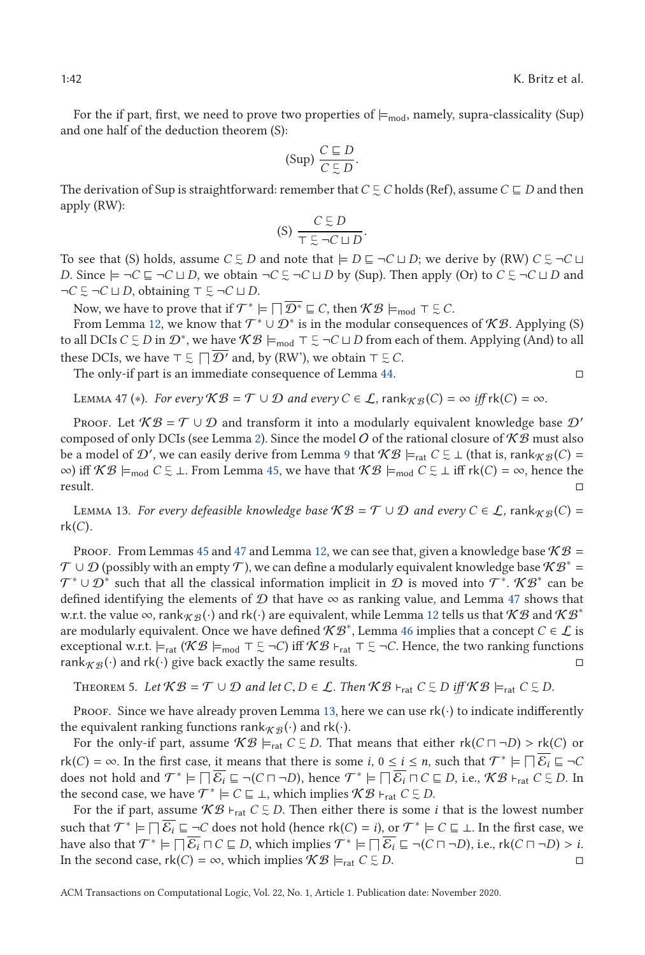For the if part, first, we need to prove two properties of  $\models_{mod}$ , namely, supra-classicality (Sup) and one half of the deduction theorem (S):

$$
(\text{Sup})\ \frac{C\sqsubseteq D}{C\subsetneq D}.
$$

The derivation of Sup is straightforward: remember that  $C \subsetneq C$  holds (Ref), assume  $C \sqsubseteq D$  and then apply (RW):

$$
(S) \frac{C \subsetneq D}{\top \subsetneq \neg C \sqcup D}.
$$

To see that (S) holds, assume  $C \subsetneq D$  and note that  $\models D \sqsubseteq \neg C \sqcup D$ ; we derive by (RW)  $C \subsetneq \neg C \sqcup D$ *D*. Since  $\models \neg C ⊆ \neg C \sqcup D$ , we obtain  $\neg C ⊆ \neg C \sqcup D$  by (Sup). Then apply (Or) to  $C ⊆ \neg C \sqcup D$  and  $\neg C \subsetneq \neg C \sqcup D$ , obtaining  $\top \subsetneq \neg C \sqcup D$ .

Now, we have to prove that if  $\mathcal{T}^* \models \Box \overline{\mathcal{D}^*} \sqsubseteq C$ , then  $\mathcal{KB} \models_{\text{mod}} \top \subsetneq C$ .

From Lemma [12,](#page-21-0) we know that  $\mathcal{T}^* \cup \mathcal{D}^*$  is in the modular consequences of  $\mathcal{KB}$ . Applying (S) to all DCIs  $C \subsetneq D$  in  $\mathcal{D}^*$ , we have  $\mathcal{KB} \models_{\text{mod}} \top \subsetneq \neg C \sqcup D$  from each of them. Applying (And) to all these DCIs, we have  $\top \subsetneq \Box \overline{D'}$  and, by (RW'), we obtain  $\top \subsetneq C$ .

The only-if part is an immediate consequence of Lemma [44.](#page-38-0)

LEMMA 47 (\*). For every 
$$
\mathcal{KB} = \mathcal{T} \cup \mathcal{D}
$$
 and every  $C \in \mathcal{L}$ ,  $\text{rank}_{\mathcal{KB}}(C) = \infty$  iff  $\text{rk}(C) = \infty$ .

PROOF. Let  $\mathcal{KB} = \mathcal{T} \cup \mathcal{D}$  and transform it into a modularly equivalent knowledge base  $\mathcal{D}'$ composed of only DCIs (see Lemma [2\)](#page-8-0). Since the model O of the rational closure of  $K\mathcal{B}$  must also be a model of  $\mathcal{D}'$ , we can easily derive from Lemma [9](#page-13-0) that  $\mathcal{KB} \models_{rat} C \subsetneq \bot$  (that is, rank $_{\mathcal{KB}}(C) =$ ∞) iff  $KB \models_{\text{mod}} C \subsetneq \bot$ . From Lemma [45,](#page-39-0) we have that  $KB \models_{\text{mod}} C \subsetneq \bot$  iff rk(*C*) = ∞, hence the result.

LEMMA 13. *For every defeasible knowledge base*  $\mathcal{KB} = \mathcal{T} \cup \mathcal{D}$  *and every*  $C \in \mathcal{L}$ , rank $_{\mathcal{KB}}(C) =$  $rk(C)$ .

PROOF. From Lemmas [45](#page-39-0) and 47 and Lemma [12,](#page-21-0) we can see that, given a knowledge base  $\mathcal{KB} =$  $\mathcal{T} \cup \mathcal{D}$  (possibly with an empty  $\mathcal{T}$ ), we can define a modularly equivalent knowledge base  $\mathcal{KB}^* =$  $\mathcal{T}^* \cup \mathcal{D}^*$  such that all the classical information implicit in  $\mathcal D$  is moved into  $\mathcal{T}^*$ .  $\mathcal{KB}^*$  can be defined identifying the elements of  $D$  that have  $\infty$  as ranking value, and Lemma 47 shows that w.r.t. the value  $\infty$ , rank $_{K\mathcal{B}}(\cdot)$  and rk( $\cdot$ ) are equivalent, while Lemma [12](#page-21-0) tells us that  $K\mathcal{B}$  and  $K\mathcal{B}^*$ are modularly equivalent. Once we have defined  $\mathcal{KB}^*$ , Lemma [46](#page-40-0) implies that a concept *C* ∈ *L* is exceptional w.r.t.  $\models_{rat} (\mathcal{KB} \models_{mod} \top \subseteq \neg C)$  iff  $\mathcal{KB} \models_{rat} \top \subseteq \neg C$ . Hence, the two ranking functions rank  $\mathcal{R}(\mathcal{B})$  and rk(·) give back exactly the same results.

THEOREM 5. Let  $KB = \mathcal{T} \cup \mathcal{D}$  and let  $C, D \in \mathcal{L}$ . Then  $KB \vdash_{rat} C \subsetneq D$  iff  $KB \models_{rat} C \subsetneq D$ .

Proof. Since we have already proven Lemma [13,](#page-21-0) here we can use  $rk(\cdot)$  to indicate indifferently the equivalent ranking functions rank  $\mathcal{R}_{\mathcal{B}}(\cdot)$  and rk( $\cdot$ ).

For the only-if part, assume  $\mathcal{KB} \models_{rat} C \subseteq D$ . That means that either  $rk(C \sqcap \neg D) > rk(C)$  or  $(C) \sqsubset \infty$ . In the furt case, it means that that  $\alpha$  is  $C \sqsubset \mathcal{CS} \sqsubset \mathcal{CS}$ .  $r(k(C) = \infty$ . In the first case, it means that there is some *i*,  $0 \le i \le n$ , such that  $\mathcal{T}^* \models \Box \overline{\mathcal{E}_i} \sqsubseteq \neg C$ does not hold and  $\mathcal{T}^* \models \Box \overline{\mathcal{E}_i} \sqsubseteq \neg(C \sqcap \neg D)$ , hence  $\mathcal{T}^* \models \Box \overline{\mathcal{E}_i} \sqcap C \sqsubseteq D$ , i.e.,  $\mathcal{KB} \vdash_{rat} C \sqsubseteq D$ . In the second case, we have  $\mathcal{T}^* \models C \sqsubseteq \bot$ , which implies  $\mathcal{KB} \vdash_{rat} C \subsetneq D$ .

For the if part, assume  $KB \vdash_{rat} C \subsetneq D$ . Then either there is some *i* that is the lowest number such that  $\mathcal{T}^* \models \Box \overline{\mathcal{E}_i} \sqsubseteq \neg C$  does not hold (hence rk(*C*) = *i*), or  $\mathcal{T}^* \models C \sqsubseteq \bot$ . In the first case, we have also that  $\mathcal{T}^* \models \Box \overline{\mathcal{E}_i} \Box C \sqsubseteq D$ , which implies  $\mathcal{T}^* \models \Box \overline{\mathcal{E}_i} \sqsubseteq \neg(C \sqcap \neg D)$ , i.e.,  $rk(C \sqcap \neg D) > i$ .<br>In the second case  $rk(C) = \infty$  which implies  $\mathcal{KB} \models \Box C \sqsubseteq D$ In the second case,  $rk(C) = \infty$ , which implies  $\mathcal{KB} \models_{rat} C \subsetneq$  $\subseteq$  *D*.  $□$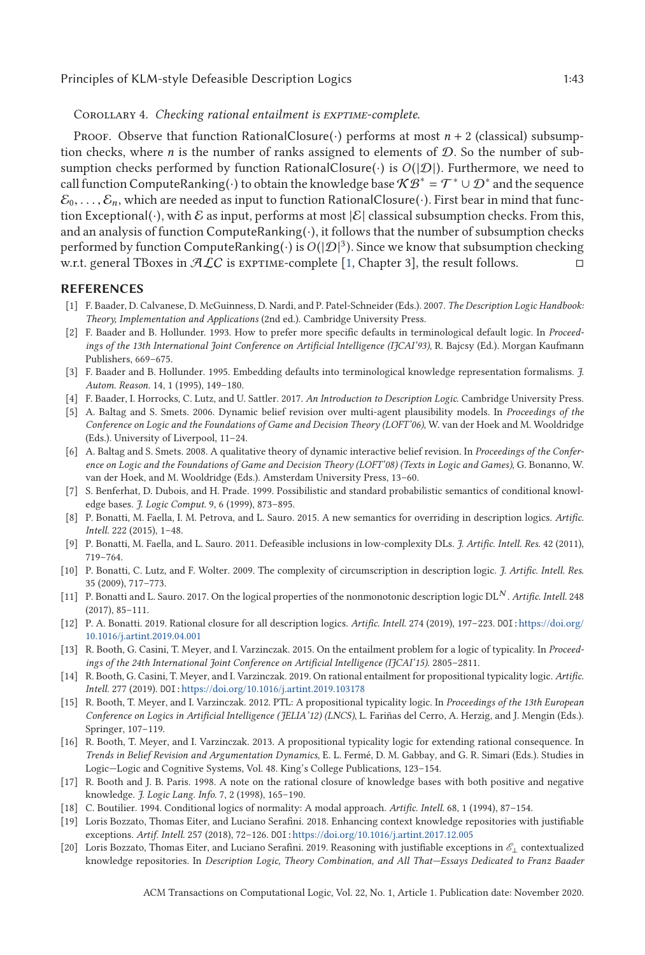<span id="page-42-0"></span>Corollary 4. *Checking rational entailment is exptime-complete.*

Proof. Observe that function RationalClosure( $\cdot$ ) performs at most *n* + 2 (classical) subsumption checks, where *n* is the number of ranks assigned to elements of  $D$ . So the number of subsumption checks performed by function RationalClosure( $\cdot$ ) is  $O(|\mathcal{D}|)$ . Furthermore, we need to call function ComputeRanking( $\cdot$ ) to obtain the knowledge base  $\mathcal{KB}^* = \mathcal{T}^* \cup \mathcal{D}^*$  and the sequence  $\mathcal{E}_0,\ldots,\mathcal{E}_n$ , which are needed as input to function RationalClosure( $\cdot$ ). First bear in mind that function Exceptional(·), with E as input, performs at most  $|\mathcal{E}|$  classical subsumption checks. From this, and an analysis of function ComputeRanking $(\cdot)$ , it follows that the number of subsumption checks performed by function ComputeRanking( $\cdot$ ) is  $O(|\mathcal{D}|^3)$ . Since we know that subsumption checking w.r.t. general TBoxes in  $ALC$  is EXPTIME-complete [1, Chapter 3], the result follows.

## **REFERENCES**

- [1] F. Baader, D. Calvanese, D. McGuinness, D. Nardi, and P. Patel-Schneider (Eds.). 2007. *The Description Logic Handbook: Theory, Implementation and Applications* (2nd ed.). Cambridge University Press.
- [2] F. Baader and B. Hollunder. 1993. How to prefer more specific defaults in terminological default logic. In *Proceedings of the 13th International Joint Conference on Artificial Intelligence (IJCAI'93)*, R. Bajcsy (Ed.). Morgan Kaufmann Publishers, 669–675.
- [3] F. Baader and B. Hollunder. 1995. Embedding defaults into terminological knowledge representation formalisms. *J. Autom. Reason.* 14, 1 (1995), 149–180.
- [4] F. Baader, I. Horrocks, C. Lutz, and U. Sattler. 2017. *An Introduction to Description Logic*. Cambridge University Press.
- [5] A. Baltag and S. Smets. 2006. Dynamic belief revision over multi-agent plausibility models. In *Proceedings of the Conference on Logic and the Foundations of Game and Decision Theory (LOFT'06)*, W. van der Hoek and M. Wooldridge (Eds.). University of Liverpool, 11–24.
- [6] A. Baltag and S. Smets. 2008. A qualitative theory of dynamic interactive belief revision. In *Proceedings of the Conference on Logic and the Foundations of Game and Decision Theory (LOFT'08) (Texts in Logic and Games)*, G. Bonanno, W. van der Hoek, and M. Wooldridge (Eds.). Amsterdam University Press, 13–60.
- [7] S. Benferhat, D. Dubois, and H. Prade. 1999. Possibilistic and standard probabilistic semantics of conditional knowledge bases. *J. Logic Comput.* 9, 6 (1999), 873–895.
- [8] P. Bonatti, M. Faella, I. M. Petrova, and L. Sauro. 2015. A new semantics for overriding in description logics. *Artific. Intell.* 222 (2015), 1–48.
- [9] P. Bonatti, M. Faella, and L. Sauro. 2011. Defeasible inclusions in low-complexity DLs. *J. Artific. Intell. Res.* 42 (2011), 719–764.
- [10] P. Bonatti, C. Lutz, and F. Wolter. 2009. The complexity of circumscription in description logic. *J. Artific. Intell. Res.* 35 (2009), 717–773.
- [11] P. Bonatti and L. Sauro. 2017. On the logical properties of the nonmonotonic description logic DL*<sup>N</sup>* . *Artific. Intell.* 248 (2017), 85–111.
- [12] P. A. Bonatti. 2019. Rational closure for all description logics. *Artific. Intell.* 274 (2019), 197–223. DOI:[https://doi.org/](https://doi.org/10.1016/j.artint.2019.04.001) [10.1016/j.artint.2019.04.001](https://doi.org/10.1016/j.artint.2019.04.001)
- [13] R. Booth, G. Casini, T. Meyer, and I. Varzinczak. 2015. On the entailment problem for a logic of typicality. In *Proceedings of the 24th International Joint Conference on Artificial Intelligence (IJCAI'15)*. 2805–2811.
- [14] R. Booth, G. Casini, T. Meyer, and I. Varzinczak. 2019. On rational entailment for propositional typicality logic. *Artific. Intell.* 277 (2019). DOI:<https://doi.org/10.1016/j.artint.2019.103178>
- [15] R. Booth, T. Meyer, and I. Varzinczak. 2012. PTL: A propositional typicality logic. In *Proceedings of the 13th European Conference on Logics in Artificial Intelligence (JELIA'12) (LNCS)*, L. Fariñas del Cerro, A. Herzig, and J. Mengin (Eds.). Springer, 107–119.
- [16] R. Booth, T. Meyer, and I. Varzinczak. 2013. A propositional typicality logic for extending rational consequence. In *Trends in Belief Revision and Argumentation Dynamics*, E. L. Fermé, D. M. Gabbay, and G. R. Simari (Eds.). Studies in Logic—Logic and Cognitive Systems, Vol. 48. King's College Publications, 123–154.
- [17] R. Booth and J. B. Paris. 1998. A note on the rational closure of knowledge bases with both positive and negative knowledge. *J. Logic Lang. Info.* 7, 2 (1998), 165–190.
- [18] C. Boutilier. 1994. Conditional logics of normality: A modal approach. *Artific. Intell.* 68, 1 (1994), 87–154.
- [19] Loris Bozzato, Thomas Eiter, and Luciano Serafini. 2018. Enhancing context knowledge repositories with justifiable exceptions. *Artif. Intell.* 257 (2018), 72–126. DOI:<https://doi.org/10.1016/j.artint.2017.12.005>
- [20] Loris Bozzato, Thomas Eiter, and Luciano Serafini. 2019. Reasoning with justifiable exceptions in E⊥ contextualized knowledge repositories. In *Description Logic, Theory Combination, and All That—Essays Dedicated to Franz Baader*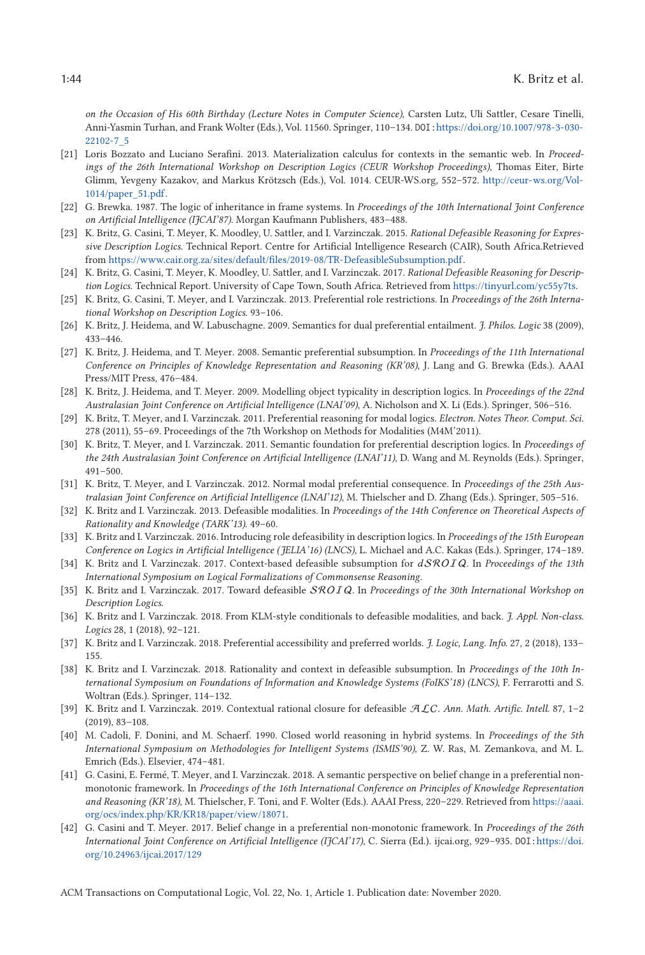<span id="page-43-0"></span>*on the Occasion of His 60th Birthday (Lecture Notes in Computer Science)*, Carsten Lutz, Uli Sattler, Cesare Tinelli, Anni-Yasmin Turhan, and Frank Wolter (Eds.), Vol. 11560. Springer, 110–134. DOI:[https://doi.org/10.1007/978-3-030-](https://doi.org/10.1007/978-3-030-22102-7_5) [22102-7\\_5](https://doi.org/10.1007/978-3-030-22102-7_5)

- [21] Loris Bozzato and Luciano Serafini. 2013. Materialization calculus for contexts in the semantic web. In *Proceedings of the 26th International Workshop on Description Logics (CEUR Workshop Proceedings)*, Thomas Eiter, Birte Glimm, Yevgeny Kazakov, and Markus Krötzsch (Eds.), Vol. 1014. CEUR-WS.org, 552–572. [http://ceur-ws.org/Vol-](http://ceur-ws.org/Vol-1014/paper_51.pdf)[1014/paper\\_51.pdf.](http://ceur-ws.org/Vol-1014/paper_51.pdf)
- [22] G. Brewka. 1987. The logic of inheritance in frame systems. In *Proceedings of the 10th International Joint Conference on Artificial Intelligence (IJCAI'87)*. Morgan Kaufmann Publishers, 483–488.
- [23] K. Britz, G. Casini, T. Meyer, K. Moodley, U. Sattler, and I. Varzinczak. 2015. *Rational Defeasible Reasoning for Expressive Description Logics*. Technical Report. Centre for Artificial Intelligence Research (CAIR), South Africa.Retrieved from [https://www.cair.org.za/sites/default/files/2019-08/TR-DefeasibleSubsumption.pdf.](https://www.cair.org.za/sites/default/files/2019-08/TR-DefeasibleSubsumption.pdf)
- [24] K. Britz, G. Casini, T. Meyer, K. Moodley, U. Sattler, and I. Varzinczak. 2017. *Rational Defeasible Reasoning for Description Logics*. Technical Report. University of Cape Town, South Africa. Retrieved from [https://tinyurl.com/yc55y7ts.](https://tinyurl.com/yc55y7ts)
- [25] K. Britz, G. Casini, T. Meyer, and I. Varzinczak. 2013. Preferential role restrictions. In *Proceedings of the 26th International Workshop on Description Logics*. 93–106.
- [26] K. Britz, J. Heidema, and W. Labuschagne. 2009. Semantics for dual preferential entailment. *J. Philos. Logic* 38 (2009), 433–446.
- [27] K. Britz, J. Heidema, and T. Meyer. 2008. Semantic preferential subsumption. In *Proceedings of the 11th International Conference on Principles of Knowledge Representation and Reasoning (KR'08)*, J. Lang and G. Brewka (Eds.). AAAI Press/MIT Press, 476–484.
- [28] K. Britz, J. Heidema, and T. Meyer. 2009. Modelling object typicality in description logics. In *Proceedings of the 22nd Australasian Joint Conference on Artificial Intelligence (LNAI'09)*, A. Nicholson and X. Li (Eds.). Springer, 506–516.
- [29] K. Britz, T. Meyer, and I. Varzinczak. 2011. Preferential reasoning for modal logics. *Electron. Notes Theor. Comput. Sci.* 278 (2011), 55–69. Proceedings of the 7th Workshop on Methods for Modalities (M4M'2011).
- [30] K. Britz, T. Meyer, and I. Varzinczak. 2011. Semantic foundation for preferential description logics. In *Proceedings of the 24th Australasian Joint Conference on Artificial Intelligence (LNAI'11)*, D. Wang and M. Reynolds (Eds.). Springer, 491–500.
- [31] K. Britz, T. Meyer, and I. Varzinczak. 2012. Normal modal preferential consequence. In *Proceedings of the 25th Australasian Joint Conference on Artificial Intelligence (LNAI'12)*, M. Thielscher and D. Zhang (Eds.). Springer, 505–516.
- [32] K. Britz and I. Varzinczak. 2013. Defeasible modalities. In *Proceedings of the 14th Conference on Theoretical Aspects of Rationality and Knowledge (TARK'13)*. 49–60.
- [33] K. Britz and I. Varzinczak. 2016. Introducing role defeasibility in description logics. In *Proceedings of the 15th European Conference on Logics in Artificial Intelligence (JELIA'16) (LNCS)*, L. Michael and A.C. Kakas (Eds.). Springer, 174–189.
- [34] K. Britz and I. Varzinczak. 2017. Context-based defeasible subsumption for *d*SROIQ. In *Proceedings of the 13th International Symposium on Logical Formalizations of Commonsense Reasoning*.
- [35] K. Britz and I. Varzinczak. 2017. Toward defeasible SROIQ. In *Proceedings of the 30th International Workshop on Description Logics*.
- [36] K. Britz and I. Varzinczak. 2018. From KLM-style conditionals to defeasible modalities, and back. *J. Appl. Non-class. Logics* 28, 1 (2018), 92–121.
- [37] K. Britz and I. Varzinczak. 2018. Preferential accessibility and preferred worlds. *J. Logic, Lang. Info.* 27, 2 (2018), 133– 155.
- [38] K. Britz and I. Varzinczak. 2018. Rationality and context in defeasible subsumption. In *Proceedings of the 10th International Symposium on Foundations of Information and Knowledge Systems (FoIKS'18) (LNCS)*, F. Ferrarotti and S. Woltran (Eds.). Springer, 114–132.
- [39] K. Britz and I. Varzinczak. 2019. Contextual rational closure for defeasible ALC. *Ann. Math. Artific. Intell.* 87, 1–2 (2019), 83–108.
- [40] M. Cadoli, F. Donini, and M. Schaerf. 1990. Closed world reasoning in hybrid systems. In *Proceedings of the 5th International Symposium on Methodologies for Intelligent Systems (ISMIS'90)*, Z. W. Ras, M. Zemankova, and M. L. Emrich (Eds.). Elsevier, 474–481.
- [41] G. Casini, E. Fermé, T. Meyer, and I. Varzinczak. 2018. A semantic perspective on belief change in a preferential nonmonotonic framework. In *Proceedings of the 16th International Conference on Principles of Knowledge Representation and Reasoning (KR'18)*, M. Thielscher, F. Toni, and F. Wolter (Eds.). AAAI Press, 220–229. Retrieved from [https://aaai.](https://aaai.org/ocs/index.php/KR/KR18/paper/view/18071) [org/ocs/index.php/KR/KR18/paper/view/18071.](https://aaai.org/ocs/index.php/KR/KR18/paper/view/18071)
- [42] G. Casini and T. Meyer. 2017. Belief change in a preferential non-monotonic framework. In *Proceedings of the 26th International Joint Conference on Artificial Intelligence (IJCAI'17)*, C. Sierra (Ed.). ijcai.org, 929–935. DOI:[https://doi.](https://doi.org/10.24963/ijcai.2017/129) [org/10.24963/ijcai.2017/129](https://doi.org/10.24963/ijcai.2017/129)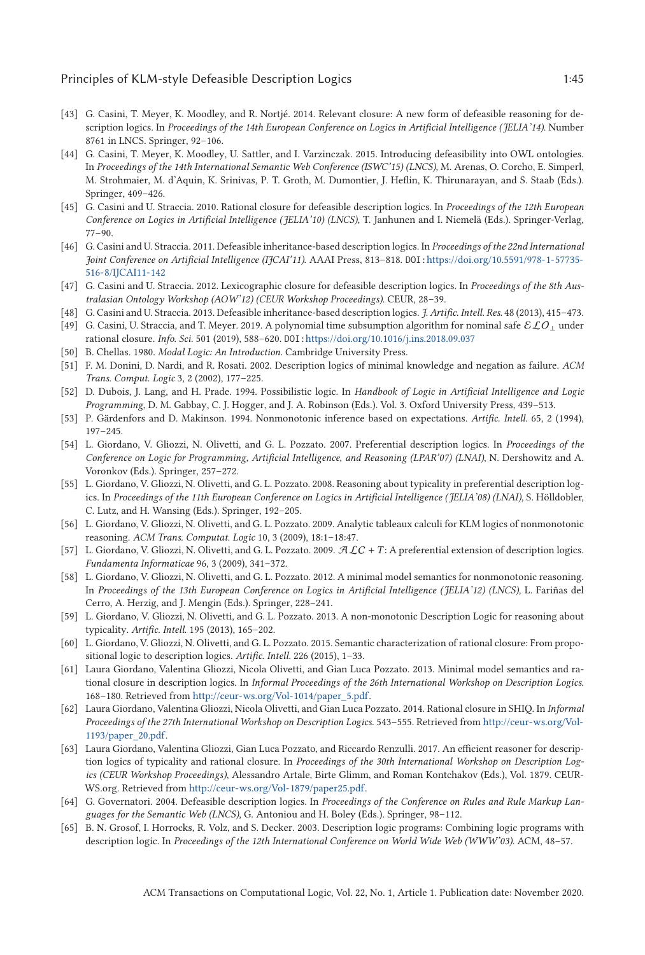- <span id="page-44-0"></span>[43] G. Casini, T. Meyer, K. Moodley, and R. Nortjé. 2014. Relevant closure: A new form of defeasible reasoning for description logics. In *Proceedings of the 14th European Conference on Logics in Artificial Intelligence (JELIA'14)*. Number 8761 in LNCS. Springer, 92–106.
- [44] G. Casini, T. Meyer, K. Moodley, U. Sattler, and I. Varzinczak. 2015. Introducing defeasibility into OWL ontologies. In *Proceedings of the 14th International Semantic Web Conference (ISWC'15) (LNCS)*, M. Arenas, O. Corcho, E. Simperl, M. Strohmaier, M. d'Aquin, K. Srinivas, P. T. Groth, M. Dumontier, J. Heflin, K. Thirunarayan, and S. Staab (Eds.). Springer, 409–426.
- [45] G. Casini and U. Straccia. 2010. Rational closure for defeasible description logics. In *Proceedings of the 12th European Conference on Logics in Artificial Intelligence (JELIA'10) (LNCS)*, T. Janhunen and I. Niemelä (Eds.). Springer-Verlag, 77–90.
- [46] G. Casini and U. Straccia. 2011. Defeasible inheritance-based description logics. In *Proceedings of the 22nd International Joint Conference on Artificial Intelligence (IJCAI'11)*. AAAI Press, 813–818. DOI:[https://doi.org/10.5591/978-1-57735-](https://doi.org/10.5591/978-1-57735-516-8/IJCAI11-142) [516-8/IJCAI11-142](https://doi.org/10.5591/978-1-57735-516-8/IJCAI11-142)
- [47] G. Casini and U. Straccia. 2012. Lexicographic closure for defeasible description logics. In *Proceedings of the 8th Australasian Ontology Workshop (AOW'12) (CEUR Workshop Proceedings)*. CEUR, 28–39.
- [48] G. Casini and U. Straccia. 2013. Defeasible inheritance-based description logics. *J. Artific. Intell. Res.* 48 (2013), 415–473. [49] G. Casini, U. Straccia, and T. Meyer. 2019. A polynomial time subsumption algorithm for nominal safe ELO⊥ under
- rational closure. *Info. Sci.* 501 (2019), 588–620. DOI:<https://doi.org/10.1016/j.ins.2018.09.037>
- [50] B. Chellas. 1980. *Modal Logic: An Introduction*. Cambridge University Press.
- [51] F. M. Donini, D. Nardi, and R. Rosati. 2002. Description logics of minimal knowledge and negation as failure. *ACM Trans. Comput. Logic* 3, 2 (2002), 177–225.
- [52] D. Dubois, J. Lang, and H. Prade. 1994. Possibilistic logic. In *Handbook of Logic in Artificial Intelligence and Logic Programming*, D. M. Gabbay, C. J. Hogger, and J. A. Robinson (Eds.). Vol. 3. Oxford University Press, 439–513.
- [53] P. Gärdenfors and D. Makinson. 1994. Nonmonotonic inference based on expectations. *Artific. Intell.* 65, 2 (1994), 197–245.
- [54] L. Giordano, V. Gliozzi, N. Olivetti, and G. L. Pozzato. 2007. Preferential description logics. In *Proceedings of the Conference on Logic for Programming, Artificial Intelligence, and Reasoning (LPAR'07) (LNAI)*, N. Dershowitz and A. Voronkov (Eds.). Springer, 257–272.
- [55] L. Giordano, V. Gliozzi, N. Olivetti, and G. L. Pozzato. 2008. Reasoning about typicality in preferential description logics. In *Proceedings of the 11th European Conference on Logics in Artificial Intelligence (JELIA'08) (LNAI)*, S. Hölldobler, C. Lutz, and H. Wansing (Eds.). Springer, 192–205.
- [56] L. Giordano, V. Gliozzi, N. Olivetti, and G. L. Pozzato. 2009. Analytic tableaux calculi for KLM logics of nonmonotonic reasoning. *ACM Trans. Computat. Logic* 10, 3 (2009), 18:1–18:47.
- [57] L. Giordano, V. Gliozzi, N. Olivetti, and G. L. Pozzato. 2009. ALC + *T* : A preferential extension of description logics. *Fundamenta Informaticae* 96, 3 (2009), 341–372.
- [58] L. Giordano, V. Gliozzi, N. Olivetti, and G. L. Pozzato. 2012. A minimal model semantics for nonmonotonic reasoning. In *Proceedings of the 13th European Conference on Logics in Artificial Intelligence (JELIA'12) (LNCS)*, L. Fariñas del Cerro, A. Herzig, and J. Mengin (Eds.). Springer, 228–241.
- [59] L. Giordano, V. Gliozzi, N. Olivetti, and G. L. Pozzato. 2013. A non-monotonic Description Logic for reasoning about typicality. *Artific. Intell.* 195 (2013), 165–202.
- [60] L. Giordano, V. Gliozzi, N. Olivetti, and G. L. Pozzato. 2015. Semantic characterization of rational closure: From propositional logic to description logics. *Artific. Intell.* 226 (2015), 1–33.
- [61] Laura Giordano, Valentina Gliozzi, Nicola Olivetti, and Gian Luca Pozzato. 2013. Minimal model semantics and rational closure in description logics. In *Informal Proceedings of the 26th International Workshop on Description Logics*. 168–180. Retrieved from [http://ceur-ws.org/Vol-1014/paper\\_5.pdf.](http://ceur-ws.org/Vol-1014/paper_5.pdf)
- [62] Laura Giordano, Valentina Gliozzi, Nicola Olivetti, and Gian Luca Pozzato. 2014. Rational closure in SHIQ. In *Informal Proceedings of the 27th International Workshop on Description Logics*. 543–555. Retrieved from [http://ceur-ws.org/Vol-](http://ceur-ws.org/Vol-1193/paper_20.pdf)[1193/paper\\_20.pdf.](http://ceur-ws.org/Vol-1193/paper_20.pdf)
- [63] Laura Giordano, Valentina Gliozzi, Gian Luca Pozzato, and Riccardo Renzulli. 2017. An efficient reasoner for description logics of typicality and rational closure. In *Proceedings of the 30th International Workshop on Description Logics (CEUR Workshop Proceedings)*, Alessandro Artale, Birte Glimm, and Roman Kontchakov (Eds.), Vol. 1879. CEUR-WS.org. Retrieved from [http://ceur-ws.org/Vol-1879/paper25.pdf.](http://ceur-ws.org/Vol-1879/paper25.pdf)
- [64] G. Governatori. 2004. Defeasible description logics. In *Proceedings of the Conference on Rules and Rule Markup Languages for the Semantic Web (LNCS)*, G. Antoniou and H. Boley (Eds.). Springer, 98–112.
- [65] B. N. Grosof, I. Horrocks, R. Volz, and S. Decker. 2003. Description logic programs: Combining logic programs with description logic. In *Proceedings of the 12th International Conference on World Wide Web (WWW'03)*. ACM, 48–57.